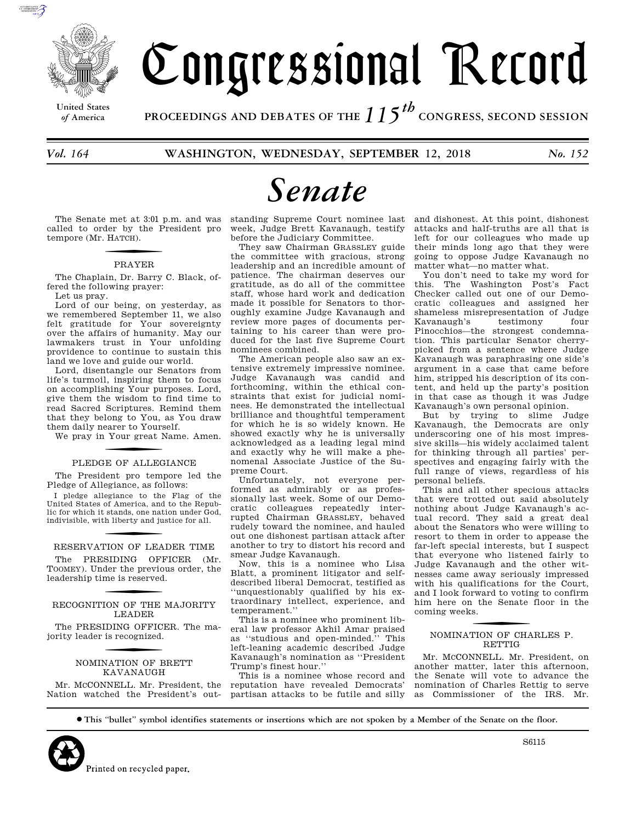

**United States**

# Congressional Record

*of* **America PROCEEDINGS AND DEBATES OF THE** *115th*  **CONGRESS, SECOND SESSION**

*Vol. 164* **WASHINGTON, WEDNESDAY, SEPTEMBER 12, 2018** *No. 152* 

# *Senate*

The Senate met at 3:01 p.m. and was called to order by the President pro tempore (Mr. H ATCH).

#### PRAYER

The Chaplain, Dr. Barry C. Black, offered the following prayer: Let us pray.

Lord of our being, on yesterday, as we remembered September 11, we also felt gratitude for Your sovereignty over the affairs of humanity. May our lawmakers trust in Your unfolding

providence to continue to sustain this land we love and guide our world. Lord, disentangle our Senators from life's turmoil, inspiring them to focus on accomplishing Your purposes. Lord, give them the wisdom to find time to read Sacred Scriptures. Remind them that they belong to You, as You draw

them daily nearer to Yourself. We pray in Your great Name. Amen.

# PLEDGE OF ALLEGIANCE

The President pro tempore led the Pledge of Allegiance, as follows:

I pledge allegiance to the Flag of the United States of America, and to the Republic for which it stands, one nation under God, indivisible, with liberty and justice for all.

#### RESERVATION OF LEADER TIME

The PRESIDING OFFICER (Mr. TOOMEY). Under the previous order, the leadership time is reserved.

## RECOGNITION OF THE MAJORITY LEADER

The PRESIDING OFFICER. The majority leader is recognized.

## f NOMINATION OF BRETT KAVANAUGH

Mr. MCCONNELL. Mr. President, the Nation watched the President's outstanding Supreme Court nominee last week, Judge Brett Kavanaugh, testify before the Judiciary Committee.

They saw Chairman GRASSLEY guide the committee with gracious, strong leadership and an incredible amount of patience. The chairman deserves our gratitude, as do all of the committee staff, whose hard work and dedication made it possible for Senators to thoroughly examine Judge Kavanaugh and review more pages of documents pertaining to his career than were produced for the last five Supreme Court nominees combined.

The American people also saw an extensive extremely impressive nominee. Judge Kavanaugh was candid and forthcoming, within the ethical constraints that exist for judicial nominees. He demonstrated the intellectual brilliance and thoughtful temperament for which he is so widely known. He showed exactly why he is universally acknowledged as a leading legal mind and exactly why he will make a phenomenal Associate Justice of the Supreme Court.

Unfortunately, not everyone performed as admirably or as professionally last week. Some of our Democratic colleagues repeatedly interrupted Chairman GRASSLEY, behaved rudely toward the nominee, and hauled out one dishonest partisan attack after another to try to distort his record and smear Judge Kavanaugh.

Now, this is a nominee who Lisa Blatt, a prominent litigator and selfdescribed liberal Democrat, testified as ''unquestionably qualified by his extraordinary intellect, experience, and temperament.''

This is a nominee who prominent liberal law professor Akhil Amar praised as ''studious and open-minded.'' This left-leaning academic described Judge Kavanaugh's nomination as ''President Trump's finest hour.''

This is a nominee whose record and reputation have revealed Democrats' partisan attacks to be futile and silly

and dishonest. At this point, dishonest attacks and half-truths are all that is left for our colleagues who made up their minds long ago that they were going to oppose Judge Kavanaugh no matter what—no matter what.

You don't need to take my word for this. The Washington Post's Fact Checker called out one of our Democratic colleagues and assigned her shameless misrepresentation of Judge Kavanaugh's testimony four Pinocchios—the strongest condemnation. This particular Senator cherrypicked from a sentence where Judge Kavanaugh was paraphrasing one side's argument in a case that came before him, stripped his description of its content, and held up the party's position in that case as though it was Judge Kavanaugh's own personal opinion.

But by trying to slime Judge Kavanaugh, the Democrats are only underscoring one of his most impressive skills—his widely acclaimed talent for thinking through all parties' perspectives and engaging fairly with the full range of views, regardless of his personal beliefs.

This and all other specious attacks that were trotted out said absolutely nothing about Judge Kavanaugh's actual record. They said a great deal about the Senators who were willing to resort to them in order to appease the far-left special interests, but I suspect that everyone who listened fairly to Judge Kavanaugh and the other witnesses came away seriously impressed with his qualifications for the Court, and I look forward to voting to confirm him here on the Senate floor in the coming weeks.

## f NOMINATION OF CHARLES P. RETTIG

Mr. MCCONNELL. Mr. President, on another matter, later this afternoon, the Senate will vote to advance the nomination of Charles Rettig to serve as Commissioner of the IRS. Mr.

S6115

∑ **This ''bullet'' symbol identifies statements or insertions which are not spoken by a Member of the Senate on the floor.**

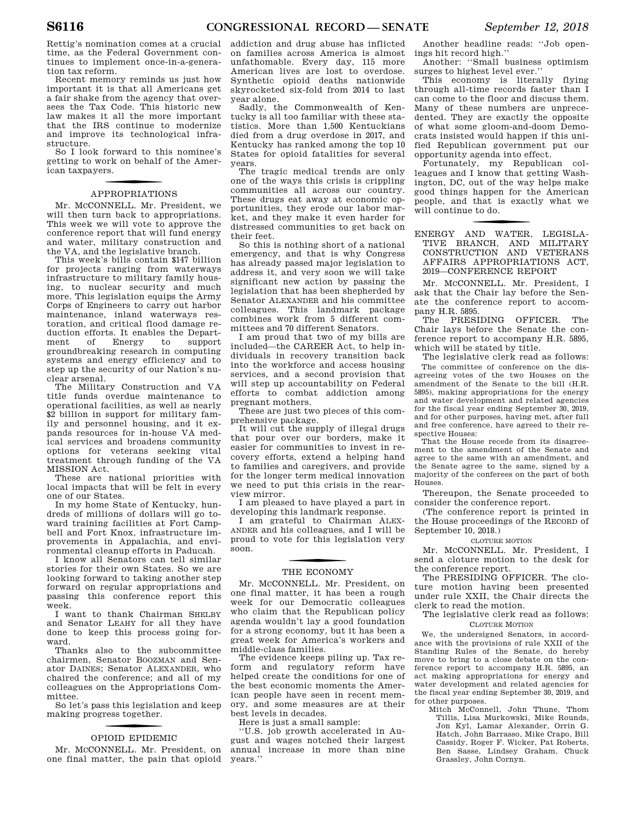Rettig's nomination comes at a crucial time, as the Federal Government continues to implement once-in-a-generation tax reform.

Recent memory reminds us just how important it is that all Americans get a fair shake from the agency that oversees the Tax Code. This historic new law makes it all the more important that the IRS continue to modernize and improve its technological infrastructure.

So I look forward to this nominee's getting to work on behalf of the American taxpayers.

## f APPROPRIATIONS

Mr. MCCONNELL. Mr. President, we will then turn back to appropriations. This week we will vote to approve the conference report that will fund energy and water, military construction and the VA, and the legislative branch.

This week's bills contain \$147 billion for projects ranging from waterways infrastructure to military family housing, to nuclear security and much more. This legislation equips the Army Corps of Engineers to carry out harbor maintenance, inland waterways restoration, and critical flood damage reduction efforts. It enables the Depart-<br>ment of Energy to support ment of Energy to support groundbreaking research in computing systems and energy efficiency and to step up the security of our Nation's nuclear arsenal.

The Military Construction and VA title funds overdue maintenance to operational facilities, as well as nearly \$2 billion in support for military family and personnel housing, and it expands resources for in-house VA medical services and broadens community options for veterans seeking vital treatment through funding of the VA MISSION Act.

These are national priorities with local impacts that will be felt in every one of our States.

In my home State of Kentucky, hundreds of millions of dollars will go toward training facilities at Fort Campbell and Fort Knox, infrastructure improvements in Appalachia, and environmental cleanup efforts in Paducah.

I know all Senators can tell similar stories for their own States. So we are looking forward to taking another step forward on regular appropriations and passing this conference report this week.

I want to thank Chairman SHELBY and Senator LEAHY for all they have done to keep this process going forward.

Thanks also to the subcommittee chairmen, Senator BOOZMAN and Senator DAINES; Senator ALEXANDER, who chaired the conference; and all of my colleagues on the Appropriations Committee.

So let's pass this legislation and keep making progress together.

## f OPIOID EPIDEMIC

Mr. MCCONNELL. Mr. President, on one final matter, the pain that opioid

addiction and drug abuse has inflicted on families across America is almost unfathomable. Every day, 115 more American lives are lost to overdose. Synthetic opioid deaths nationwide skyrocketed six-fold from 2014 to last year alone.

Sadly, the Commonwealth of Kentucky is all too familiar with these statistics. More than 1,500 Kentuckians died from a drug overdose in 2017, and Kentucky has ranked among the top 10 States for opioid fatalities for several years.

The tragic medical trends are only one of the ways this crisis is crippling communities all across our country. These drugs eat away at economic opportunities, they erode our labor market, and they make it even harder for distressed communities to get back on their feet.

So this is nothing short of a national emergency, and that is why Congress has already passed major legislation to address it, and very soon we will take significant new action by passing the legislation that has been shepherded by Senator ALEXANDER and his committee colleagues. This landmark package combines work from 5 different committees and 70 different Senators.

I am proud that two of my bills are included—the CAREER Act, to help individuals in recovery transition back into the workforce and access housing services, and a second provision that will step up accountability on Federal efforts to combat addiction among pregnant mothers.

These are just two pieces of this comprehensive package.

It will cut the supply of illegal drugs that pour over our borders, make it easier for communities to invest in recovery efforts, extend a helping hand to families and caregivers, and provide for the longer term medical innovation we need to put this crisis in the rearview mirror.

I am pleased to have played a part in developing this landmark response.

I am grateful to Chairman ALEX-ANDER and his colleagues, and I will be proud to vote for this legislation very soon.

## THE ECONOMY

Mr. MCCONNELL. Mr. President, on one final matter, it has been a rough week for our Democratic colleagues who claim that the Republican policy agenda wouldn't lay a good foundation for a strong economy, but it has been a great week for America's workers and middle-class families.

The evidence keeps piling up. Tax reform and regulatory reform have helped create the conditions for one of the best economic moments the American people have seen in recent memory, and some measures are at their best levels in decades.

Here is just a small sample:

''U.S. job growth accelerated in August and wages notched their largest annual increase in more than nine years.''

Another headline reads: ''Job openings hit record high.''

Another: ''Small business optimism surges to highest level ever.''

This economy is literally flying through all-time records faster than I can come to the floor and discuss them. Many of these numbers are unprecedented. They are exactly the opposite of what some gloom-and-doom Democrats insisted would happen if this unified Republican government put our opportunity agenda into effect.

Fortunately, my Republican colleagues and I know that getting Washington, DC, out of the way helps make good things happen for the American people, and that is exactly what we will continue to do.

f ENERGY AND WATER, LEGISLA-TIVE BRANCH, AND MILITARY CONSTRUCTION AND VETERANS AFFAIRS APPROPRIATIONS ACT, 2019—CONFERENCE REPORT

Mr. MCCONNELL. Mr. President, I ask that the Chair lay before the Senate the conference report to accompany H.R. 5895.

The PRESIDING OFFICER. The Chair lays before the Senate the conference report to accompany H.R. 5895, which will be stated by title.

The legislative clerk read as follows: The committee of conference on the disagreeing votes of the two Houses on the amendment of the Senate to the bill (H.R. 5895), making appropriations for the energy and water development and related agencies for the fiscal year ending September 30, 2019, and for other purposes, having met, after full and free conference, have agreed to their respective Houses:

That the House recede from its disagreement to the amendment of the Senate and agree to the same with an amendment, and the Senate agree to the same, signed by a majority of the conferees on the part of both Houses.

Thereupon, the Senate proceeded to consider the conference report.

(The conference report is printed in the House proceedings of the RECORD of September 10, 2018.)

CLOTURE MOTION

Mr. MCCONNELL. Mr. President, I send a cloture motion to the desk for the conference report.

The PRESIDING OFFICER. The cloture motion having been presented under rule XXII, the Chair directs the clerk to read the motion.

#### The legislative clerk read as follows: CLOTURE MOTION

We, the undersigned Senators, in accordance with the provisions of rule XXII of the Standing Rules of the Senate, do hereby move to bring to a close debate on the conference report to accompany H.R. 5895, an act making appropriations for energy and water development and related agencies for the fiscal year ending September 30, 2019, and for other purposes.

Mitch McConnell, John Thune, Thom Tillis, Lisa Murkowski, Mike Rounds, Jon Kyl, Lamar Alexander, Orrin G. Hatch, John Barrasso, Mike Crapo, Bill Cassidy, Roger F. Wicker, Pat Roberts, Ben Sasse, Lindsey Graham, Chuck Grassley, John Cornyn.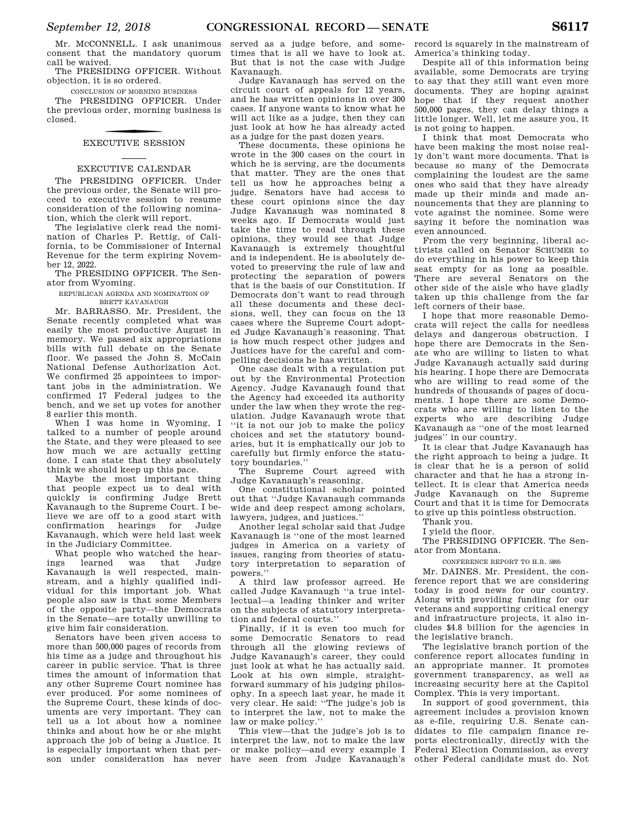Mr. MCCONNELL. I ask unanimous consent that the mandatory quorum call be waived.

The PRESIDING OFFICER. Without objection, it is so ordered.

CONCLUSION OF MORNING BUSINESS

The PRESIDING OFFICER. Under the previous order, morning business is closed.

## f EXECUTIVE SESSION

#### EXECUTIVE CALENDAR

The PRESIDING OFFICER. Under the previous order, the Senate will proceed to executive session to resume consideration of the following nomination, which the clerk will report.

The legislative clerk read the nomination of Charles P. Rettig, of California, to be Commissioner of Internal Revenue for the term expiring November 12, 2022.

The PRESIDING OFFICER. The Senator from Wyoming.

REPUBLICAN AGENDA AND NOMINATION OF BRETT KAVANAUGH

Mr. BARRASSO. Mr. President, the Senate recently completed what was easily the most productive August in memory. We passed six appropriations bills with full debate on the Senate floor. We passed the John S. McCain National Defense Authorization Act. We confirmed 25 appointees to important jobs in the administration. We confirmed 17 Federal judges to the bench, and we set up votes for another 8 earlier this month.

When I was home in Wyoming, I talked to a number of people around the State, and they were pleased to see how much we are actually getting done. I can state that they absolutely think we should keep up this pace.

Maybe the most important thing that people expect us to deal with quickly is confirming Judge Brett Kavanaugh to the Supreme Court. I believe we are off to a good start with confirmation hearings for Judge Kavanaugh, which were held last week in the Judiciary Committee.

What people who watched the hearings learned was that Judge Kavanaugh is well respected, mainstream, and a highly qualified individual for this important job. What people also saw is that some Members of the opposite party—the Democrats in the Senate—are totally unwilling to give him fair consideration.

Senators have been given access to more than 500,000 pages of records from his time as a judge and throughout his career in public service. That is three times the amount of information that any other Supreme Court nominee has ever produced. For some nominees of the Supreme Court, these kinds of documents are very important. They can tell us a lot about how a nominee thinks and about how he or she might approach the job of being a Justice. It is especially important when that person under consideration has never

served as a judge before, and sometimes that is all we have to look at. But that is not the case with Judge Kavanaugh.

Judge Kavanaugh has served on the circuit court of appeals for 12 years, and he has written opinions in over 300 cases. If anyone wants to know what he will act like as a judge, then they can just look at how he has already acted as a judge for the past dozen years.

These documents, these opinions he wrote in the 300 cases on the court in which he is serving, are the documents that matter. They are the ones that tell us how he approaches being a judge. Senators have had access to these court opinions since the day Judge Kavanaugh was nominated 8 weeks ago. If Democrats would just take the time to read through these opinions, they would see that Judge Kavanaugh is extremely thoughtful and is independent. He is absolutely devoted to preserving the rule of law and protecting the separation of powers that is the basis of our Constitution. If Democrats don't want to read through all these documents and these decisions, well, they can focus on the 13 cases where the Supreme Court adopted Judge Kavanaugh's reasoning. That is how much respect other judges and Justices have for the careful and compelling decisions he has written.

One case dealt with a regulation put out by the Environmental Protection Agency. Judge Kavanaugh found that the Agency had exceeded its authority under the law when they wrote the regulation. Judge Kavanaugh wrote that ''it is not our job to make the policy choices and set the statutory boundaries, but it is emphatically our job to carefully but firmly enforce the statutory boundaries.''

The Supreme Court agreed with Judge Kavanaugh's reasoning.

One constitutional scholar pointed out that ''Judge Kavanaugh commands wide and deep respect among scholars, lawyers, judges, and justices.''

Another legal scholar said that Judge Kavanaugh is ''one of the most learned judges in America on a variety of issues, ranging from theories of statutory interpretation to separation of powers.''

A third law professor agreed. He called Judge Kavanaugh ''a true intellectual—a leading thinker and writer on the subjects of statutory interpretation and federal courts.''

Finally, if it is even too much for some Democratic Senators to read through all the glowing reviews of Judge Kavanaugh's career, they could just look at what he has actually said. Look at his own simple, straightforward summary of his judging philosophy. In a speech last year, he made it very clear. He said: ''The judge's job is to interpret the law, not to make the law or make policy.''

This view—that the judge's job is to interpret the law, not to make the law or make policy—and every example I have seen from Judge Kavanaugh's

record is squarely in the mainstream of America's thinking today.

Despite all of this information being available, some Democrats are trying to say that they still want even more documents. They are hoping against hope that if they request another 500,000 pages, they can delay things a little longer. Well, let me assure you, it is not going to happen.

I think that most Democrats who have been making the most noise really don't want more documents. That is because so many of the Democrats complaining the loudest are the same ones who said that they have already made up their minds and made announcements that they are planning to vote against the nominee. Some were saying it before the nomination was even announced.

From the very beginning, liberal activists called on Senator SCHUMER to do everything in his power to keep this seat empty for as long as possible. There are several Senators on the other side of the aisle who have gladly taken up this challenge from the far left corners of their base.

I hope that more reasonable Democrats will reject the calls for needless delays and dangerous obstruction. I hope there are Democrats in the Senate who are willing to listen to what Judge Kavanaugh actually said during his hearing. I hope there are Democrats who are willing to read some of the hundreds of thousands of pages of documents. I hope there are some Democrats who are willing to listen to the experts who are describing Judge Kavanaugh as ''one of the most learned judges'' in our country.

It is clear that Judge Kavanaugh has the right approach to being a judge. It is clear that he is a person of solid character and that he has a strong intellect. It is clear that America needs Judge Kavanaugh on the Supreme Court and that it is time for Democrats to give up this pointless obstruction.

Thank you.

I yield the floor.

The PRESIDING OFFICER. The Senator from Montana.

CONFERENCE REPORT TO H.R. 5895

Mr. DAINES. Mr. President, the conference report that we are considering today is good news for our country. Along with providing funding for our veterans and supporting critical energy and infrastructure projects, it also includes \$4.8 billion for the agencies in the legislative branch.

The legislative branch portion of the conference report allocates funding in an appropriate manner. It promotes government transparency, as well as increasing security here at the Capitol Complex. This is very important.

In support of good government, this agreement includes a provision known as e-file, requiring U.S. Senate candidates to file campaign finance reports electronically, directly with the Federal Election Commission, as every other Federal candidate must do. Not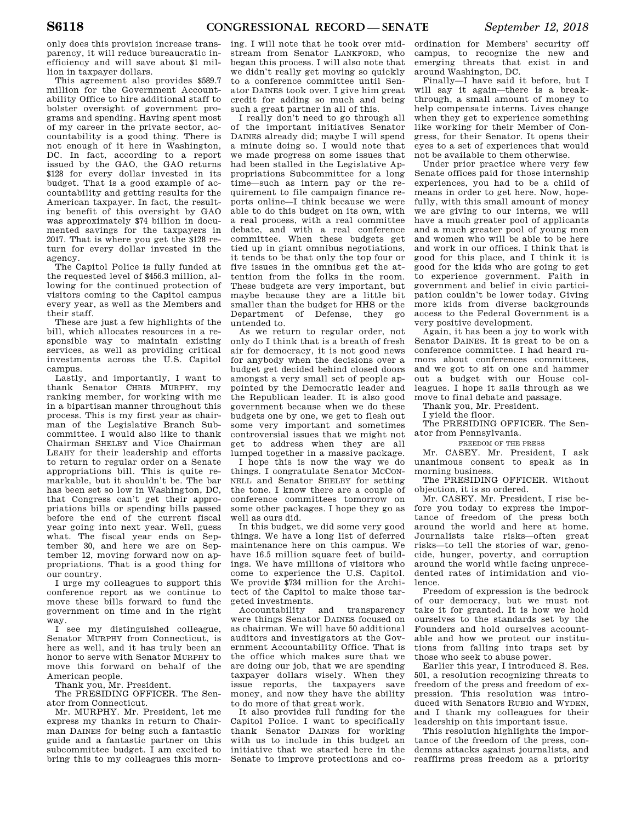only does this provision increase transparency, it will reduce bureaucratic inefficiency and will save about \$1 million in taxpayer dollars.

This agreement also provides \$589.7 million for the Government Accountability Office to hire additional staff to bolster oversight of government programs and spending. Having spent most of my career in the private sector, accountability is a good thing. There is not enough of it here in Washington, DC. In fact, according to a report issued by the GAO, the GAO returns \$128 for every dollar invested in its budget. That is a good example of accountability and getting results for the American taxpayer. In fact, the resulting benefit of this oversight by GAO was approximately \$74 billion in documented savings for the taxpayers in 2017. That is where you get the \$128 return for every dollar invested in the agency.

The Capitol Police is fully funded at the requested level of \$456.3 million, allowing for the continued protection of visitors coming to the Capitol campus every year, as well as the Members and their staff.

These are just a few highlights of the bill, which allocates resources in a responsible way to maintain existing services, as well as providing critical investments across the U.S. Capitol campus.

Lastly, and importantly, I want to thank Senator CHRIS MURPHY, my ranking member, for working with me in a bipartisan manner throughout this process. This is my first year as chairman of the Legislative Branch Subcommittee. I would also like to thank Chairman SHELBY and Vice Chairman LEAHY for their leadership and efforts to return to regular order on a Senate appropriations bill. This is quite remarkable, but it shouldn't be. The bar has been set so low in Washington, DC, that Congress can't get their appropriations bills or spending bills passed before the end of the current fiscal year going into next year. Well, guess what. The fiscal year ends on September 30, and here we are on September 12, moving forward now on appropriations. That is a good thing for our country.

I urge my colleagues to support this conference report as we continue to move these bills forward to fund the government on time and in the right way.

I see my distinguished colleague, Senator MURPHY from Connecticut, is here as well, and it has truly been an honor to serve with Senator MURPHY to move this forward on behalf of the American people.

#### Thank you, Mr. President.

The PRESIDING OFFICER. The Senator from Connecticut.

Mr. MURPHY. Mr. President, let me express my thanks in return to Chairman DAINES for being such a fantastic guide and a fantastic partner on this subcommittee budget. I am excited to bring this to my colleagues this morning. I will note that he took over midstream from Senator LANKFORD, who began this process. I will also note that we didn't really get moving so quickly to a conference committee until Senator DAINES took over. I give him great credit for adding so much and being such a great partner in all of this.

I really don't need to go through all of the important initiatives Senator DAINES already did; maybe I will spend a minute doing so. I would note that we made progress on some issues that had been stalled in the Legislative Appropriations Subcommittee for a long time—such as intern pay or the requirement to file campaign finance reports online—I think because we were able to do this budget on its own, with a real process, with a real committee debate, and with a real conference committee. When these budgets get tied up in giant omnibus negotiations, it tends to be that only the top four or five issues in the omnibus get the attention from the folks in the room. These budgets are very important, but maybe because they are a little bit smaller than the budget for HHS or the Department of Defense, they go untended to.

As we return to regular order, not only do I think that is a breath of fresh air for democracy, it is not good news for anybody when the decisions over a budget get decided behind closed doors amongst a very small set of people appointed by the Democratic leader and the Republican leader. It is also good government because when we do these budgets one by one, we get to flesh out some very important and sometimes controversial issues that we might not get to address when they are all lumped together in a massive package.

I hope this is now the way we do things. I congratulate Senator MCCON-NELL and Senator SHELBY for setting the tone. I know there are a couple of conference committees tomorrow on some other packages. I hope they go as well as ours did.

In this budget, we did some very good things. We have a long list of deferred maintenance here on this campus. We have 16.5 million square feet of buildings. We have millions of visitors who come to experience the U.S. Capitol. We provide \$734 million for the Architect of the Capitol to make those targeted investments.

and transparency were things Senator DAINES focused on as chairman. We will have 50 additional auditors and investigators at the Government Accountability Office. That is the office which makes sure that we are doing our job, that we are spending taxpayer dollars wisely. When they issue reports, the taxpayers save money, and now they have the ability to do more of that great work.

It also provides full funding for the Capitol Police. I want to specifically thank Senator DAINES for working with us to include in this budget an initiative that we started here in the Senate to improve protections and co-

ordination for Members' security off campus, to recognize the new and emerging threats that exist in and around Washington, DC.

Finally—I have said it before, but I will say it again—there is a breakthrough, a small amount of money to help compensate interns. Lives change when they get to experience something like working for their Member of Congress, for their Senator. It opens their eyes to a set of experiences that would not be available to them otherwise.

Under prior practice where very few Senate offices paid for those internship experiences, you had to be a child of means in order to get here. Now, hopefully, with this small amount of money we are giving to our interns, we will have a much greater pool of applicants and a much greater pool of young men and women who will be able to be here and work in our offices. I think that is good for this place, and I think it is good for the kids who are going to get to experience government. Faith in government and belief in civic participation couldn't be lower today. Giving more kids from diverse backgrounds access to the Federal Government is a very positive development.

Again, it has been a joy to work with Senator DAINES. It is great to be on a conference committee. I had heard rumors about conferences committees, and we got to sit on one and hammer out a budget with our House colleagues. I hope it sails through as we move to final debate and passage.

Thank you, Mr. President.

I yield the floor.

The PRESIDING OFFICER. The Senator from Pennsylvania.

FREEDOM OF THE PRESS

Mr. CASEY. Mr. President, I ask unanimous consent to speak as in morning business.

The PRESIDING OFFICER. Without objection, it is so ordered.

Mr. CASEY. Mr. President, I rise before you today to express the importance of freedom of the press both around the world and here at home. Journalists take risks—often great risks—to tell the stories of war, genocide, hunger, poverty, and corruption around the world while facing unprecedented rates of intimidation and violence.

Freedom of expression is the bedrock of our democracy, but we must not take it for granted. It is how we hold ourselves to the standards set by the Founders and hold ourselves accountable and how we protect our institutions from falling into traps set by those who seek to abuse power.

Earlier this year, I introduced S. Res. 501, a resolution recognizing threats to freedom of the press and freedom of expression. This resolution was introduced with Senators RUBIO and WYDEN, and I thank my colleagues for their leadership on this important issue.

This resolution highlights the importance of the freedom of the press, condemns attacks against journalists, and reaffirms press freedom as a priority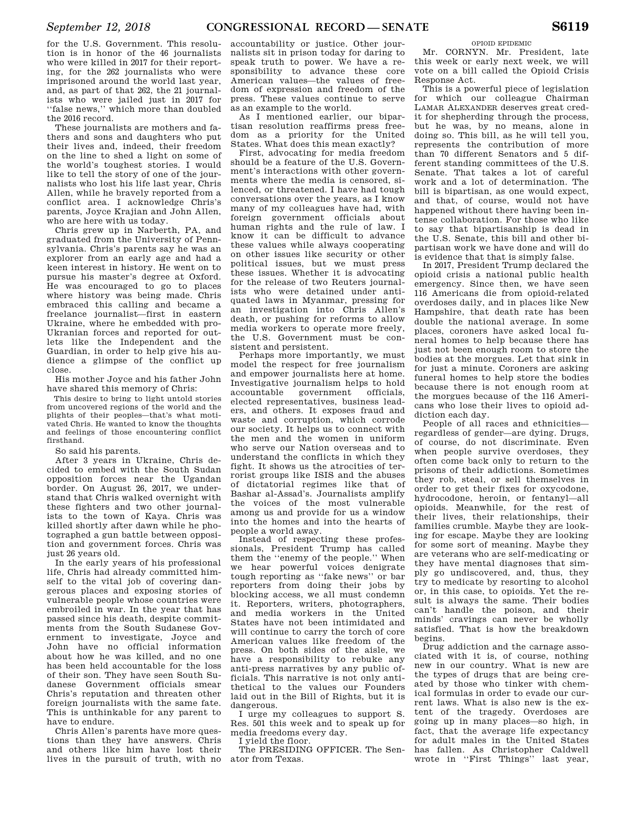for the U.S. Government. This resolution is in honor of the 46 journalists who were killed in 2017 for their reporting, for the 262 journalists who were imprisoned around the world last year, and, as part of that 262, the 21 journalists who were jailed just in 2017 for ''false news,'' which more than doubled the 2016 record.

These journalists are mothers and fathers and sons and daughters who put their lives and, indeed, their freedom on the line to shed a light on some of the world's toughest stories. I would like to tell the story of one of the journalists who lost his life last year, Chris Allen, while he bravely reported from a conflict area. I acknowledge Chris's parents, Joyce Krajian and John Allen, who are here with us today.

Chris grew up in Narberth, PA, and graduated from the University of Pennsylvania. Chris's parents say he was an explorer from an early age and had a keen interest in history. He went on to pursue his master's degree at Oxford. He was encouraged to go to places where history was being made. Chris embraced this calling and became a freelance journalist—first in eastern Ukraine, where he embedded with pro-Ukranian forces and reported for outlets like the Independent and the Guardian, in order to help give his audience a glimpse of the conflict up close.

His mother Joyce and his father John have shared this memory of Chris:

This desire to bring to light untold stories from uncovered regions of the world and the plights of their peoples—that's what motivated Chris. He wanted to know the thoughts and feelings of those encountering conflict firsthand.

So said his parents.

After 3 years in Ukraine, Chris decided to embed with the South Sudan opposition forces near the Ugandan border. On August 26, 2017, we understand that Chris walked overnight with these fighters and two other journalists to the town of Kaya. Chris was killed shortly after dawn while he photographed a gun battle between opposition and government forces. Chris was just 26 years old.

In the early years of his professional life, Chris had already committed himself to the vital job of covering dangerous places and exposing stories of vulnerable people whose countries were embroiled in war. In the year that has passed since his death, despite commitments from the South Sudanese Government to investigate, Joyce and John have no official information about how he was killed, and no one has been held accountable for the loss of their son. They have seen South Sudanese Government officials smear Chris's reputation and threaten other foreign journalists with the same fate. This is unthinkable for any parent to have to endure.

Chris Allen's parents have more questions than they have answers. Chris and others like him have lost their lives in the pursuit of truth, with no

accountability or justice. Other journalists sit in prison today for daring to speak truth to power. We have a responsibility to advance these core American values—the values of freedom of expression and freedom of the press. These values continue to serve as an example to the world.

As I mentioned earlier, our bipartisan resolution reaffirms press freedom as a priority for the United States. What does this mean exactly?

First, advocating for media freedom should be a feature of the U.S. Government's interactions with other governments where the media is censored, silenced, or threatened. I have had tough conversations over the years, as I know many of my colleagues have had, with foreign government officials about human rights and the rule of law. I know it can be difficult to advance these values while always cooperating on other issues like security or other political issues, but we must press these issues. Whether it is advocating for the release of two Reuters journalists who were detained under antiquated laws in Myanmar, pressing for an investigation into Chris Allen's death, or pushing for reforms to allow media workers to operate more freely, the U.S. Government must be consistent and persistent.

Perhaps more importantly, we must model the respect for free journalism and empower journalists here at home. Investigative journalism helps to hold accountable government officials, elected representatives, business leaders, and others. It exposes fraud and waste and corruption, which corrode our society. It helps us to connect with the men and the women in uniform who serve our Nation overseas and to understand the conflicts in which they fight. It shows us the atrocities of terrorist groups like ISIS and the abuses of dictatorial regimes like that of Bashar al-Assad's. Journalists amplify the voices of the most vulnerable among us and provide for us a window into the homes and into the hearts of people a world away.

Instead of respecting these professionals, President Trump has called them the ''enemy of the people.'' When we hear powerful voices denigrate tough reporting as ''fake news'' or bar reporters from doing their jobs by blocking access, we all must condemn it. Reporters, writers, photographers, and media workers in the United States have not been intimidated and will continue to carry the torch of core American values like freedom of the press. On both sides of the aisle, we have a responsibility to rebuke any anti-press narratives by any public officials. This narrative is not only antithetical to the values our Founders laid out in the Bill of Rights, but it is dangerous.

I urge my colleagues to support S. Res. 501 this week and to speak up for media freedoms every day.

I yield the floor.

The PRESIDING OFFICER. The Senator from Texas.

OPIOID EPIDEMIC

Mr. CORNYN. Mr. President, late this week or early next week, we will vote on a bill called the Opioid Crisis Response Act.

This is a powerful piece of legislation for which our colleague Chairman LAMAR ALEXANDER deserves great credit for shepherding through the process, but he was, by no means, alone in doing so. This bill, as he will tell you, represents the contribution of more than 70 different Senators and 5 different standing committees of the U.S. Senate. That takes a lot of careful work and a lot of determination. The bill is bipartisan, as one would expect, and that, of course, would not have happened without there having been intense collaboration. For those who like to say that bipartisanship is dead in the U.S. Senate, this bill and other bipartisan work we have done and will do is evidence that that is simply false.

In 2017, President Trump declared the opioid crisis a national public health emergency. Since then, we have seen 116 Americans die from opioid-related overdoses daily, and in places like New Hampshire, that death rate has been double the national average. In some places, coroners have asked local funeral homes to help because there has just not been enough room to store the bodies at the morgues. Let that sink in for just a minute. Coroners are asking funeral homes to help store the bodies because there is not enough room at the morgues because of the 116 Americans who lose their lives to opioid addiction each day.

People of all races and ethnicities regardless of gender—are dying. Drugs, of course, do not discriminate. Even when people survive overdoses, they often come back only to return to the prisons of their addictions. Sometimes they rob, steal, or sell themselves in order to get their fixes for oxycodone, hydrocodone, heroin, or fentanyl—all opioids. Meanwhile, for the rest of their lives, their relationships, their families crumble. Maybe they are looking for escape. Maybe they are looking for some sort of meaning. Maybe they are veterans who are self-medicating or they have mental diagnoses that simply go undiscovered, and, thus, they try to medicate by resorting to alcohol or, in this case, to opioids. Yet the result is always the same. Their bodies can't handle the poison, and their minds' cravings can never be wholly satisfied. That is how the breakdown begins.

Drug addiction and the carnage associated with it is, of course, nothing new in our country. What is new are the types of drugs that are being created by those who tinker with chemical formulas in order to evade our current laws. What is also new is the extent of the tragedy. Overdoses are going up in many places—so high, in fact, that the average life expectancy for adult males in the United States has fallen. As Christopher Caldwell wrote in ''First Things'' last year,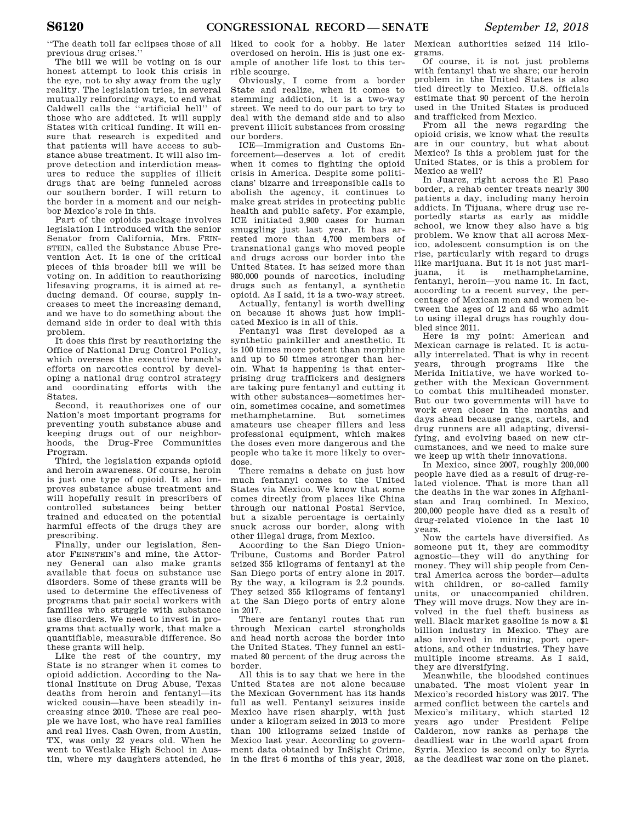''The death toll far eclipses those of all previous drug crises.''

The bill we will be voting on is our honest attempt to look this crisis in the eye, not to shy away from the ugly reality. The legislation tries, in several mutually reinforcing ways, to end what Caldwell calls the ''artificial hell'' of those who are addicted. It will supply States with critical funding. It will ensure that research is expedited and that patients will have access to substance abuse treatment. It will also improve detection and interdiction measures to reduce the supplies of illicit drugs that are being funneled across our southern border. I will return to the border in a moment and our neighbor Mexico's role in this.

Part of the opioids package involves legislation I introduced with the senior Senator from California, Mrs. FEIN-STEIN, called the Substance Abuse Prevention Act. It is one of the critical pieces of this broader bill we will be voting on. In addition to reauthorizing lifesaving programs, it is aimed at reducing demand. Of course, supply increases to meet the increasing demand, and we have to do something about the demand side in order to deal with this problem.

It does this first by reauthorizing the Office of National Drug Control Policy, which oversees the executive branch's efforts on narcotics control by developing a national drug control strategy and coordinating efforts with the States.

Second, it reauthorizes one of our Nation's most important programs for preventing youth substance abuse and keeping drugs out of our neighborhoods, the Drug-Free Communities Program.

Third, the legislation expands opioid and heroin awareness. Of course, heroin is just one type of opioid. It also improves substance abuse treatment and will hopefully result in prescribers of controlled substances being better trained and educated on the potential harmful effects of the drugs they are prescribing.

Finally, under our legislation, Senator FEINSTEIN's and mine, the Attorney General can also make grants available that focus on substance use disorders. Some of these grants will be used to determine the effectiveness of programs that pair social workers with families who struggle with substance use disorders. We need to invest in programs that actually work, that make a quantifiable, measurable difference. So these grants will help.

Like the rest of the country, my State is no stranger when it comes to opioid addiction. According to the National Institute on Drug Abuse, Texas deaths from heroin and fentanyl—its wicked cousin—have been steadily increasing since 2010. These are real people we have lost, who have real families and real lives. Cash Owen, from Austin, TX, was only 22 years old. When he went to Westlake High School in Austin, where my daughters attended, he

liked to cook for a hobby. He later overdosed on heroin. His is just one example of another life lost to this terrible scourge.

Obviously, I come from a border State and realize, when it comes to stemming addiction, it is a two-way street. We need to do our part to try to deal with the demand side and to also prevent illicit substances from crossing our borders.

ICE—Immigration and Customs Enforcement—deserves a lot of credit when it comes to fighting the opioid crisis in America. Despite some politicians' bizarre and irresponsible calls to abolish the agency, it continues to make great strides in protecting public health and public safety. For example, ICE initiated 3,900 cases for human smuggling just last year. It has arrested more than 4,700 members of transnational gangs who moved people and drugs across our border into the United States. It has seized more than 980,000 pounds of narcotics, including drugs such as fentanyl, a synthetic opioid. As I said, it is a two-way street.

Actually, fentanyl is worth dwelling on because it shows just how implicated Mexico is in all of this.

Fentanyl was first developed as a synthetic painkiller and anesthetic. It is 100 times more potent than morphine and up to 50 times stronger than heroin. What is happening is that enterprising drug traffickers and designers are taking pure fentanyl and cutting it with other substances—sometimes heroin, sometimes cocaine, and sometimes methamphetamine. But sometimes amateurs use cheaper fillers and less professional equipment, which makes the doses even more dangerous and the people who take it more likely to overdose.

There remains a debate on just how much fentanyl comes to the United States via Mexico. We know that some comes directly from places like China through our national Postal Service, but a sizable percentage is certainly snuck across our border, along with other illegal drugs, from Mexico.

According to the San Diego Union-Tribune, Customs and Border Patrol seized 355 kilograms of fentanyl at the San Diego ports of entry alone in 2017. By the way, a kilogram is 2.2 pounds. They seized 355 kilograms of fentanyl at the San Diego ports of entry alone in 2017.

There are fentanyl routes that run through Mexican cartel strongholds and head north across the border into the United States. They funnel an estimated 80 percent of the drug across the border.

All this is to say that we here in the United States are not alone because the Mexican Government has its hands full as well. Fentanyl seizures inside Mexico have risen sharply, with just under a kilogram seized in 2013 to more than 100 kilograms seized inside of Mexico last year. According to government data obtained by InSight Crime, in the first 6 months of this year, 2018,

Mexican authorities seized 114 kilograms.

Of course, it is not just problems with fentanyl that we share; our heroin problem in the United States is also tied directly to Mexico. U.S. officials estimate that 90 percent of the heroin used in the United States is produced and trafficked from Mexico.

From all the news regarding the opioid crisis, we know what the results are in our country, but what about Mexico? Is this a problem just for the United States, or is this a problem for Mexico as well?

In Juarez, right across the El Paso border, a rehab center treats nearly 300 patients a day, including many heroin addicts. In Tijuana, where drug use reportedly starts as early as middle school, we know they also have a big problem. We know that all across Mexico, adolescent consumption is on the rise, particularly with regard to drugs like marijuana. But it is not just marijuana, it is methamphetamine, fentanyl, heroin—you name it. In fact, according to a recent survey, the percentage of Mexican men and women between the ages of 12 and 65 who admit to using illegal drugs has roughly doubled since 2011.

Here is my point: American and Mexican carnage is related. It is actually interrelated. That is why in recent years, through programs like the Merida Initiative, we have worked together with the Mexican Government to combat this multiheaded monster. But our two governments will have to work even closer in the months and days ahead because gangs, cartels, and drug runners are all adapting, diversifying, and evolving based on new circumstances, and we need to make sure we keep up with their innovations.

In Mexico, since 2007, roughly 200,000 people have died as a result of drug-related violence. That is more than all the deaths in the war zones in Afghanistan and Iraq combined. In Mexico, 200,000 people have died as a result of drug-related violence in the last 10 years.

Now the cartels have diversified. As someone put it, they are commodity agnostic—they will do anything for money. They will ship people from Central America across the border—adults with children, or so-called family units, or unaccompanied children. They will move drugs. Now they are involved in the fuel theft business as well. Black market gasoline is now a \$1 billion industry in Mexico. They are also involved in mining, port operations, and other industries. They have multiple income streams. As I said, they are diversifying.

Meanwhile, the bloodshed continues unabated. The most violent year in Mexico's recorded history was 2017. The armed conflict between the cartels and Mexico's military, which started 12 years ago under President Felipe Calderon, now ranks as perhaps the deadliest war in the world apart from Syria. Mexico is second only to Syria as the deadliest war zone on the planet.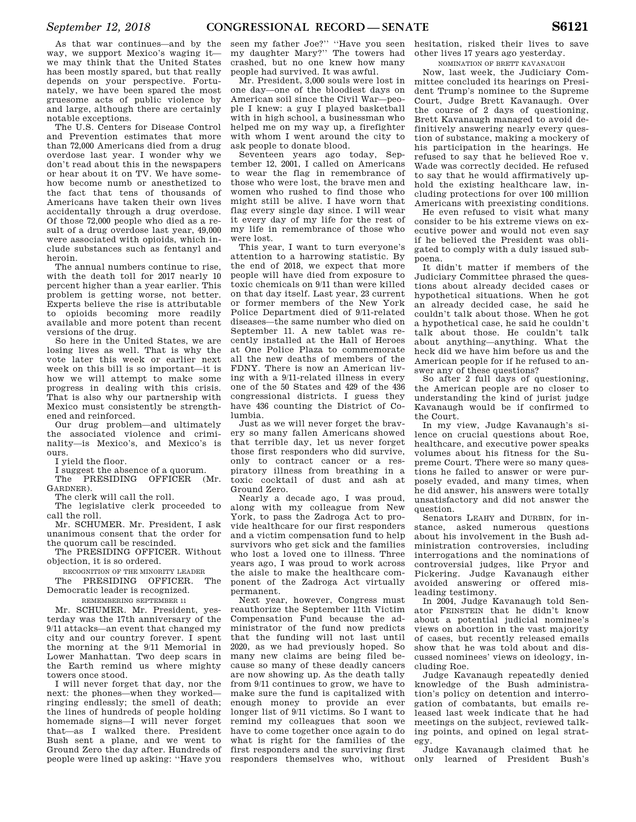As that war continues—and by the way, we support Mexico's waging it we may think that the United States has been mostly spared, but that really depends on your perspective. Fortunately, we have been spared the most

gruesome acts of public violence by and large, although there are certainly notable exceptions. The U.S. Centers for Disease Control and Prevention estimates that more than 72,000 Americans died from a drug overdose last year. I wonder why we don't read about this in the newspapers or hear about it on TV. We have somehow become numb or anesthetized to the fact that tens of thousands of

Americans have taken their own lives accidentally through a drug overdose. Of those 72,000 people who died as a result of a drug overdose last year, 49,000 were associated with opioids, which include substances such as fentanyl and heroin.

The annual numbers continue to rise, with the death toll for 2017 nearly 10 percent higher than a year earlier. This problem is getting worse, not better. Experts believe the rise is attributable to opioids becoming more readily available and more potent than recent versions of the drug.

So here in the United States, we are losing lives as well. That is why the vote later this week or earlier next week on this bill is so important—it is how we will attempt to make some progress in dealing with this crisis. That is also why our partnership with Mexico must consistently be strengthened and reinforced.

Our drug problem—and ultimately the associated violence and criminality—is Mexico's, and Mexico's is ours.

I yield the floor.

I suggest the absence of a quorum. The PRESIDING OFFICER (Mr.

GARDNER).

The clerk will call the roll.

The legislative clerk proceeded to call the roll.

Mr. SCHUMER. Mr. President, I ask unanimous consent that the order for the quorum call be rescinded.

The PRESIDING OFFICER. Without objection, it is so ordered.

RECOGNITION OF THE MINORITY LEADER

The PRESIDING OFFICER. The Democratic leader is recognized.

REMEMBERING SEPTEMBER 11

Mr. SCHUMER. Mr. President, yesterday was the 17th anniversary of the 9/11 attacks—an event that changed my city and our country forever. I spent the morning at the 9/11 Memorial in Lower Manhattan. Two deep scars in the Earth remind us where mighty towers once stood.

I will never forget that day, nor the next: the phones—when they worked ringing endlessly; the smell of death; the lines of hundreds of people holding homemade signs—I will never forget that—as I walked there. President Bush sent a plane, and we went to Ground Zero the day after. Hundreds of people were lined up asking: ''Have you

seen my father Joe?'' ''Have you seen my daughter Mary?'' The towers had crashed, but no one knew how many people had survived. It was awful.

Mr. President, 3,000 souls were lost in one day—one of the bloodiest days on American soil since the Civil War—people I knew: a guy I played basketball with in high school, a businessman who helped me on my way up, a firefighter with whom I went around the city to ask people to donate blood.

Seventeen years ago today, September 12, 2001, I called on Americans to wear the flag in remembrance of those who were lost, the brave men and women who rushed to find those who might still be alive. I have worn that flag every single day since. I will wear it every day of my life for the rest of my life in remembrance of those who were lost.

This year, I want to turn everyone's attention to a harrowing statistic. By the end of 2018, we expect that more people will have died from exposure to toxic chemicals on 9/11 than were killed on that day itself. Last year, 23 current or former members of the New York Police Department died of 9/11-related diseases—the same number who died on September 11. A new tablet was recently installed at the Hall of Heroes at One Police Plaza to commemorate all the new deaths of members of the FDNY. There is now an American living with a 9/11-related illness in every one of the 50 States and 429 of the 436 congressional districts. I guess they have 436 counting the District of Columbia.

Just as we will never forget the bravery so many fallen Americans showed that terrible day, let us never forget those first responders who did survive, only to contract cancer or a respiratory illness from breathing in a toxic cocktail of dust and ash at Ground Zero.

Nearly a decade ago, I was proud, along with my colleague from New York, to pass the Zadroga Act to provide healthcare for our first responders and a victim compensation fund to help survivors who get sick and the families who lost a loved one to illness. Three years ago, I was proud to work across the aisle to make the healthcare component of the Zadroga Act virtually permanent.

Next year, however, Congress must reauthorize the September 11th Victim Compensation Fund because the administrator of the fund now predicts that the funding will not last until 2020, as we had previously hoped. So many new claims are being filed because so many of these deadly cancers are now showing up. As the death tally from 9/11 continues to grow, we have to make sure the fund is capitalized with enough money to provide an ever longer list of 9/11 victims. So I want to remind my colleagues that soon we have to come together once again to do what is right for the families of the first responders and the surviving first responders themselves who, without

hesitation, risked their lives to save other lives 17 years ago yesterday.

NOMINATION OF BRETT KAVANAUGH

Now, last week, the Judiciary Committee concluded its hearings on President Trump's nominee to the Supreme Court, Judge Brett Kavanaugh. Over the course of 2 days of questioning, Brett Kavanaugh managed to avoid definitively answering nearly every question of substance, making a mockery of his participation in the hearings. He refused to say that he believed Roe v. Wade was correctly decided. He refused to say that he would affirmatively uphold the existing healthcare law, including protections for over 100 million Americans with preexisting conditions.

He even refused to visit what many consider to be his extreme views on executive power and would not even say if he believed the President was obligated to comply with a duly issued subpoena.

It didn't matter if members of the Judiciary Committee phrased the questions about already decided cases or hypothetical situations. When he got an already decided case, he said he couldn't talk about those. When he got a hypothetical case, he said he couldn't talk about those. He couldn't talk about anything—anything. What the heck did we have him before us and the American people for if he refused to answer any of these questions?

So after 2 full days of questioning, the American people are no closer to understanding the kind of jurist judge Kavanaugh would be if confirmed to the Court.

In my view, Judge Kavanaugh's silence on crucial questions about Roe, healthcare, and executive power speaks volumes about his fitness for the Supreme Court. There were so many questions he failed to answer or were purposely evaded, and many times, when he did answer, his answers were totally unsatisfactory and did not answer the question.

Senators LEAHY and DURBIN, for instance, asked numerous questions about his involvement in the Bush administration controversies, including interrogations and the nominations of controversial judges, like Pryor and Pickering. Judge Kavanaugh either avoided answering or offered misleading testimony.

In 2004, Judge Kavanaugh told Senator FEINSTEIN that he didn't know about a potential judicial nominee's views on abortion in the vast majority of cases, but recently released emails show that he was told about and discussed nominees' views on ideology, including Roe.

Judge Kavanaugh repeatedly denied knowledge of the Bush administration's policy on detention and interrogation of combatants, but emails released last week indicate that he had meetings on the subject, reviewed talking points, and opined on legal strategy.

Judge Kavanaugh claimed that he only learned of President Bush's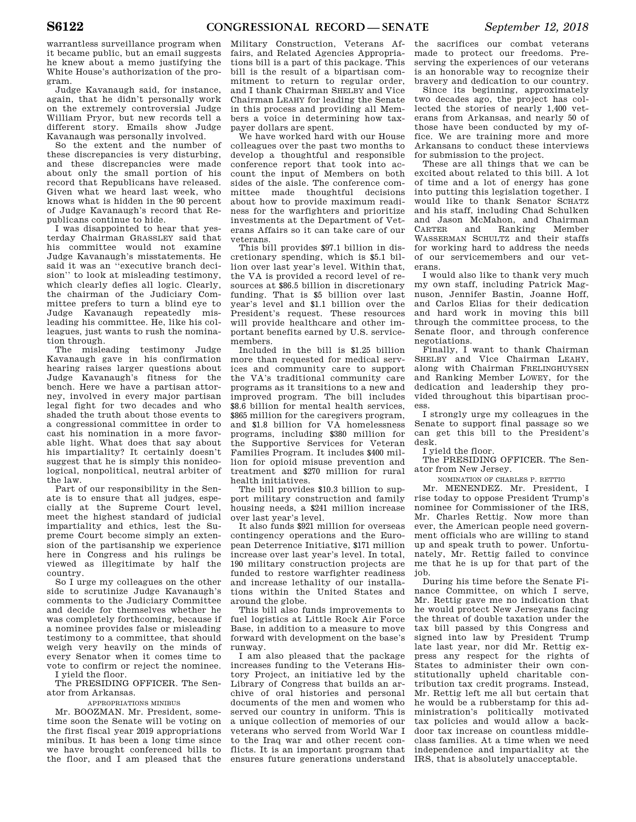warrantless surveillance program when it became public, but an email suggests he knew about a memo justifying the White House's authorization of the program.

Judge Kavanaugh said, for instance, again, that he didn't personally work on the extremely controversial Judge William Pryor, but new records tell a different story. Emails show Judge Kavanaugh was personally involved.

So the extent and the number of these discrepancies is very disturbing, and these discrepancies were made about only the small portion of his record that Republicans have released. Given what we heard last week, who knows what is hidden in the 90 percent of Judge Kavanaugh's record that Republicans continue to hide.

I was disappointed to hear that yesterday Chairman GRASSLEY said that his committee would not examine Judge Kavanaugh's misstatements. He said it was an ''executive branch decision'' to look at misleading testimony, which clearly defies all logic. Clearly, the chairman of the Judiciary Committee prefers to turn a blind eye to Judge Kavanaugh repeatedly misleading his committee. He, like his colleagues, just wants to rush the nomination through.

The misleading testimony Judge Kavanaugh gave in his confirmation hearing raises larger questions about Judge Kavanaugh's fitness for the bench. Here we have a partisan attorney, involved in every major partisan legal fight for two decades and who shaded the truth about those events to a congressional committee in order to cast his nomination in a more favorable light. What does that say about his impartiality? It certainly doesn't suggest that he is simply this nonideological, nonpolitical, neutral arbiter of the law.

Part of our responsibility in the Senate is to ensure that all judges, especially at the Supreme Court level, meet the highest standard of judicial impartiality and ethics, lest the Supreme Court become simply an extension of the partisanship we experience here in Congress and his rulings be viewed as illegitimate by half the country.

So I urge my colleagues on the other side to scrutinize Judge Kavanaugh's comments to the Judiciary Committee and decide for themselves whether he was completely forthcoming, because if a nominee provides false or misleading testimony to a committee, that should weigh very heavily on the minds of every Senator when it comes time to vote to confirm or reject the nominee.

I yield the floor. The PRESIDING OFFICER. The Senator from Arkansas.

#### APPROPRIATIONS MINIBUS

Mr. BOOZMAN. Mr. President, sometime soon the Senate will be voting on the first fiscal year 2019 appropriations minibus. It has been a long time since we have brought conferenced bills to the floor, and I am pleased that the

Military Construction, Veterans Affairs, and Related Agencies Appropriations bill is a part of this package. This bill is the result of a bipartisan commitment to return to regular order, and I thank Chairman SHELBY and Vice Chairman LEAHY for leading the Senate in this process and providing all Members a voice in determining how taxpayer dollars are spent.

We have worked hard with our House colleagues over the past two months to develop a thoughtful and responsible conference report that took into account the input of Members on both sides of the aisle. The conference committee made thoughtful decisions about how to provide maximum readiness for the warfighters and prioritize investments at the Department of Veterans Affairs so it can take care of our veterans.

This bill provides \$97.1 billion in discretionary spending, which is \$5.1 billion over last year's level. Within that, the VA is provided a record level of resources at \$86.5 billion in discretionary funding. That is \$5 billion over last year's level and \$1.1 billion over the President's request. These resources will provide healthcare and other important benefits earned by U.S. servicemembers.

Included in the bill is \$1.25 billion more than requested for medical services and community care to support the VA's traditional community care programs as it transitions to a new and improved program. The bill includes \$8.6 billion for mental health services, \$865 million for the caregivers program, and \$1.8 billion for VA homelessness programs, including \$380 million for the Supportive Services for Veteran Families Program. It includes \$400 million for opioid misuse prevention and treatment and \$270 million for rural health initiatives.

The bill provides \$10.3 billion to support military construction and family housing needs, a \$241 million increase over last year's level.

It also funds \$921 million for overseas contingency operations and the European Deterrence Initiative, \$171 million increase over last year's level. In total, 190 military construction projects are funded to restore warfighter readiness and increase lethality of our installations within the United States and around the globe.

This bill also funds improvements to fuel logistics at Little Rock Air Force Base, in addition to a measure to move forward with development on the base's runway.

I am also pleased that the package increases funding to the Veterans History Project, an initiative led by the Library of Congress that builds an archive of oral histories and personal documents of the men and women who served our country in uniform. This is a unique collection of memories of our veterans who served from World War I to the Iraq war and other recent conflicts. It is an important program that ensures future generations understand

the sacrifices our combat veterans made to protect our freedoms. Preserving the experiences of our veterans is an honorable way to recognize their bravery and dedication to our country.

Since its beginning, approximately two decades ago, the project has collected the stories of nearly 1,400 veterans from Arkansas, and nearly 50 of those have been conducted by my office. We are training more and more Arkansans to conduct these interviews for submission to the project.

These are all things that we can be excited about related to this bill. A lot of time and a lot of energy has gone into putting this legislation together. I would like to thank Senator SCHATZ and his staff, including Chad Schulken and Jason McMahon, and Chairman CARTER and Ranking Member WASSERMAN SCHULTZ and their staffs for working hard to address the needs of our servicemembers and our veterans.

I would also like to thank very much my own staff, including Patrick Magnuson, Jennifer Bastin, Joanne Hoff, and Carlos Elias for their dedication and hard work in moving this bill through the committee process, to the Senate floor, and through conference negotiations.

Finally, I want to thank Chairman SHELBY and Vice Chairman LEAHY, along with Chairman FRELINGHUYSEN and Ranking Member LOWEY, for the dedication and leadership they provided throughout this bipartisan process.

I strongly urge my colleagues in the Senate to support final passage so we can get this bill to the President's desk.

I yield the floor.

The PRESIDING OFFICER. The Senator from New Jersey.

NOMINATION OF CHARLES P. RETTIG

Mr. MENENDEZ. Mr. President, I rise today to oppose President Trump's nominee for Commissioner of the IRS, Mr. Charles Rettig. Now more than ever, the American people need government officials who are willing to stand up and speak truth to power. Unfortunately, Mr. Rettig failed to convince me that he is up for that part of the job.

During his time before the Senate Finance Committee, on which I serve, Mr. Rettig gave me no indication that he would protect New Jerseyans facing the threat of double taxation under the tax bill passed by this Congress and signed into law by President Trump late last year, nor did Mr. Rettig express any respect for the rights of States to administer their own constitutionally upheld charitable contribution tax credit programs. Instead, Mr. Rettig left me all but certain that he would be a rubberstamp for this administration's politically motivated tax policies and would allow a backdoor tax increase on countless middleclass families. At a time when we need independence and impartiality at the IRS, that is absolutely unacceptable.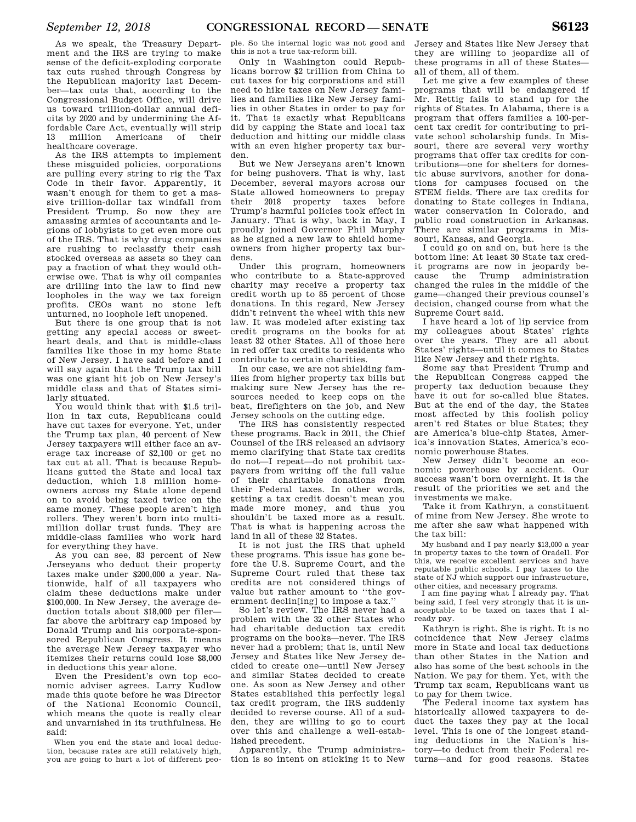As we speak, the Treasury Department and the IRS are trying to make sense of the deficit-exploding corporate tax cuts rushed through Congress by the Republican majority last December—tax cuts that, according to the Congressional Budget Office, will drive us toward trillion-dollar annual deficits by 2020 and by undermining the Affordable Care Act, eventually will strip 13 million Americans of their healthcare coverage.

As the IRS attempts to implement these misguided policies, corporations are pulling every string to rig the Tax Code in their favor. Apparently, it wasn't enough for them to get a massive trillion-dollar tax windfall from President Trump. So now they are amassing armies of accountants and legions of lobbyists to get even more out of the IRS. That is why drug companies are rushing to reclassify their cash stocked overseas as assets so they can pay a fraction of what they would otherwise owe. That is why oil companies are drilling into the law to find new loopholes in the way we tax foreign profits. CEOs want no stone left unturned, no loophole left unopened.

But there is one group that is not getting any special access or sweetheart deals, and that is middle-class families like those in my home State of New Jersey. I have said before and I will say again that the Trump tax bill was one giant hit job on New Jersey's middle class and that of States similarly situated.

You would think that with \$1.5 trillion in tax cuts, Republicans could have cut taxes for everyone. Yet, under the Trump tax plan, 40 percent of New Jersey taxpayers will either face an average tax increase of \$2,100 or get no tax cut at all. That is because Republicans gutted the State and local tax deduction, which 1.8 million homeowners across my State alone depend on to avoid being taxed twice on the same money. These people aren't high rollers. They weren't born into multimillion dollar trust funds. They are middle-class families who work hard for everything they have.

As you can see, 83 percent of New Jerseyans who deduct their property taxes make under \$200,000 a year. Nationwide, half of all taxpayers who claim these deductions make under \$100,000. In New Jersey, the average deduction totals about \$18,000 per filer far above the arbitrary cap imposed by Donald Trump and his corporate-sponsored Republican Congress. It means the average New Jersey taxpayer who itemizes their returns could lose \$8,000 in deductions this year alone.

Even the President's own top economic adviser agrees. Larry Kudlow made this quote before he was Director of the National Economic Council, which means the quote is really clear and unvarnished in its truthfulness. He said:

When you end the state and local deduction, because rates are still relatively high, you are going to hurt a lot of different peo-

ple. So the internal logic was not good and this is not a true tax-reform bill.

Only in Washington could Republicans borrow \$2 trillion from China to cut taxes for big corporations and still need to hike taxes on New Jersey families and families like New Jersey families in other States in order to pay for it. That is exactly what Republicans did by capping the State and local tax deduction and hitting our middle class with an even higher property tax burden.

But we New Jerseyans aren't known for being pushovers. That is why, last December, several mayors across our State allowed homeowners to prepay their 2018 property taxes before Trump's harmful policies took effect in January. That is why, back in May, I proudly joined Governor Phil Murphy as he signed a new law to shield homeowners from higher property tax burdens.

Under this program, homeowners who contribute to a State-approved charity may receive a property tax credit worth up to 85 percent of those donations. In this regard, New Jersey didn't reinvent the wheel with this new law. It was modeled after existing tax credit programs on the books for at least 32 other States. All of those here in red offer tax credits to residents who contribute to certain charities.

In our case, we are not shielding families from higher property tax bills but making sure New Jersey has the resources needed to keep cops on the beat, firefighters on the job, and New Jersey schools on the cutting edge.

The IRS has consistently respected these programs. Back in 2011, the Chief Counsel of the IRS released an advisory memo clarifying that State tax credits do not—I repeat—do not prohibit taxpayers from writing off the full value of their charitable donations from their Federal taxes. In other words, getting a tax credit doesn't mean you made more money, and thus you shouldn't be taxed more as a result. That is what is happening across the land in all of these 32 States.

It is not just the IRS that upheld these programs. This issue has gone before the U.S. Supreme Court, and the Supreme Court ruled that these tax credits are not considered things of value but rather amount to ''the government declin[ing] to impose a tax.''

So let's review. The IRS never had a problem with the 32 other States who had charitable deduction tax credit programs on the books—never. The IRS never had a problem; that is, until New Jersey and States like New Jersey decided to create one—until New Jersey and similar States decided to create one. As soon as New Jersey and other States established this perfectly legal tax credit program, the IRS suddenly decided to reverse course. All of a sudden, they are willing to go to court over this and challenge a well-established precedent.

Apparently, the Trump administration is so intent on sticking it to New Jersey and States like New Jersey that they are willing to jeopardize all of these programs in all of these States all of them, all of them.

Let me give a few examples of these programs that will be endangered if Mr. Rettig fails to stand up for the rights of States. In Alabama, there is a program that offers families a 100-percent tax credit for contributing to private school scholarship funds. In Missouri, there are several very worthy programs that offer tax credits for contributions—one for shelters for domestic abuse survivors, another for donations for campuses focused on the STEM fields. There are tax credits for donating to State colleges in Indiana, water conservation in Colorado, and public road construction in Arkansas. There are similar programs in Missouri, Kansas, and Georgia.

I could go on and on, but here is the bottom line: At least 30 State tax credit programs are now in jeopardy because the Trump administration changed the rules in the middle of the game—changed their previous counsel's decision, changed course from what the Supreme Court said.

I have heard a lot of lip service from my colleagues about States' rights over the years. They are all about States' rights—until it comes to States like New Jersey and their rights.

Some say that President Trump and the Republican Congress capped the property tax deduction because they have it out for so-called blue States. But at the end of the day, the States most affected by this foolish policy aren't red States or blue States; they are America's blue-chip States, America's innovation States, America's economic powerhouse States.

New Jersey didn't become an economic powerhouse by accident. Our success wasn't born overnight. It is the result of the priorities we set and the investments we make.

Take it from Kathryn, a constituent of mine from New Jersey. She wrote to me after she saw what happened with the tax bill:

My husband and I pay nearly \$13,000 a year in property taxes to the town of Oradell. For this, we receive excellent services and have reputable public schools. I pay taxes to the state of NJ which support our infrastructure, other cities, and necessary programs.

I am fine paying what I already pay. That being said, I feel very strongly that it is unacceptable to be taxed on taxes that I already pay.

Kathryn is right. She is right. It is no coincidence that New Jersey claims more in State and local tax deductions than other States in the Nation and also has some of the best schools in the Nation. We pay for them. Yet, with the Trump tax scam, Republicans want us to pay for them twice.

The Federal income tax system has historically allowed taxpayers to deduct the taxes they pay at the local level. This is one of the longest standing deductions in the Nation's history—to deduct from their Federal returns—and for good reasons. States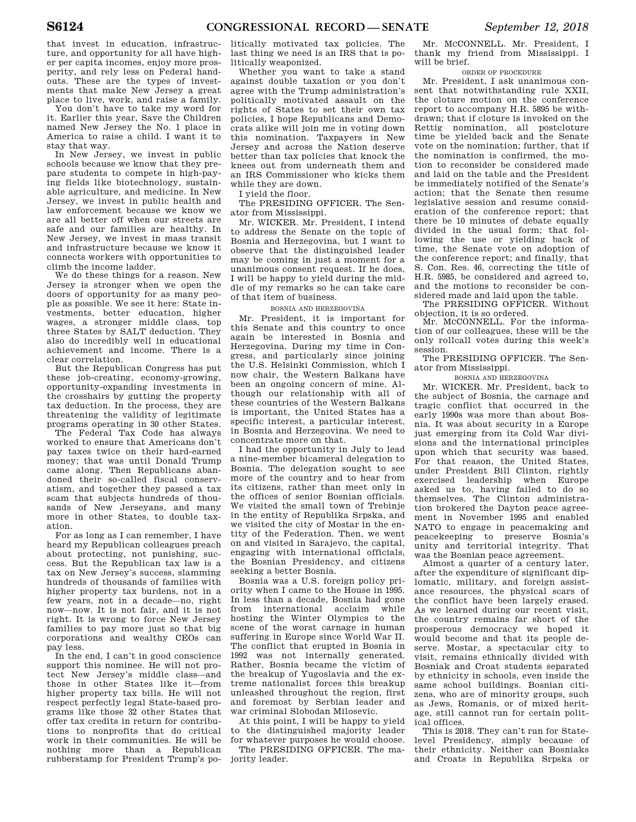that invest in education, infrastructure, and opportunity for all have higher per capita incomes, enjoy more prosperity, and rely less on Federal handouts. These are the types of investments that make New Jersey a great place to live, work, and raise a family.

You don't have to take my word for it. Earlier this year, Save the Children named New Jersey the No. 1 place in America to raise a child. I want it to stay that way.

In New Jersey, we invest in public schools because we know that they prepare students to compete in high-paying fields like biotechnology, sustainable agriculture, and medicine. In New Jersey, we invest in public health and law enforcement because we know we are all better off when our streets are safe and our families are healthy. In New Jersey, we invest in mass transit and infrastructure because we know it connects workers with opportunities to climb the income ladder.

We do these things for a reason. New Jersey is stronger when we open the doors of opportunity for as many people as possible. We see it here: State investments, better education, higher wages, a stronger middle class, top three States by SALT deduction. They also do incredibly well in educational achievement and income. There is a clear correlation.

But the Republican Congress has put these job-creating, economy-growing, opportunity-expanding investments in the crosshairs by gutting the property tax deduction. In the process, they are threatening the validity of legitimate programs operating in 30 other States.

The Federal Tax Code has always worked to ensure that Americans don't pay taxes twice on their hard-earned money; that was until Donald Trump came along. Then Republicans abandoned their so-called fiscal conservatism, and together they passed a tax scam that subjects hundreds of thousands of New Jerseyans, and many more in other States, to double taxation.

For as long as I can remember, I have heard my Republican colleagues preach about protecting, not punishing, success. But the Republican tax law is a tax on New Jersey's success, slamming hundreds of thousands of families with higher property tax burdens, not in a few years, not in a decade—no, right now—now. It is not fair, and it is not right. It is wrong to force New Jersey families to pay more just so that big corporations and wealthy CEOs can pay less.

In the end, I can't in good conscience support this nominee. He will not protect New Jersey's middle class—and those in other States like it—from higher property tax bills. He will not respect perfectly legal State-based programs like those 32 other States that offer tax credits in return for contributions to nonprofits that do critical work in their communities. He will be nothing more than a Republican rubberstamp for President Trump's po-

litically motivated tax policies. The last thing we need is an IRS that is politically weaponized.

Whether you want to take a stand against double taxation or you don't agree with the Trump administration's politically motivated assault on the rights of States to set their own tax policies, I hope Republicans and Democrats alike will join me in voting down this nomination. Taxpayers in New Jersey and across the Nation deserve better than tax policies that knock the knees out from underneath them and an IRS Commissioner who kicks them while they are down.

I yield the floor.

The PRESIDING OFFICER. The Senator from Mississippi.

Mr. WICKER. Mr. President, I intend to address the Senate on the topic of Bosnia and Herzegovina, but I want to observe that the distinguished leader may be coming in just a moment for a unanimous consent request. If he does, I will be happy to yield during the middle of my remarks so he can take care of that item of business.

#### BOSNIA AND HERZEGOVINA

Mr. President, it is important for this Senate and this country to once again be interested in Bosnia and Herzegovina. During my time in Congress, and particularly since joining the U.S. Helsinki Commission, which I now chair, the Western Balkans have been an ongoing concern of mine. Although our relationship with all of these countries of the Western Balkans is important, the United States has a specific interest, a particular interest, in Bosnia and Herzegovina. We need to concentrate more on that.

I had the opportunity in July to lead a nine-member bicameral delegation to Bosnia. The delegation sought to see more of the country and to hear from its citizens, rather than meet only in the offices of senior Bosnian officials. We visited the small town of Trebinie in the entity of Republika Srpska, and we visited the city of Mostar in the entity of the Federation. Then, we went on and visited in Sarajevo, the capital, engaging with international officials, the Bosnian Presidency, and citizens seeking a better Bosnia.

Bosnia was a U.S. foreign policy priority when I came to the House in 1995. In less than a decade, Bosnia had gone from international acclaim while hosting the Winter Olympics to the scene of the worst carnage in human suffering in Europe since World War II. The conflict that erupted in Bosnia in 1992 was not internally generated. Rather, Bosnia became the victim of the breakup of Yugoslavia and the extreme nationalist forces this breakup unleashed throughout the region, first and foremost by Serbian leader and war criminal Slobodan Milosevic.

At this point, I will be happy to yield to the distinguished majority leader for whatever purposes he would choose.

The PRESIDING OFFICER. The majority leader.

Mr. MCCONNELL. Mr. President, I thank my friend from Mississippi. I will be brief.

#### ORDER OF PROCEDURE

Mr. President, I ask unanimous consent that notwithstanding rule XXII, the cloture motion on the conference report to accompany H.R. 5895 be withdrawn; that if cloture is invoked on the Rettig nomination, all postcloture time be yielded back and the Senate vote on the nomination; further, that if the nomination is confirmed, the motion to reconsider be considered made and laid on the table and the President be immediately notified of the Senate's action; that the Senate then resume legislative session and resume consideration of the conference report; that there be 10 minutes of debate equally divided in the usual form; that following the use or yielding back of time, the Senate vote on adoption of the conference report; and finally, that S. Con. Res. 46, correcting the title of H.R. 5985, be considered and agreed to, and the motions to reconsider be considered made and laid upon the table.

The PRESIDING OFFICER. Without objection, it is so ordered.

Mr. MCCONNELL. For the information of our colleagues, these will be the only rollcall votes during this week's session.

The PRESIDING OFFICER. The Senator from Mississippi.

#### BOSNIA AND HERZEGOVINA

Mr. WICKER. Mr. President, back to the subject of Bosnia, the carnage and tragic conflict that occurred in the early 1990s was more than about Bosnia. It was about security in a Europe just emerging from its Cold War divisions and the international principles upon which that security was based. For that reason, the United States, under President Bill Clinton, rightly exercised leadership when Europe asked us to, having failed to do so themselves. The Clinton administration brokered the Dayton peace agreement in November 1995 and enabled NATO to engage in peacemaking and peacekeeping to preserve Bosnia's unity and territorial integrity. That was the Bosnian peace agreement.

Almost a quarter of a century later, after the expenditure of significant diplomatic, military, and foreign assistance resources, the physical scars of the conflict have been largely erased. As we learned during our recent visit, the country remains far short of the prosperous democracy we hoped it would become and that its people deserve. Mostar, a spectacular city to visit, remains ethnically divided with Bosniak and Croat students separated by ethnicity in schools, even inside the same school buildings. Bosnian citizens, who are of minority groups, such as Jews, Romanis, or of mixed heritage, still cannot run for certain political offices.

This is 2018. They can't run for Statelevel Presidency, simply because of their ethnicity. Neither can Bosniaks and Croats in Republika Srpska or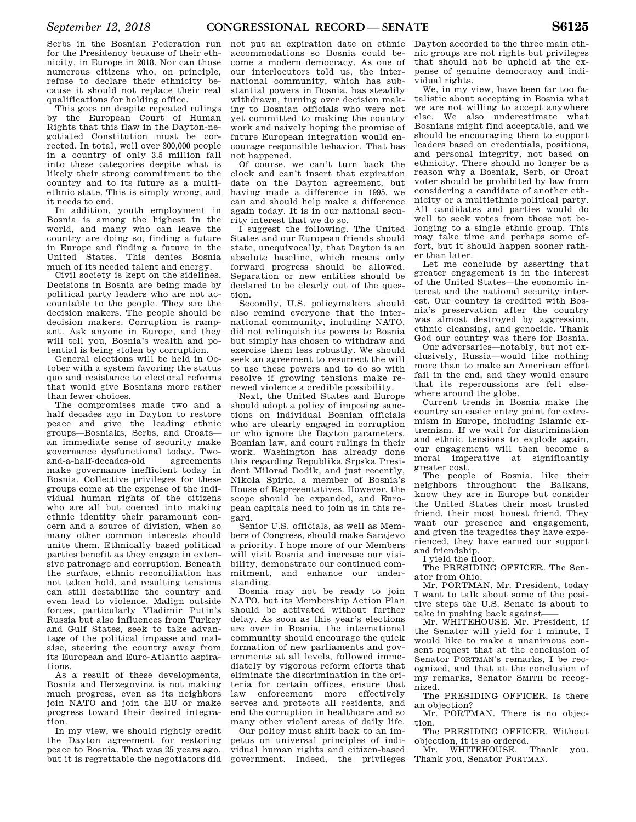Serbs in the Bosnian Federation run for the Presidency because of their ethnicity, in Europe in 2018. Nor can those numerous citizens who, on principle, refuse to declare their ethnicity because it should not replace their real qualifications for holding office.

This goes on despite repeated rulings by the European Court of Human Rights that this flaw in the Dayton-negotiated Constitution must be corrected. In total, well over 300,000 people in a country of only 3.5 million fall into these categories despite what is likely their strong commitment to the country and to its future as a multiethnic state. This is simply wrong, and it needs to end.

In addition, youth employment in Bosnia is among the highest in the world, and many who can leave the country are doing so, finding a future in Europe and finding a future in the United States. This denies Bosnia much of its needed talent and energy.

Civil society is kept on the sidelines. Decisions in Bosnia are being made by political party leaders who are not accountable to the people. They are the decision makers. The people should be decision makers. Corruption is rampant. Ask anyone in Europe, and they will tell you, Bosnia's wealth and potential is being stolen by corruption.

General elections will be held in October with a system favoring the status quo and resistance to electoral reforms that would give Bosnians more rather than fewer choices.

The compromises made two and a half decades ago in Dayton to restore peace and give the leading ethnic groups—Bosniaks, Serbs, and Croats an immediate sense of security make governance dysfunctional today. Twoand-a-half-decades-old agreements make governance inefficient today in Bosnia. Collective privileges for these groups come at the expense of the individual human rights of the citizens who are all but coerced into making ethnic identity their paramount concern and a source of division, when so many other common interests should unite them. Ethnically based political parties benefit as they engage in extensive patronage and corruption. Beneath the surface, ethnic reconciliation has not taken hold, and resulting tensions can still destabilize the country and even lead to violence. Malign outside forces, particularly Vladimir Putin's Russia but also influences from Turkey and Gulf States, seek to take advantage of the political impasse and malaise, steering the country away from its European and Euro-Atlantic aspirations.

As a result of these developments, Bosnia and Herzegovina is not making much progress, even as its neighbors join NATO and join the EU or make progress toward their desired integration.

In my view, we should rightly credit the Dayton agreement for restoring peace to Bosnia. That was 25 years ago, but it is regrettable the negotiators did

not put an expiration date on ethnic accommodations so Bosnia could become a modern democracy. As one of our interlocutors told us, the international community, which has substantial powers in Bosnia, has steadily withdrawn, turning over decision making to Bosnian officials who were not yet committed to making the country work and naively hoping the promise of future European integration would encourage responsible behavior. That has not happened.

Of course, we can't turn back the clock and can't insert that expiration date on the Dayton agreement, but having made a difference in 1995, we can and should help make a difference again today. It is in our national security interest that we do so.

I suggest the following. The United States and our European friends should state, unequivocally, that Dayton is an absolute baseline, which means only forward progress should be allowed. Separation or new entities should be declared to be clearly out of the question.

Secondly, U.S. policymakers should also remind everyone that the international community, including NATO, did not relinquish its powers to Bosnia but simply has chosen to withdraw and exercise them less robustly. We should seek an agreement to resurrect the will to use these powers and to do so with resolve if growing tensions make renewed violence a credible possibility.

Next, the United States and Europe should adopt a policy of imposing sanctions on individual Bosnian officials who are clearly engaged in corruption or who ignore the Dayton parameters, Bosnian law, and court rulings in their work. Washington has already done this regarding Republika Srpska President Milorad Dodik, and just recently, Nikola Spiric, a member of Bosnia's House of Representatives. However, the scope should be expanded, and European capitals need to join us in this regard.

Senior U.S. officials, as well as Members of Congress, should make Sarajevo a priority. I hope more of our Members will visit Bosnia and increase our visibility, demonstrate our continued commitment, and enhance our understanding.

Bosnia may not be ready to join NATO, but its Membership Action Plan should be activated without further delay. As soon as this year's elections are over in Bosnia, the international community should encourage the quick formation of new parliaments and governments at all levels, followed immediately by vigorous reform efforts that eliminate the discrimination in the criteria for certain offices, ensure that law enforcement more effectively serves and protects all residents, and end the corruption in healthcare and so many other violent areas of daily life.

Our policy must shift back to an impetus on universal principles of individual human rights and citizen-based government. Indeed, the privileges

Dayton accorded to the three main ethnic groups are not rights but privileges that should not be upheld at the expense of genuine democracy and individual rights.

We, in my view, have been far too fatalistic about accepting in Bosnia what we are not willing to accept anywhere else. We also underestimate what Bosnians might find acceptable, and we should be encouraging them to support leaders based on credentials, positions, and personal integrity, not based on ethnicity. There should no longer be a reason why a Bosniak, Serb, or Croat voter should be prohibited by law from considering a candidate of another ethnicity or a multiethnic political party. All candidates and parties would do well to seek votes from those not belonging to a single ethnic group. This may take time and perhaps some effort, but it should happen sooner rather than later.

Let me conclude by asserting that greater engagement is in the interest of the United States—the economic interest and the national security interest. Our country is credited with Bosnia's preservation after the country was almost destroyed by aggression, ethnic cleansing, and genocide. Thank God our country was there for Bosnia.

Our adversaries—notably, but not exclusively, Russia—would like nothing more than to make an American effort fail in the end, and they would ensure that its repercussions are felt elsewhere around the globe.

Current trends in Bosnia make the country an easier entry point for extremism in Europe, including Islamic extremism. If we wait for discrimination and ethnic tensions to explode again, our engagement will then become a moral imperative at significantly greater cost.

The people of Bosnia, like their neighbors throughout the Balkans, know they are in Europe but consider the United States their most trusted friend, their most honest friend. They want our presence and engagement, and given the tragedies they have experienced, they have earned our support and friendship.

I yield the floor.

The PRESIDING OFFICER. The Senator from Ohio.

Mr. PORTMAN. Mr. President, today I want to talk about some of the positive steps the U.S. Senate is about to take in pushing back against-

Mr. WHITEHOUSE. Mr. President, if the Senator will yield for 1 minute, I would like to make a unanimous consent request that at the conclusion of Senator PORTMAN's remarks, I be recognized, and that at the conclusion of my remarks, Senator SMITH be recognized.

The PRESIDING OFFICER. Is there an objection?

Mr. PORTMAN. There is no objection.

The PRESIDING OFFICER. Without objection, it is so ordered.

Mr. WHITEHOUSE. Thank you. Thank you, Senator PORTMAN.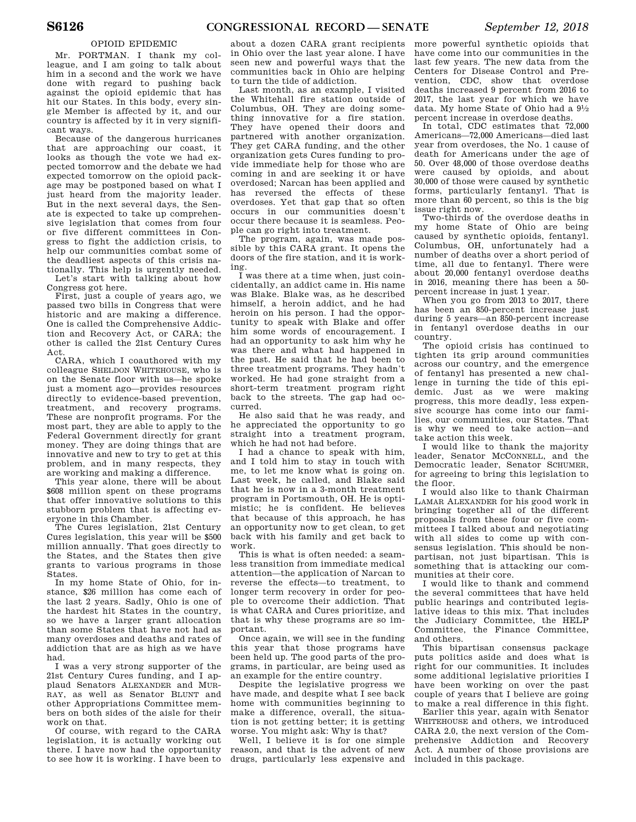#### OPIOID EPIDEMIC

Mr. PORTMAN. I thank my colleague, and I am going to talk about him in a second and the work we have done with regard to pushing back against the opioid epidemic that has hit our States. In this body, every single Member is affected by it, and our country is affected by it in very significant ways.

Because of the dangerous hurricanes that are approaching our coast, it looks as though the vote we had expected tomorrow and the debate we had expected tomorrow on the opioid package may be postponed based on what I just heard from the majority leader. But in the next several days, the Senate is expected to take up comprehensive legislation that comes from four or five different committees in Congress to fight the addiction crisis, to help our communities combat some of the deadliest aspects of this crisis nationally. This help is urgently needed. Let's start with talking about how

Congress got here.

First, just a couple of years ago, we passed two bills in Congress that were historic and are making a difference. One is called the Comprehensive Addiction and Recovery Act, or CARA; the other is called the 21st Century Cures Act.

CARA, which I coauthored with my colleague SHELDON WHITEHOUSE, who is on the Senate floor with us—he spoke just a moment ago—provides resources directly to evidence-based prevention, treatment, and recovery programs. These are nonprofit programs. For the most part, they are able to apply to the Federal Government directly for grant money. They are doing things that are innovative and new to try to get at this problem, and in many respects, they are working and making a difference.

This year alone, there will be about \$608 million spent on these programs that offer innovative solutions to this stubborn problem that is affecting everyone in this Chamber.

The Cures legislation, 21st Century Cures legislation, this year will be \$500 million annually. That goes directly to the States, and the States then give grants to various programs in those States.

In my home State of Ohio, for instance, \$26 million has come each of the last 2 years. Sadly, Ohio is one of the hardest hit States in the country, so we have a larger grant allocation than some States that have not had as many overdoses and deaths and rates of addiction that are as high as we have had.

I was a very strong supporter of the 21st Century Cures funding, and I applaud Senators ALEXANDER and MUR-RAY, as well as Senator BLUNT and other Appropriations Committee members on both sides of the aisle for their work on that.

Of course, with regard to the CARA legislation, it is actually working out there. I have now had the opportunity to see how it is working. I have been to

about a dozen CARA grant recipients in Ohio over the last year alone. I have seen new and powerful ways that the communities back in Ohio are helping to turn the tide of addiction.

Last month, as an example, I visited the Whitehall fire station outside of Columbus, OH. They are doing something innovative for a fire station. They have opened their doors and partnered with another organization. They get CARA funding, and the other organization gets Cures funding to provide immediate help for those who are coming in and are seeking it or have overdosed; Narcan has been applied and has reversed the effects of these overdoses. Yet that gap that so often occurs in our communities doesn't occur there because it is seamless. People can go right into treatment.

The program, again, was made possible by this CARA grant. It opens the doors of the fire station, and it is working.

I was there at a time when, just coincidentally, an addict came in. His name was Blake. Blake was, as he described himself, a heroin addict, and he had heroin on his person. I had the opportunity to speak with Blake and offer him some words of encouragement. I had an opportunity to ask him why he was there and what had happened in the past. He said that he had been to three treatment programs. They hadn't worked. He had gone straight from a short-term treatment program right back to the streets. The gap had occurred.

He also said that he was ready, and he appreciated the opportunity to go straight into a treatment program, which he had not had before.

I had a chance to speak with him, and I told him to stay in touch with me, to let me know what is going on. Last week, he called, and Blake said that he is now in a 3-month treatment program in Portsmouth, OH. He is optimistic; he is confident. He believes that because of this approach, he has an opportunity now to get clean, to get back with his family and get back to work.

This is what is often needed: a seamless transition from immediate medical attention—the application of Narcan to reverse the effects—to treatment, to longer term recovery in order for people to overcome their addiction. That is what CARA and Cures prioritize, and that is why these programs are so important.

Once again, we will see in the funding this year that those programs have been held up. The good parts of the programs, in particular, are being used as an example for the entire country.

Despite the legislative progress we have made, and despite what I see back home with communities beginning to make a difference, overall, the situation is not getting better; it is getting worse. You might ask: Why is that?

Well, I believe it is for one simple reason, and that is the advent of new drugs, particularly less expensive and

more powerful synthetic opioids that have come into our communities in the last few years. The new data from the Centers for Disease Control and Prevention, CDC, show that overdose deaths increased 9 percent from 2016 to 2017, the last year for which we have data. My home State of Ohio had a 91⁄2 percent increase in overdose deaths.

In total, CDC estimates that 72,000 Americans—72,000 Americans—died last year from overdoses, the No. 1 cause of death for Americans under the age of 50. Over 48,000 of those overdose deaths were caused by opioids, and about 30,000 of those were caused by synthetic forms, particularly fentanyl. That is more than 60 percent, so this is the big issue right now.

Two-thirds of the overdose deaths in my home State of Ohio are being caused by synthetic opioids, fentanyl. Columbus, OH, unfortunately had a number of deaths over a short period of time, all due to fentanyl. There were about 20,000 fentanyl overdose deaths in 2016, meaning there has been a 50 percent increase in just 1 year.

When you go from 2013 to 2017, there has been an 850-percent increase just during 5 years—an 850-percent increase in fentanyl overdose deaths in our country.

The opioid crisis has continued to tighten its grip around communities across our country, and the emergence of fentanyl has presented a new challenge in turning the tide of this epidemic. Just as we were making progress, this more deadly, less expensive scourge has come into our families, our communities, our States. That is why we need to take action—and take action this week.

I would like to thank the majority leader, Senator MCCONNELL, and the Democratic leader, Senator SCHUMER, for agreeing to bring this legislation to the floor.

I would also like to thank Chairman LAMAR ALEXANDER for his good work in bringing together all of the different proposals from these four or five committees I talked about and negotiating with all sides to come up with consensus legislation. This should be nonpartisan, not just bipartisan. This is something that is attacking our communities at their core.

I would like to thank and commend the several committees that have held public hearings and contributed legislative ideas to this mix. That includes the Judiciary Committee, the HELP Committee, the Finance Committee, and others.

This bipartisan consensus package puts politics aside and does what is right for our communities. It includes some additional legislative priorities I have been working on over the past couple of years that I believe are going to make a real difference in this fight.

Earlier this year, again with Senator WHITEHOUSE and others, we introduced CARA 2.0, the next version of the Comprehensive Addiction and Recovery Act. A number of those provisions are included in this package.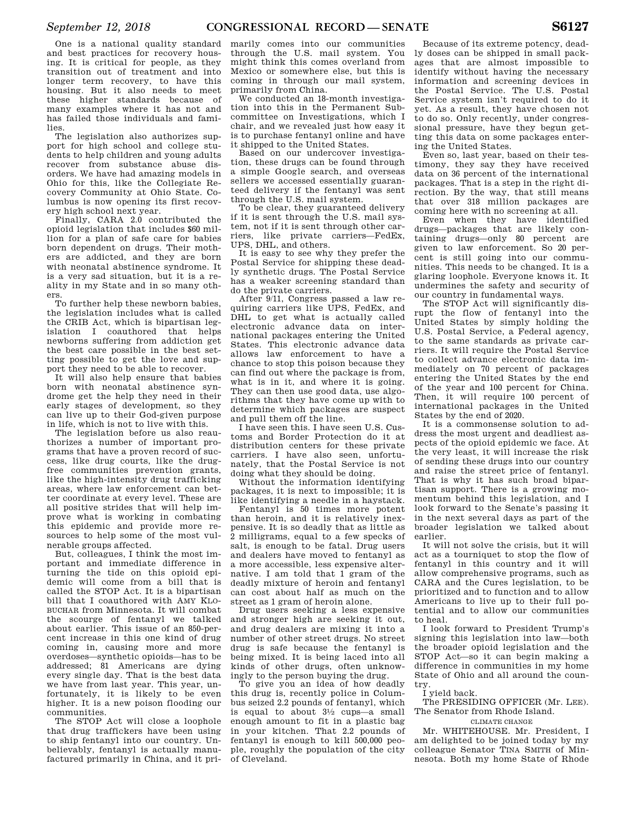The legislation also authorizes support for high school and college students to help children and young adults recover from substance abuse disorders. We have had amazing models in Ohio for this, like the Collegiate Recovery Community at Ohio State. Columbus is now opening its first recovery high school next year.

Finally, CARA 2.0 contributed the opioid legislation that includes \$60 million for a plan of safe care for babies born dependent on drugs. Their mothers are addicted, and they are born with neonatal abstinence syndrome. It is a very sad situation, but it is a reality in my State and in so many others.

To further help these newborn babies, the legislation includes what is called the CRIB Act, which is bipartisan legislation I coauthored that helps newborns suffering from addiction get the best care possible in the best setting possible to get the love and support they need to be able to recover.

It will also help ensure that babies born with neonatal abstinence syndrome get the help they need in their early stages of development, so they can live up to their God-given purpose in life, which is not to live with this.

The legislation before us also reauthorizes a number of important programs that have a proven record of success, like drug courts, like the drugfree communities prevention grants, like the high-intensity drug trafficking areas, where law enforcement can better coordinate at every level. These are all positive strides that will help improve what is working in combating this epidemic and provide more resources to help some of the most vulnerable groups affected.

But, colleagues, I think the most important and immediate difference in turning the tide on this opioid epidemic will come from a bill that is called the STOP Act. It is a bipartisan bill that I coauthored with AMY KLO-BUCHAR from Minnesota. It will combat the scourge of fentanyl we talked about earlier. This issue of an 850-percent increase in this one kind of drug coming in, causing more and more overdoses—synthetic opioids—has to be addressed; 81 Americans are dying every single day. That is the best data we have from last year. This year, unfortunately, it is likely to be even higher. It is a new poison flooding our communities.

The STOP Act will close a loophole that drug traffickers have been using to ship fentanyl into our country. Unbelievably, fentanyl is actually manufactured primarily in China, and it primarily comes into our communities through the U.S. mail system. You might think this comes overland from Mexico or somewhere else, but this is coming in through our mail system, primarily from China.

We conducted an 18-month investigation into this in the Permanent Subcommittee on Investigations, which I chair, and we revealed just how easy it is to purchase fentanyl online and have it shipped to the United States.

Based on our undercover investigation, these drugs can be found through a simple Google search, and overseas sellers we accessed essentially guaranteed delivery if the fentanyl was sent through the U.S. mail system.

To be clear, they guaranteed delivery if it is sent through the U.S. mail system, not if it is sent through other carriers, like private carriers—FedEx, UPS, DHL, and others.

It is easy to see why they prefer the Postal Service for shipping these deadly synthetic drugs. The Postal Service has a weaker screening standard than do the private carriers.

After 9/11, Congress passed a law requiring carriers like UPS, FedEx, and DHL to get what is actually called electronic advance data on international packages entering the United States. This electronic advance data allows law enforcement to have a chance to stop this poison because they can find out where the package is from, what is in it, and where it is going. They can then use good data, use algorithms that they have come up with to determine which packages are suspect and pull them off the line.

I have seen this. I have seen U.S. Customs and Border Protection do it at distribution centers for these private carriers. I have also seen, unfortunately, that the Postal Service is not doing what they should be doing.

Without the information identifying packages, it is next to impossible; it is like identifying a needle in a haystack.

Fentanyl is 50 times more potent than heroin, and it is relatively inexpensive. It is so deadly that as little as 2 milligrams, equal to a few specks of salt, is enough to be fatal. Drug users and dealers have moved to fentanyl as a more accessible, less expensive alternative. I am told that 1 gram of the deadly mixture of heroin and fentanyl can cost about half as much on the street as 1 gram of heroin alone.

Drug users seeking a less expensive and stronger high are seeking it out, and drug dealers are mixing it into a number of other street drugs. No street drug is safe because the fentanyl is being mixed. It is being laced into all kinds of other drugs, often unknowingly to the person buying the drug.

To give you an idea of how deadly this drug is, recently police in Columbus seized 2.2 pounds of fentanyl, which is equal to about 31⁄2 cups—a small enough amount to fit in a plastic bag in your kitchen. That 2.2 pounds of fentanyl is enough to kill 500,000 people, roughly the population of the city of Cleveland.

Because of its extreme potency, deadly doses can be shipped in small packages that are almost impossible to identify without having the necessary information and screening devices in the Postal Service. The U.S. Postal Service system isn't required to do it yet. As a result, they have chosen not to do so. Only recently, under congressional pressure, have they begun getting this data on some packages entering the United States.

Even so, last year, based on their testimony, they say they have received data on 36 percent of the international packages. That is a step in the right direction. By the way, that still means that over 318 million packages are coming here with no screening at all.

Even when they have identified drugs—packages that are likely containing drugs—only 80 percent are given to law enforcement. So 20 percent is still going into our communities. This needs to be changed. It is a glaring loophole. Everyone knows it. It undermines the safety and security of our country in fundamental ways.

The STOP Act will significantly disrupt the flow of fentanyl into the United States by simply holding the U.S. Postal Service, a Federal agency, to the same standards as private carriers. It will require the Postal Service to collect advance electronic data immediately on 70 percent of packages entering the United States by the end of the year and 100 percent for China. Then, it will require 100 percent of international packages in the United States by the end of 2020.

It is a commonsense solution to address the most urgent and deadliest aspects of the opioid epidemic we face. At the very least, it will increase the risk of sending these drugs into our country and raise the street price of fentanyl. That is why it has such broad bipartisan support. There is a growing momentum behind this legislation, and I look forward to the Senate's passing it in the next several days as part of the broader legislation we talked about earlier.

It will not solve the crisis, but it will act as a tourniquet to stop the flow of fentanyl in this country and it will allow comprehensive programs, such as CARA and the Cures legislation, to be prioritized and to function and to allow Americans to live up to their full potential and to allow our communities to heal.

I look forward to President Trump's signing this legislation into law—both the broader opioid legislation and the STOP Act—so it can begin making a difference in communities in my home State of Ohio and all around the country.

I yield back.

The PRESIDING OFFICER (Mr. LEE). The Senator from Rhode Island.

CLIMATE CHANGE

Mr. WHITEHOUSE. Mr. President, I am delighted to be joined today by my colleague Senator TINA SMITH of Minnesota. Both my home State of Rhode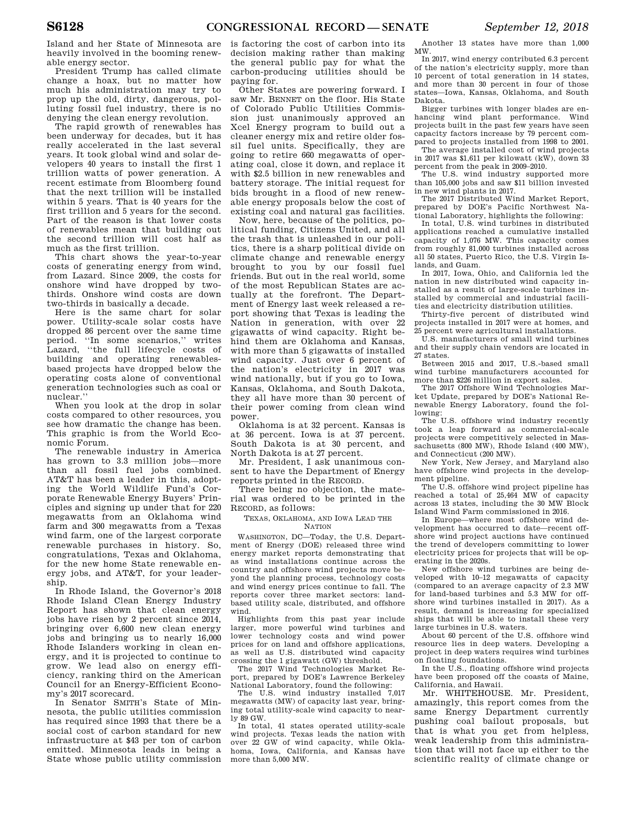Island and her State of Minnesota are heavily involved in the booming renewable energy sector.

President Trump has called climate change a hoax, but no matter how much his administration may try to prop up the old, dirty, dangerous, polluting fossil fuel industry, there is no denying the clean energy revolution.

The rapid growth of renewables has been underway for decades, but it has really accelerated in the last several years. It took global wind and solar developers 40 years to install the first 1 trillion watts of power generation. A recent estimate from Bloomberg found that the next trillion will be installed within 5 years. That is 40 years for the first trillion and 5 years for the second. Part of the reason is that lower costs of renewables mean that building out the second trillion will cost half as much as the first trillion.

This chart shows the year-to-year costs of generating energy from wind, from Lazard. Since 2009, the costs for onshore wind have dropped by twothirds. Onshore wind costs are down two-thirds in basically a decade.

Here is the same chart for solar power. Utility-scale solar costs have dropped 86 percent over the same time period. ''In some scenarios,'' writes Lazard, ''the full lifecycle costs of building and operating renewablesbased projects have dropped below the operating costs alone of conventional generation technologies such as coal or nuclear.''

When you look at the drop in solar costs compared to other resources, you see how dramatic the change has been. This graphic is from the World Economic Forum.

The renewable industry in America has grown to 3.3 million jobs—more than all fossil fuel jobs combined. AT&T has been a leader in this, adopting the World Wildlife Fund's Corporate Renewable Energy Buyers' Principles and signing up under that for 220 megawatts from an Oklahoma wind farm and 300 megawatts from a Texas wind farm, one of the largest corporate renewable purchases in history. So, congratulations, Texas and Oklahoma, for the new home State renewable energy jobs, and AT&T, for your leadership.

In Rhode Island, the Governor's 2018 Rhode Island Clean Energy Industry Report has shown that clean energy jobs have risen by 2 percent since 2014, bringing over 6,600 new clean energy jobs and bringing us to nearly 16,000 Rhode Islanders working in clean energy, and it is projected to continue to grow. We lead also on energy efficiency, ranking third on the American Council for an Energy-Efficient Economy's 2017 scorecard.

In Senator SMITH's State of Minnesota, the public utilities commission has required since 1993 that there be a social cost of carbon standard for new infrastructure at \$43 per ton of carbon emitted. Minnesota leads in being a State whose public utility commission is factoring the cost of carbon into its decision making rather than making the general public pay for what the carbon-producing utilities should be paying for.

Other States are powering forward. I saw Mr. BENNET on the floor. His State of Colorado Public Utilities Commission just unanimously approved an Xcel Energy program to build out a cleaner energy mix and retire older fossil fuel units. Specifically, they are going to retire 660 megawatts of operating coal, close it down, and replace it with \$2.5 billion in new renewables and battery storage. The initial request for bids brought in a flood of new renewable energy proposals below the cost of existing coal and natural gas facilities.

Now, here, because of the politics, political funding, Citizens United, and all the trash that is unleashed in our politics, there is a sharp political divide on climate change and renewable energy brought to you by our fossil fuel friends. But out in the real world, some of the most Republican States are actually at the forefront. The Department of Energy last week released a report showing that Texas is leading the Nation in generation, with over 22 gigawatts of wind capacity. Right behind them are Oklahoma and Kansas, with more than 5 gigawatts of installed wind capacity. Just over 6 percent of the nation's electricity in 2017 was wind nationally, but if you go to Iowa, Kansas, Oklahoma, and South Dakota, they all have more than 30 percent of their power coming from clean wind power.

Oklahoma is at 32 percent. Kansas is at 36 percent. Iowa is at 37 percent. South Dakota is at 30 percent, and North Dakota is at 27 percent.

Mr. President, I ask unanimous consent to have the Department of Energy reports printed in the RECORD.

There being no objection, the material was ordered to be printed in the RECORD, as follows:

TEXAS, OKLAHOMA, AND IOWA LEAD THE NATION

WASHINGTON, DC—Today, the U.S. Department of Energy (DOE) released three wind energy market reports demonstrating that as wind installations continue across the country and offshore wind projects move beyond the planning process, technology costs and wind energy prices continue to fall. The reports cover three market sectors: landbased utility scale, distributed, and offshore wind.

Highlights from this past year include larger, more powerful wind turbines and lower technology costs and wind power prices for on land and offshore applications, as well as U.S. distributed wind capacity crossing the 1 gigawatt (GW) threshold.

The 2017 Wind Technologies Market Report, prepared by DOE's Lawrence Berkeley National Laboratory, found the following:

The U.S. wind industry installed 7,017 megawatts (MW) of capacity last year, bringing total utility-scale wind capacity to nearly 89 GW.

In total, 41 states operated utility-scale wind projects. Texas leads the nation with over 22 GW of wind capacity, while Oklahoma, Iowa, California, and Kansas have more than 5,000 MW.

Another 13 states have more than 1,000 MW.

In 2017, wind energy contributed 6.3 percent of the nation's electricity supply, more than 10 percent of total generation in 14 states, and more than 30 percent in four of those states—Iowa, Kansas, Oklahoma, and South Dakota.

Bigger turbines with longer blades are enhancing wind plant performance. Wind projects built in the past few years have seen capacity factors increase by 79 percent compared to projects installed from 1998 to 2001.

The average installed cost of wind projects in 2017 was \$1,611 per kilowatt (kW), down 33 percent from the peak in 2009–2010.

The U.S. wind industry supported more than 105,000 jobs and saw \$11 billion invested in new wind plants in 2017.

The 2017 Distributed Wind Market Report, prepared by DOE's Pacific Northwest National Laboratory, highlights the following:

In total, U.S. wind turbines in distributed applications reached a cumulative installed capacity of 1,076 MW. This capacity comes from roughly 81,000 turbines installed across all 50 states, Puerto Rico, the U.S. Virgin Islands, and Guam.

In 2017, Iowa, Ohio, and California led the nation in new distributed wind capacity installed as a result of large-scale turbines installed by commercial and industrial facilities and electricity distribution utilities.

Thirty-five percent of distributed wind projects installed in 2017 were at homes, and 25 percent were agricultural installations.

U.S. manufacturers of small wind turbines and their supply chain vendors are located in 27 states.

Between 2015 and 2017, U.S.-based small wind turbine manufacturers accounted for more than \$226 million in export sales.

The 2017 Offshore Wind Technologies Market Update, prepared by DOE's National Renewable Energy Laboratory, found the following:

The U.S. offshore wind industry recently took a leap forward as commercial-scale projects were competitively selected in Massachusetts (800 MW), Rhode Island (400 MW), and Connecticut (200 MW).

New York, New Jersey, and Maryland also have offshore wind projects in the development pipeline.

The U.S. offshore wind project pipeline has reached a total of 25,464 MW of capacity across 13 states, including the 30 MW Block Island Wind Farm commissioned in 2016.

In Europe—where most offshore wind development has occurred to date—recent offshore wind project auctions have continued the trend of developers committing to lower electricity prices for projects that will be operating in the 2020s.

New offshore wind turbines are being developed with 10–12 megawatts of capacity (compared to an average capacity of 2.3 MW for land-based turbines and 5.3 MW for offshore wind turbines installed in 2017). As a result, demand is increasing for specialized ships that will be able to install these very large turbines in U.S. waters.

About 60 percent of the U.S. offshore wind resource lies in deep waters. Developing a project in deep waters requires wind turbines on floating foundations.

In the U.S., floating offshore wind projects have been proposed off the coasts of Maine, California, and Hawaii.

Mr. WHITEHOUSE. Mr. President, amazingly, this report comes from the same Energy Department currently pushing coal bailout proposals, but that is what you get from helpless, weak leadership from this administration that will not face up either to the scientific reality of climate change or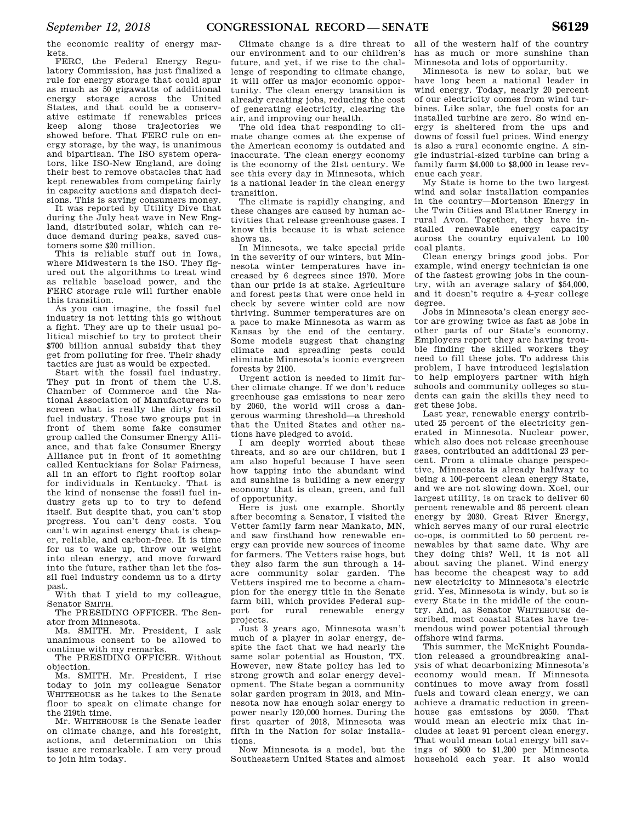the economic reality of energy markets.

FERC, the Federal Energy Regulatory Commission, has just finalized a rule for energy storage that could spur as much as 50 gigawatts of additional energy storage across the United States, and that could be a conservative estimate if renewables prices keep along those trajectories we showed before. That FERC rule on energy storage, by the way, is unanimous and bipartisan. The ISO system operators, like ISO-New England, are doing their best to remove obstacles that had kept renewables from competing fairly in capacity auctions and dispatch decisions. This is saving consumers money.

It was reported by Utility Dive that during the July heat wave in New England, distributed solar, which can reduce demand during peaks, saved customers some \$20 million.

This is reliable stuff out in Iowa, where Midwestern is the ISO. They figured out the algorithms to treat wind as reliable baseload power, and the FERC storage rule will further enable this transition.

As you can imagine, the fossil fuel industry is not letting this go without a fight. They are up to their usual political mischief to try to protect their \$700 billion annual subsidy that they get from polluting for free. Their shady tactics are just as would be expected.

Start with the fossil fuel industry. They put in front of them the U.S. Chamber of Commerce and the National Association of Manufacturers to screen what is really the dirty fossil fuel industry. Those two groups put in front of them some fake consumer group called the Consumer Energy Alliance, and that fake Consumer Energy Alliance put in front of it something called Kentuckians for Solar Fairness, all in an effort to fight rooftop solar for individuals in Kentucky. That is the kind of nonsense the fossil fuel industry gets up to to try to defend itself. But despite that, you can't stop progress. You can't deny costs. You can't win against energy that is cheaper, reliable, and carbon-free. It is time for us to wake up, throw our weight into clean energy, and move forward into the future, rather than let the fossil fuel industry condemn us to a dirty past.

With that I yield to my colleague, Senator SMITH.

The PRESIDING OFFICER. The Senator from Minnesota.

Ms. SMITH. Mr. President, I ask unanimous consent to be allowed to continue with my remarks.

The PRESIDING OFFICER. Without objection.

Ms. SMITH. Mr. President, I rise today to join my colleague Senator WHITEHOUSE as he takes to the Senate floor to speak on climate change for the 219th time.

Mr. WHITEHOUSE is the Senate leader on climate change, and his foresight, actions, and determination on this issue are remarkable. I am very proud to join him today.

Climate change is a dire threat to our environment and to our children's future, and yet, if we rise to the challenge of responding to climate change, it will offer us major economic opportunity. The clean energy transition is already creating jobs, reducing the cost of generating electricity, clearing the air, and improving our health.

The old idea that responding to climate change comes at the expense of the American economy is outdated and inaccurate. The clean energy economy is the economy of the 21st century. We see this every day in Minnesota, which is a national leader in the clean energy transition.

The climate is rapidly changing, and these changes are caused by human activities that release greenhouse gases. I know this because it is what science shows us.

In Minnesota, we take special pride in the severity of our winters, but Minnesota winter temperatures have increased by 6 degrees since 1970. More than our pride is at stake. Agriculture and forest pests that were once held in check by severe winter cold are now thriving. Summer temperatures are on a pace to make Minnesota as warm as Kansas by the end of the century. Some models suggest that changing climate and spreading pests could eliminate Minnesota's iconic evergreen forests by 2100.

Urgent action is needed to limit further climate change. If we don't reduce greenhouse gas emissions to near zero by 2060, the world will cross a dangerous warming threshold—a threshold that the United States and other nations have pledged to avoid.

I am deeply worried about these threats, and so are our children, but I am also hopeful because I have seen how tapping into the abundant wind and sunshine is building a new energy economy that is clean, green, and full of opportunity.

Here is just one example. Shortly after becoming a Senator, I visited the Vetter family farm near Mankato, MN, and saw firsthand how renewable energy can provide new sources of income for farmers. The Vetters raise hogs, but they also farm the sun through a 14 acre community solar garden. The Vetters inspired me to become a champion for the energy title in the Senate farm bill, which provides Federal support for rural renewable energy projects.

Just 3 years ago, Minnesota wasn't much of a player in solar energy, despite the fact that we had nearly the same solar potential as Houston, TX. However, new State policy has led to strong growth and solar energy development. The State began a community solar garden program in 2013, and Minnesota now has enough solar energy to power nearly 120,000 homes. During the first quarter of 2018, Minnesota was fifth in the Nation for solar installations.

Now Minnesota is a model, but the Southeastern United States and almost all of the western half of the country has as much or more sunshine than Minnesota and lots of opportunity.

Minnesota is new to solar, but we have long been a national leader in wind energy. Today, nearly 20 percent of our electricity comes from wind turbines. Like solar, the fuel costs for an installed turbine are zero. So wind energy is sheltered from the ups and downs of fossil fuel prices. Wind energy is also a rural economic engine. A single industrial-sized turbine can bring a family farm \$4,000 to \$8,000 in lease revenue each year.

My State is home to the two largest wind and solar installation companies in the country—Mortenson Energy in the Twin Cities and Blattner Energy in rural Avon. Together, they have installed renewable energy capacity across the country equivalent to 100 coal plants.

Clean energy brings good jobs. For example, wind energy technician is one of the fastest growing jobs in the country, with an average salary of \$54,000, and it doesn't require a 4-year college degree.

Jobs in Minnesota's clean energy sector are growing twice as fast as jobs in other parts of our State's economy. Employers report they are having trouble finding the skilled workers they need to fill these jobs. To address this problem, I have introduced legislation to help employers partner with high schools and community colleges so students can gain the skills they need to get these jobs.

Last year, renewable energy contributed 25 percent of the electricity generated in Minnesota. Nuclear power, which also does not release greenhouse gases, contributed an additional 23 percent. From a climate change perspective, Minnesota is already halfway to being a 100-percent clean energy State, and we are not slowing down. Xcel, our largest utility, is on track to deliver 60 percent renewable and 85 percent clean energy by 2030. Great River Energy, which serves many of our rural electric co-ops, is committed to 50 percent renewables by that same date. Why are they doing this? Well, it is not all about saving the planet. Wind energy has become the cheapest way to add new electricity to Minnesota's electric grid. Yes, Minnesota is windy, but so is every State in the middle of the country. And, as Senator WHITEHOUSE described, most coastal States have tremendous wind power potential through offshore wind farms.

This summer, the McKnight Foundation released a groundbreaking analysis of what decarbonizing Minnesota's economy would mean. If Minnesota continues to move away from fossil fuels and toward clean energy, we can achieve a dramatic reduction in greenhouse gas emissions by 2050. That would mean an electric mix that includes at least 91 percent clean energy. That would mean total energy bill savings of \$600 to \$1,200 per Minnesota household each year. It also would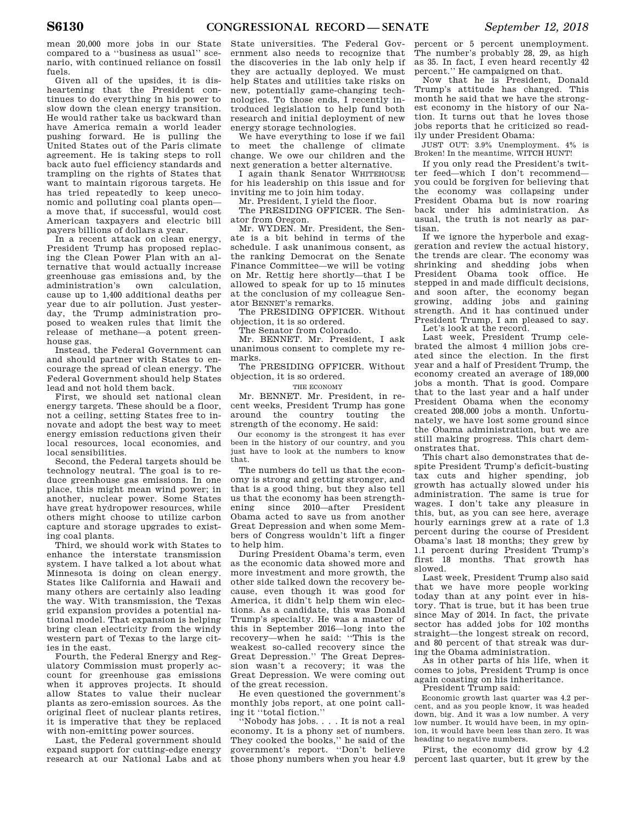mean 20,000 more jobs in our State compared to a ''business as usual'' scenario, with continued reliance on fossil fuels.

Given all of the upsides, it is disheartening that the President continues to do everything in his power to slow down the clean energy transition. He would rather take us backward than have America remain a world leader pushing forward. He is pulling the United States out of the Paris climate agreement. He is taking steps to roll back auto fuel efficiency standards and trampling on the rights of States that want to maintain rigorous targets. He has tried repeatedly to keep uneconomic and polluting coal plants open a move that, if successful, would cost American taxpayers and electric bill payers billions of dollars a year.

In a recent attack on clean energy, President Trump has proposed replacing the Clean Power Plan with an alternative that would actually increase greenhouse gas emissions and, by the administration's own calculation, cause up to 1,400 additional deaths per year due to air pollution. Just yesterday, the Trump administration proposed to weaken rules that limit the release of methane—a potent greenhouse gas.

Instead, the Federal Government can and should partner with States to encourage the spread of clean energy. The Federal Government should help States lead and not hold them back.

First, we should set national clean energy targets. These should be a floor, not a ceiling, setting States free to innovate and adopt the best way to meet energy emission reductions given their local resources, local economies, and local sensibilities.

Second, the Federal targets should be technology neutral. The goal is to reduce greenhouse gas emissions. In one place, this might mean wind power; in another, nuclear power. Some States have great hydropower resources, while others might choose to utilize carbon capture and storage upgrades to existing coal plants.

Third, we should work with States to enhance the interstate transmission system. I have talked a lot about what Minnesota is doing on clean energy. States like California and Hawaii and many others are certainly also leading the way. With transmission, the Texas grid expansion provides a potential national model. That expansion is helping bring clean electricity from the windy western part of Texas to the large cities in the east.

Fourth, the Federal Energy and Regulatory Commission must properly account for greenhouse gas emissions when it approves projects. It should allow States to value their nuclear plants as zero-emission sources. As the original fleet of nuclear plants retires, it is imperative that they be replaced with non-emitting power sources.

Last, the Federal government should expand support for cutting-edge energy research at our National Labs and at

State universities. The Federal Government also needs to recognize that the discoveries in the lab only help if they are actually deployed. We must help States and utilities take risks on new, potentially game-changing technologies. To those ends, I recently introduced legislation to help fund both research and initial deployment of new energy storage technologies.

We have everything to lose if we fail to meet the challenge of climate change. We owe our children and the next generation a better alternative.

I again thank Senator WHITEHOUSE for his leadership on this issue and for inviting me to join him today.

Mr. President, I yield the floor.

The PRESIDING OFFICER. The Senator from Oregon.

Mr. WYDEN. Mr. President, the Senate is a bit behind in terms of the schedule. I ask unanimous consent, as the ranking Democrat on the Senate Finance Committee—we will be voting on Mr. Rettig here shortly—that I be allowed to speak for up to 15 minutes at the conclusion of my colleague Senator BENNET's remarks.

The PRESIDING OFFICER. Without objection, it is so ordered.

The Senator from Colorado.

Mr. BENNET. Mr. President, I ask unanimous consent to complete my remarks.

The PRESIDING OFFICER. Without objection, it is so ordered.

THE ECONOMY

Mr. BENNET. Mr. President, in recent weeks, President Trump has gone around the country touting the strength of the economy. He said:

Our economy is the strongest it has ever been in the history of our country, and you just have to look at the numbers to know that.

The numbers do tell us that the economy is strong and getting stronger, and that is a good thing, but they also tell us that the economy has been strengthening since 2010—after President Obama acted to save us from another Great Depression and when some Members of Congress wouldn't lift a finger to help him.

During President Obama's term, even as the economic data showed more and more investment and more growth, the other side talked down the recovery because, even though it was good for America, it didn't help them win elections. As a candidate, this was Donald Trump's specialty. He was a master of this in September 2016—long into the recovery—when he said: ''This is the weakest so-called recovery since the Great Depression.'' The Great Depression wasn't a recovery; it was the Great Depression. We were coming out of the great recession.

He even questioned the government's monthly jobs report, at one point calling it ''total fiction.''

''Nobody has jobs. . . . It is not a real economy. It is a phony set of numbers. They cooked the books,'' he said of the government's report. ''Don't believe those phony numbers when you hear 4.9

percent or 5 percent unemployment. The number's probably 28, 29, as high as 35. In fact, I even heard recently 42 percent.'' He campaigned on that.

Now that he is President, Donald Trump's attitude has changed. This month he said that we have the strongest economy in the history of our Nation. It turns out that he loves those jobs reports that he criticized so readily under President Obama:

JUST OUT: 3.9% Unemployment. 4% is Broken! In the meantime, WITCH HUNT!

If you only read the President's twitter feed—which I don't recommend you could be forgiven for believing that the economy was collapsing under President Obama but is now roaring back under his administration. As usual, the truth is not nearly as partisan.

If we ignore the hyperbole and exaggeration and review the actual history, the trends are clear. The economy was shrinking and shedding jobs when President Obama took office. He stepped in and made difficult decisions, and soon after, the economy began growing, adding jobs and gaining strength. And it has continued under President Trump, I am pleased to say. Let's look at the record.

Last week, President Trump celebrated the almost 4 million jobs created since the election. In the first year and a half of President Trump, the economy created an average of 189,000 jobs a month. That is good. Compare that to the last year and a half under President Obama when the economy created 208,000 jobs a month. Unfortunately, we have lost some ground since the Obama administration, but we are still making progress. This chart demonstrates that.

This chart also demonstrates that despite President Trump's deficit-busting tax cuts and higher spending, job growth has actually slowed under his administration. The same is true for wages. I don't take any pleasure in this, but, as you can see here, average hourly earnings grew at a rate of 1.3 percent during the course of President Obama's last 18 months; they grew by 1.1 percent during President Trump's first 18 months. That growth has slowed.

Last week, President Trump also said that we have more people working today than at any point ever in history. That is true, but it has been true since May of 2014. In fact, the private sector has added jobs for 102 months straight—the longest streak on record, and 80 percent of that streak was during the Obama administration.

As in other parts of his life, when it comes to jobs, President Trump is once again coasting on his inheritance.

President Trump said:

Economic growth last quarter was 4.2 percent, and as you people know, it was headed down, big. And it was a low number. A very low number. It would have been, in my opinion, it would have been less than zero. It was heading to negative numbers.

First, the economy did grow by 4.2 percent last quarter, but it grew by the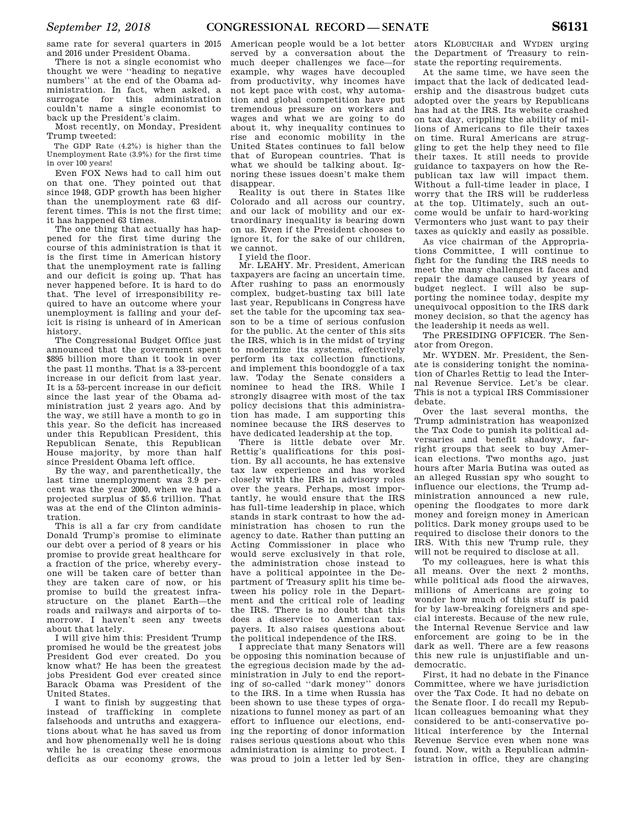same rate for several quarters in 2015 and 2016 under President Obama.

There is not a single economist who thought we were ''heading to negative numbers'' at the end of the Obama administration. In fact, when asked, a surrogate for this administration couldn't name a single economist to back up the President's claim.

Most recently, on Monday, President Trump tweeted:

The GDP Rate (4.2%) is higher than the Unemployment Rate (3.9%) for the first time in over 100 years!

Even FOX News had to call him out on that one. They pointed out that since 1948, GDP growth has been higher than the unemployment rate 63 different times. This is not the first time; it has happened 63 times.

The one thing that actually has happened for the first time during the course of this administration is that it is the first time in American history that the unemployment rate is falling and our deficit is going up. That has never happened before. It is hard to do that. The level of irresponsibility required to have an outcome where your unemployment is falling and your deficit is rising is unheard of in American history.

The Congressional Budget Office just announced that the government spent \$895 billion more than it took in over the past 11 months. That is a 33-percent increase in our deficit from last year. It is a 53-percent increase in our deficit since the last year of the Obama administration just 2 years ago. And by the way, we still have a month to go in this year. So the deficit has increased under this Republican President, this Republican Senate, this Republican House majority, by more than half since President Obama left office.

By the way, and parenthetically, the last time unemployment was 3.9 percent was the year 2000, when we had a projected surplus of \$5.6 trillion. That was at the end of the Clinton administration.

This is all a far cry from candidate Donald Trump's promise to eliminate our debt over a period of 8 years or his promise to provide great healthcare for a fraction of the price, whereby everyone will be taken care of better than they are taken care of now, or his promise to build the greatest infrastructure on the planet Earth—the roads and railways and airports of tomorrow. I haven't seen any tweets about that lately.

I will give him this: President Trump promised he would be the greatest jobs President God ever created. Do you know what? He has been the greatest jobs President God ever created since Barack Obama was President of the United States.

I want to finish by suggesting that instead of trafficking in complete falsehoods and untruths and exaggerations about what he has saved us from and how phenomenally well he is doing while he is creating these enormous deficits as our economy grows, the

American people would be a lot better served by a conversation about the much deeper challenges we face—for example, why wages have decoupled from productivity, why incomes have not kept pace with cost, why automation and global competition have put tremendous pressure on workers and wages and what we are going to do about it, why inequality continues to rise and economic mobility in the United States continues to fall below that of European countries. That is what we should be talking about. Ignoring these issues doesn't make them disappear.

Reality is out there in States like Colorado and all across our country, and our lack of mobility and our extraordinary inequality is bearing down on us. Even if the President chooses to ignore it, for the sake of our children, we cannot.

I yield the floor.

Mr. LEAHY. Mr. President, American taxpayers are facing an uncertain time. After rushing to pass an enormously complex, budget-busting tax bill late last year, Republicans in Congress have set the table for the upcoming tax season to be a time of serious confusion for the public. At the center of this sits the IRS, which is in the midst of trying to modernize its systems, effectively perform its tax collection functions, and implement this boondoggle of a tax law. Today the Senate considers a nominee to head the IRS. While I strongly disagree with most of the tax policy decisions that this administration has made, I am supporting this nominee because the IRS deserves to have dedicated leadership at the top.

There is little debate over Mr. Rettig's qualifications for this position. By all accounts, he has extensive tax law experience and has worked closely with the IRS in advisory roles over the years. Perhaps, most importantly, he would ensure that the IRS has full-time leadership in place, which stands in stark contrast to how the administration has chosen to run the agency to date. Rather than putting an Acting Commissioner in place who would serve exclusively in that role, the administration chose instead to have a political appointee in the Department of Treasury split his time between his policy role in the Department and the critical role of leading the IRS. There is no doubt that this does a disservice to American taxpayers. It also raises questions about the political independence of the IRS.

I appreciate that many Senators will be opposing this nomination because of the egregious decision made by the administration in July to end the reporting of so-called ''dark money'' donors to the IRS. In a time when Russia has been shown to use these types of organizations to funnel money as part of an effort to influence our elections, ending the reporting of donor information raises serious questions about who this administration is aiming to protect. I was proud to join a letter led by Sen-

ators KLOBUCHAR and WYDEN urging the Department of Treasury to reinstate the reporting requirements.

At the same time, we have seen the impact that the lack of dedicated leadership and the disastrous budget cuts adopted over the years by Republicans has had at the IRS. Its website crashed on tax day, crippling the ability of millions of Americans to file their taxes on time. Rural Americans are struggling to get the help they need to file their taxes. It still needs to provide guidance to taxpayers on how the Republican tax law will impact them. Without a full-time leader in place, I worry that the IRS will be rudderless at the top. Ultimately, such an outcome would be unfair to hard-working Vermonters who just want to pay their taxes as quickly and easily as possible.

As vice chairman of the Appropriations Committee, I will continue to fight for the funding the IRS needs to meet the many challenges it faces and repair the damage caused by years of budget neglect. I will also be supporting the nominee today, despite my unequivocal opposition to the IRS dark money decision, so that the agency has the leadership it needs as well.

The PRESIDING OFFICER. The Senator from Oregon.

Mr. WYDEN. Mr. President, the Senate is considering tonight the nomination of Charles Rettig to lead the Internal Revenue Service. Let's be clear. This is not a typical IRS Commissioner debate.

Over the last several months, the Trump administration has weaponized the Tax Code to punish its political adversaries and benefit shadowy, farright groups that seek to buy American elections. Two months ago, just hours after Maria Butina was outed as an alleged Russian spy who sought to influence our elections, the Trump administration announced a new rule, opening the floodgates to more dark money and foreign money in American politics. Dark money groups used to be required to disclose their donors to the IRS. With this new Trump rule, they will not be required to disclose at all.

To my colleagues, here is what this all means. Over the next 2 months, while political ads flood the airwaves, millions of Americans are going to wonder how much of this stuff is paid for by law-breaking foreigners and special interests. Because of the new rule, the Internal Revenue Service and law enforcement are going to be in the dark as well. There are a few reasons this new rule is unjustifiable and undemocratic.

First, it had no debate in the Finance Committee, where we have jurisdiction over the Tax Code. It had no debate on the Senate floor. I do recall my Republican colleagues bemoaning what they considered to be anti-conservative political interference by the Internal Revenue Service even when none was found. Now, with a Republican administration in office, they are changing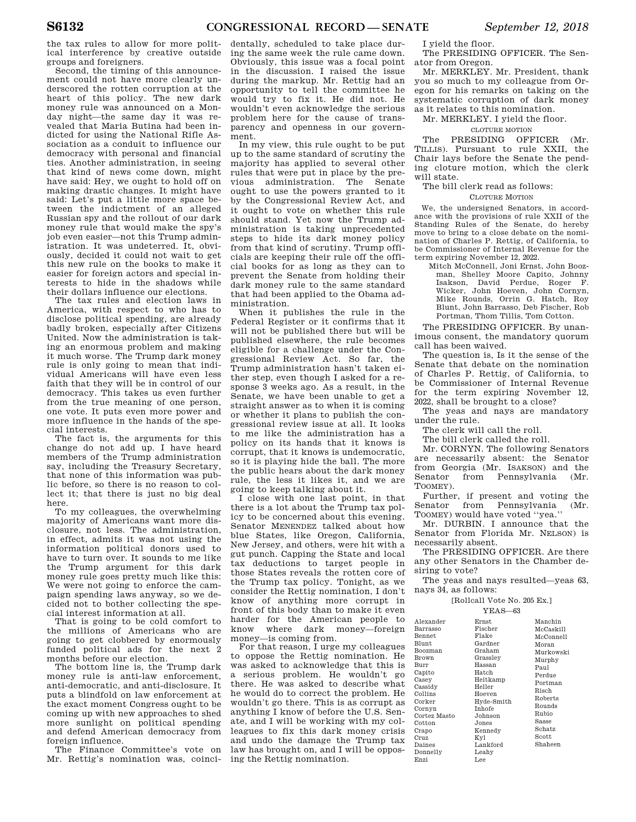the tax rules to allow for more political interference by creative outside groups and foreigners.

Second, the timing of this announcement could not have more clearly underscored the rotten corruption at the heart of this policy. The new dark money rule was announced on a Monday night—the same day it was revealed that Maria Butina had been indicted for using the National Rifle Association as a conduit to influence our democracy with personal and financial ties. Another administration, in seeing that kind of news come down, might have said: Hey, we ought to hold off on making drastic changes. It might have said: Let's put a little more space between the indictment of an alleged Russian spy and the rollout of our dark money rule that would make the spy's job even easier—not this Trump administration. It was undeterred. It, obviously, decided it could not wait to get this new rule on the books to make it easier for foreign actors and special interests to hide in the shadows while their dollars influence our elections.

The tax rules and election laws in America, with respect to who has to disclose political spending, are already badly broken, especially after Citizens United. Now the administration is taking an enormous problem and making it much worse. The Trump dark money rule is only going to mean that individual Americans will have even less faith that they will be in control of our democracy. This takes us even further from the true meaning of one person, one vote. It puts even more power and more influence in the hands of the special interests.

The fact is, the arguments for this change do not add up. I have heard members of the Trump administration say, including the Treasury Secretary, that none of this information was public before, so there is no reason to collect it; that there is just no big deal here.

To my colleagues, the overwhelming majority of Americans want more disclosure, not less. The administration, in effect, admits it was not using the information political donors used to have to turn over. It sounds to me like the Trump argument for this dark money rule goes pretty much like this: We were not going to enforce the campaign spending laws anyway, so we decided not to bother collecting the special interest information at all.

That is going to be cold comfort to the millions of Americans who are going to get clobbered by enormously funded political ads for the next 2 months before our election.

The bottom line is, the Trump dark money rule is anti-law enforcement, anti-democratic, and anti-disclosure. It puts a blindfold on law enforcement at the exact moment Congress ought to be coming up with new approaches to shed more sunlight on political spending and defend American democracy from foreign influence.

The Finance Committee's vote on Mr. Rettig's nomination was, coinci-

dentally, scheduled to take place during the same week the rule came down. Obviously, this issue was a focal point in the discussion. I raised the issue during the markup. Mr. Rettig had an opportunity to tell the committee he would try to fix it. He did not. He wouldn't even acknowledge the serious problem here for the cause of transparency and openness in our government.

In my view, this rule ought to be put up to the same standard of scrutiny the majority has applied to several other rules that were put in place by the previous administration. The Senate ought to use the powers granted to it by the Congressional Review Act, and it ought to vote on whether this rule should stand. Yet now the Trump administration is taking unprecedented steps to hide its dark money policy from that kind of scrutiny. Trump officials are keeping their rule off the official books for as long as they can to prevent the Senate from holding their dark money rule to the same standard that had been applied to the Obama administration.

When it publishes the rule in the Federal Register or it confirms that it will not be published there but will be published elsewhere, the rule becomes eligible for a challenge under the Congressional Review Act. So far, the Trump administration hasn't taken either step, even though I asked for a response 3 weeks ago. As a result, in the Senate, we have been unable to get a straight answer as to when it is coming or whether it plans to publish the congressional review issue at all. It looks to me like the administration has a policy on its hands that it knows is corrupt, that it knows is undemocratic, so it is playing hide the ball. The more the public hears about the dark money rule, the less it likes it, and we are going to keep talking about it.

I close with one last point, in that there is a lot about the Trump tax policy to be concerned about this evening. Senator MENENDEZ talked about how blue States, like Oregon, California, New Jersey, and others, were hit with a gut punch. Capping the State and local tax deductions to target people in those States reveals the rotten core of the Trump tax policy. Tonight, as we consider the Rettig nomination, I don't know of anything more corrupt in front of this body than to make it even harder for the American people to know where dark money—foreign money—is coming from.

For that reason, I urge my colleagues to oppose the Rettig nomination. He was asked to acknowledge that this is a serious problem. He wouldn't go there. He was asked to describe what he would do to correct the problem. He wouldn't go there. This is as corrupt as anything I know of before the U.S. Senate, and I will be working with my colleagues to fix this dark money crisis and undo the damage the Trump tax law has brought on, and I will be opposing the Rettig nomination.

I yield the floor.

The PRESIDING OFFICER. The Senator from Oregon.

Mr. MERKLEY. Mr. President, thank you so much to my colleague from Oregon for his remarks on taking on the systematic corruption of dark money as it relates to this nomination.

Mr. MERKLEY. I yield the floor.

#### CLOTURE MOTION

The PRESIDING OFFICER (Mr. TILLIS). Pursuant to rule XXII, the Chair lays before the Senate the pending cloture motion, which the clerk will state.

The bill clerk read as follows:

#### CLOTURE MOTION

We, the undersigned Senators, in accordance with the provisions of rule XXII of the Standing Rules of the Senate, do hereby move to bring to a close debate on the nomination of Charles P. Rettig, of California, to be Commissioner of Internal Revenue for the term expiring November 12, 2022.

Mitch McConnell, Joni Ernst, John Boozman, Shelley Moore Capito, Johnny Isakson, David Perdue, Roger F. Wicker, John Hoeven, John Cornyn, Mike Rounds, Orrin G. Hatch, Roy Blunt, John Barrasso, Deb Fischer, Rob Portman, Thom Tillis, Tom Cotton.

The PRESIDING OFFICER. By unanimous consent, the mandatory quorum call has been waived.

The question is, Is it the sense of the Senate that debate on the nomination of Charles P. Rettig, of California, to be Commissioner of Internal Revenue for the term expiring November 12, 2022, shall be brought to a close?

The yeas and nays are mandatory under the rule.

The clerk will call the roll.

The bill clerk called the roll.

Mr. CORNYN. The following Senators are necessarily absent: the Senator from Georgia (Mr. ISAKSON) and the Senator from Pennsylvania (Mr. TOOMEY).

Further, if present and voting the Senator from Pennsylvania (Mr. TOOMEY) would have voted ''yea.''

Mr. DURBIN. I announce that the Senator from Florida Mr. NELSON) is necessarily absent.

The PRESIDING OFFICER. Are there any other Senators in the Chamber desiring to vote?

The yeas and nays resulted—yeas 63, nays 34, as follows:

[Rollcall Vote No. 205 Ex.]

#### YEAS—63

| Alexander    | Ernst         | Manchin                                                 |
|--------------|---------------|---------------------------------------------------------|
| Barrasso     | Fischer       | McCaskill                                               |
| Bennet       | Flake         | McConnell                                               |
| Blunt        | Gardner       | Moran                                                   |
| Boozman      | Graham        | Murkowski                                               |
| Brown        | Grasslev      | Murphy<br>Paul<br>Perdue<br>Portman<br>Risch<br>Roberts |
| Burr         | Hassan        |                                                         |
| Capito       | Hatch         |                                                         |
| Casey        | Heitkamp      |                                                         |
| Cassidy      | Heller        |                                                         |
| Collins      | Hoeven        |                                                         |
| Corker       | Hyde-Smith    |                                                         |
| Cornvn       | <b>Inhofe</b> | Rounds                                                  |
| Cortez Masto | Johnson       | Rubio                                                   |
| Cotton       | Jones         | Sasse                                                   |
| Crapo        | Kennedy       | Schatz                                                  |
| Cruz         | Kvl           | Scott                                                   |
| Daines       | Lankford      | Shaheen                                                 |
| Donnelly     | Leahv         |                                                         |
| Enzi         | Lee           |                                                         |
|              |               |                                                         |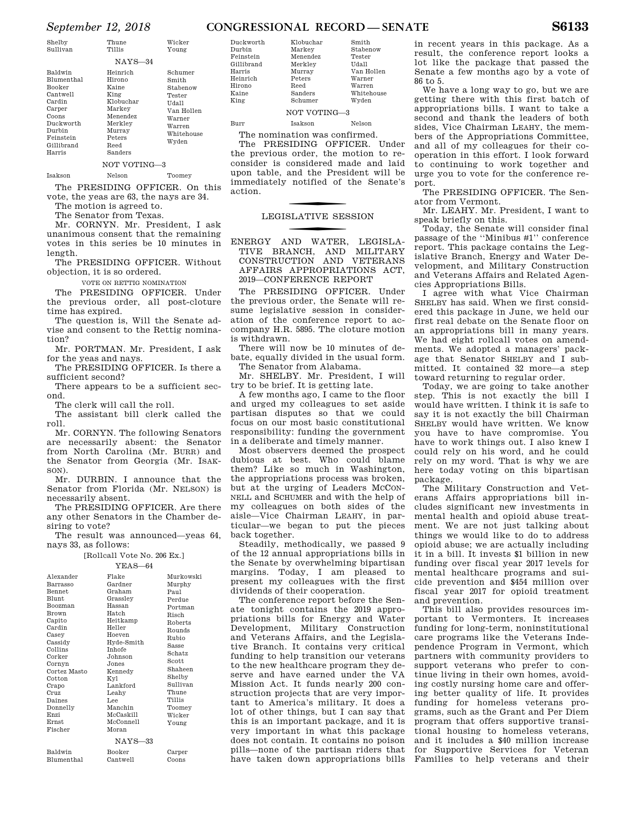#### *September 12, 2018* **CONGRESSIONAL RECORD — SENATE S6133**

| Shelby<br>Sullivan                                                                                                                   | Thune<br>Tillis                                                                                                                          | Wicker<br>Young                                                                                          |
|--------------------------------------------------------------------------------------------------------------------------------------|------------------------------------------------------------------------------------------------------------------------------------------|----------------------------------------------------------------------------------------------------------|
|                                                                                                                                      | $NAYS-34$                                                                                                                                |                                                                                                          |
| Baldwin<br>Blumenthal<br>Booker<br>Cantwell<br>Cardin<br>Carper<br>Coons<br>Duckworth<br>Durbin<br>Feinstein<br>Gillibrand<br>Harris | Heinrich<br>Hirono<br>Kaine<br>King<br>Klobuchar<br>Markey<br>Menendez<br>Merkley<br>Murray<br>Peters<br>Reed<br>Sanders<br>NOT VOTING-3 | Schumer<br>Smith<br>Stabenow<br>Tester<br>Udall<br>Van Hollen<br>Warner<br>Warren<br>Whitehouse<br>Wyden |
| Isakson                                                                                                                              | Nelson                                                                                                                                   | Toomey                                                                                                   |

The PRESIDING OFFICER. On this vote, the yeas are 63, the nays are 34.

The motion is agreed to.

The Senator from Texas.

Mr. CORNYN. Mr. President, I ask unanimous consent that the remaining votes in this series be 10 minutes in length.

The PRESIDING OFFICER. Without objection, it is so ordered.

VOTE ON RETTIG NOMINATION

The PRESIDING OFFICER. Under the previous order, all post-cloture time has expired.

The question is, Will the Senate advise and consent to the Rettig nomination?

Mr. PORTMAN. Mr. President, I ask for the yeas and nays.

The PRESIDING OFFICER. Is there a sufficient second?

There appears to be a sufficient second.

The clerk will call the roll.

The assistant bill clerk called the roll.

Mr. CORNYN. The following Senators are necessarily absent: the Senator from North Carolina (Mr. BURR) and the Senator from Georgia (Mr. ISAK-SON).

Mr. DURBIN. I announce that the Senator from Florida (Mr. NELSON) is necessarily absent.

The PRESIDING OFFICER. Are there any other Senators in the Chamber desiring to vote?

The result was announced—yeas 64, nays 33, as follows:

[Rollcall Vote No. 206 Ex.]

|               | $YFAS - 64$   |               |
|---------------|---------------|---------------|
| Alexander     | Flake         | Murkowski     |
| Barrasso      | Gardner       | Murphy        |
| <b>Bennet</b> | Graham        | Paul          |
| <b>Blunt</b>  | Grassley      | Perdue        |
| Boozman       | Hassan        | Portman       |
| <b>Brown</b>  | Hatch         | Risch         |
| Capito        | Heitkamp      | Roberts       |
| Cardin        | Heller        | Rounds        |
| Casey         | Hoeven        | Rubio         |
| Cassidy       | Hyde-Smith    | <b>Sasse</b>  |
| Collins       | <b>Inhofe</b> | Schatz        |
| Corker        | Johnson       | Scott         |
| Cornyn        | Jones.        | Shaheen       |
| Cortez Masto  | Kennedy       |               |
| Cotton        | Kyl           | Shelby        |
| Crapo         | Lankford      | Sullivan      |
| Cruz          | Leahy         | Thune         |
| Daines        | Lee           | <b>Tillis</b> |
| Donnelly      | Manchin       | Toomey        |
| Enzi          | McCaskill     | Wicker        |
| <b>Ernst</b>  | McConnell     | Young         |
| Fischer       | Moran         |               |
|               | $NAYS-33$     |               |
| Baldwin       | <b>Booker</b> | Carper        |
| Blumenthal    | Cantwell      | Coons         |

| Duckworth  | Klobuchar |
|------------|-----------|
| Durbin     | Markey    |
| Feinstein  | Menendez  |
| Gillibrand | Merklev   |
| Harris     | Murray    |
| Heinrich   | Peters    |
| Hirono     | Reed      |
| Kaine      | Sanders   |
| King       | Schumer   |
|            | NOT VO'   |

Van Hollen Warner Warren Whitehouse Wyden VOTING<sub>-3</sub>

Smith Stabenow Tester Udall

Burr Isakson Nelson

The nomination was confirmed.

The PRESIDING OFFICER. Under the previous order, the motion to reconsider is considered made and laid upon table, and the President will be immediately notified of the Senate's action.

## **LEGISLATIVE SESSION**

f ENERGY AND WATER, LEGISLA-TIVE BRANCH, AND MILITARY CONSTRUCTION AND VETERANS AFFAIRS APPROPRIATIONS ACT, 2019—CONFERENCE REPORT

The PRESIDING OFFICER. Under the previous order, the Senate will resume legislative session in consideration of the conference report to accompany H.R. 5895. The cloture motion is withdrawn.

There will now be 10 minutes of debate, equally divided in the usual form. The Senator from Alabama.

Mr. SHELBY. Mr. President, I will try to be brief. It is getting late.

A few months ago, I came to the floor and urged my colleagues to set aside partisan disputes so that we could focus on our most basic constitutional responsibility: funding the government in a deliberate and timely manner.

Most observers deemed the prospect dubious at best. Who could blame them? Like so much in Washington, the appropriations process was broken, but at the urging of Leaders MCCON-NELL and SCHUMER and with the help of my colleagues on both sides of the aisle—Vice Chairman LEAHY, in particular—we began to put the pieces back together.

Steadily, methodically, we passed 9 of the 12 annual appropriations bills in the Senate by overwhelming bipartisan margins. Today, I am pleased to present my colleagues with the first dividends of their cooperation.

The conference report before the Senate tonight contains the 2019 appropriations bills for Energy and Water Development, Military Construction and Veterans Affairs, and the Legislative Branch. It contains very critical funding to help transition our veterans to the new healthcare program they deserve and have earned under the VA Mission Act. It funds nearly 200 construction projects that are very important to America's military. It does a lot of other things, but I can say that this is an important package, and it is very important in what this package does not contain. It contains no poison pills—none of the partisan riders that have taken down appropriations bills Families to help veterans and their

in recent years in this package. As a result, the conference report looks a lot like the package that passed the Senate a few months ago by a vote of 86 to 5.

We have a long way to go, but we are getting there with this first batch of appropriations bills. I want to take a second and thank the leaders of both sides, Vice Chairman LEAHY, the members of the Appropriations Committee, and all of my colleagues for their cooperation in this effort. I look forward to continuing to work together and urge you to vote for the conference report.

The PRESIDING OFFICER. The Senator from Vermont.

Mr. LEAHY. Mr. President, I want to speak briefly on this.

Today, the Senate will consider final passage of the ''Minibus #1'' conference report. This package contains the Legislative Branch, Energy and Water Development, and Military Construction and Veterans Affairs and Related Agencies Appropriations Bills.

I agree with what Vice Chairman SHELBY has said. When we first considered this package in June, we held our first real debate on the Senate floor on an appropriations bill in many years. We had eight rollcall votes on amendments. We adopted a managers' package that Senator SHELBY and I submitted. It contained 32 more—a step toward returning to regular order.

Today, we are going to take another step. This is not exactly the bill I would have written. I think it is safe to say it is not exactly the bill Chairman SHELBY would have written. We know you have to have compromise. You have to work things out. I also knew I could rely on his word, and he could rely on my word. That is why we are here today voting on this bipartisan package.

The Military Construction and Veterans Affairs appropriations bill includes significant new investments in mental health and opioid abuse treatment. We are not just talking about things we would like to do to address opioid abuse; we are actually including it in a bill. It invests \$1 billion in new funding over fiscal year 2017 levels for mental healthcare programs and suicide prevention and \$454 million over fiscal year 2017 for opioid treatment and prevention.

This bill also provides resources important to Vermonters. It increases funding for long-term, noninstitutional care programs like the Veterans Independence Program in Vermont, which partners with community providers to support veterans who prefer to continue living in their own homes, avoiding costly nursing home care and offering better quality of life. It provides funding for homeless veterans programs, such as the Grant and Per Diem program that offers supportive transitional housing to homeless veterans, and it includes a \$40 million increase for Supportive Services for Veteran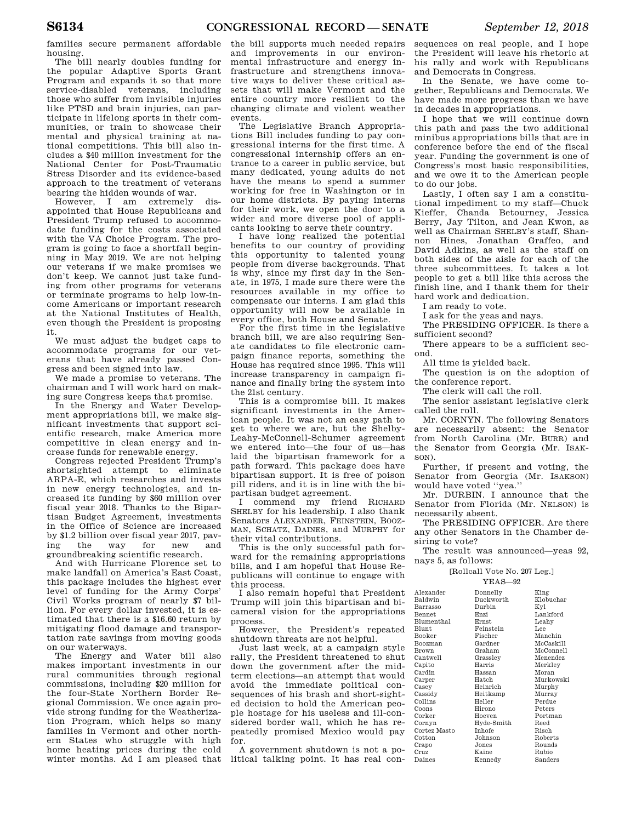families secure permanent affordable housing.

The bill nearly doubles funding for the popular Adaptive Sports Grant Program and expands it so that more service-disabled veterans, including those who suffer from invisible injuries like PTSD and brain injuries, can participate in lifelong sports in their communities, or train to showcase their mental and physical training at national competitions. This bill also includes a \$40 million investment for the National Center for Post-Traumatic Stress Disorder and its evidence-based approach to the treatment of veterans bearing the hidden wounds of war.

However, I am extremely disappointed that House Republicans and President Trump refused to accommodate funding for the costs associated with the VA Choice Program. The program is going to face a shortfall beginning in May 2019. We are not helping our veterans if we make promises we don't keep. We cannot just take funding from other programs for veterans or terminate programs to help low-income Americans or important research at the National Institutes of Health, even though the President is proposing it.

We must adjust the budget caps to accommodate programs for our veterans that have already passed Congress and been signed into law.

We made a promise to veterans. The chairman and I will work hard on making sure Congress keeps that promise.

In the Energy and Water Development appropriations bill, we make significant investments that support scientific research, make America more competitive in clean energy and increase funds for renewable energy.

Congress rejected President Trump's shortsighted attempt to eliminate ARPA-E, which researches and invests in new energy technologies, and increased its funding by \$60 million over fiscal year 2018. Thanks to the Bipartisan Budget Agreement, investments in the Office of Science are increased by \$1.2 billion over fiscal year 2017, paving the way for new and groundbreaking scientific research.

And with Hurricane Florence set to make landfall on America's East Coast, this package includes the highest ever level of funding for the Army Corps' Civil Works program of nearly \$7 billion. For every dollar invested, it is estimated that there is a \$16.60 return by mitigating flood damage and transportation rate savings from moving goods on our waterways.

The Energy and Water bill also makes important investments in our rural communities through regional commissions, including \$20 million for the four-State Northern Border Regional Commission. We once again provide strong funding for the Weatherization Program, which helps so many families in Vermont and other northern States who struggle with high home heating prices during the cold

the bill supports much needed repairs and improvements in our environmental infrastructure and energy infrastructure and strengthens innovative ways to deliver these critical assets that will make Vermont and the entire country more resilient to the changing climate and violent weather events.

The Legislative Branch Appropriations Bill includes funding to pay congressional interns for the first time. A congressional internship offers an entrance to a career in public service, but many dedicated, young adults do not have the means to spend a summer working for free in Washington or in our home districts. By paying interns for their work, we open the door to a wider and more diverse pool of applicants looking to serve their country.

I have long realized the potential benefits to our country of providing this opportunity to talented young people from diverse backgrounds. That is why, since my first day in the Senate, in 1975, I made sure there were the resources available in my office to compensate our interns. I am glad this opportunity will now be available in every office, both House and Senate.

For the first time in the legislative branch bill, we are also requiring Senate candidates to file electronic campaign finance reports, something the House has required since 1995. This will increase transparency in campaign finance and finally bring the system into the 21st century.

This is a compromise bill. It makes significant investments in the American people. It was not an easy path to get to where we are, but the Shelby-Leahy-McConnell-Schumer agreement we entered into—the four of us—has laid the bipartisan framework for a path forward. This package does have bipartisan support. It is free of poison pill riders, and it is in line with the bipartisan budget agreement.

I commend my friend RICHARD SHELBY for his leadership. I also thank Senators ALEXANDER, FEINSTEIN, BOOZ-MAN, SCHATZ, DAINES, and MURPHY for their vital contributions.

This is the only successful path forward for the remaining appropriations bills, and I am hopeful that House Republicans will continue to engage with this process.

I also remain hopeful that President Trump will join this bipartisan and bicameral vision for the appropriations process.

However, the President's repeated shutdown threats are not helpful.

Just last week, at a campaign style rally, the President threatened to shut down the government after the midterm elections—an attempt that would avoid the immediate political consequences of his brash and short-sighted decision to hold the American people hostage for his useless and ill-considered border wall, which he has repeatedly promised Mexico would pay for.

winter months. Ad I am pleased that litical talking point. It has real con-A government shutdown is not a po-

sequences on real people, and I hope the President will leave his rhetoric at his rally and work with Republicans and Democrats in Congress.

In the Senate, we have come together, Republicans and Democrats. We have made more progress than we have in decades in appropriations.

I hope that we will continue down this path and pass the two additional minibus appropriations bills that are in conference before the end of the fiscal year. Funding the government is one of Congress's most basic responsibilities, and we owe it to the American people to do our jobs.

Lastly, I often say I am a constitutional impediment to my staff—Chuck Kieffer, Chanda Betourney, Jessica Berry, Jay Tilton, and Jean Kwon, as well as Chairman SHELBY's staff, Shannon Hines, Jonathan Graffeo, and David Adkins, as well as the staff on both sides of the aisle for each of the three subcommittees. It takes a lot people to get a bill like this across the finish line, and I thank them for their hard work and dedication.

I am ready to vote.

I ask for the yeas and nays.

The PRESIDING OFFICER. Is there a sufficient second?

There appears to be a sufficient second.

All time is yielded back.

The question is on the adoption of the conference report.

The clerk will call the roll.

The senior assistant legislative clerk called the roll.

Mr. CORNYN. The following Senators are necessarily absent: the Senator from North Carolina (Mr. BURR) and the Senator from Georgia (Mr. ISAK-SON).

Further, if present and voting, the Senator from Georgia (Mr. ISAKSON) would have voted ''yea.''

Mr. DURBIN. I announce that the Senator from Florida (Mr. NELSON) is necessarily absent.

The PRESIDING OFFICER. Are there any other Senators in the Chamber desiring to vote?

The result was announced—yeas 92, nays 5, as follows:

[Rollcall Vote No. 207 Leg.]

YEAS—92

| Alexander      | Donnelly      | King      |
|----------------|---------------|-----------|
| Baldwin        | Duckworth     | Klobuchar |
| Barrasso       | Durbin        | Kyl       |
| <b>Bennet</b>  | Enzi          | Lankford  |
| Blumenthal     | Ernst         | Leahv     |
| <b>Blunt</b>   | Feinstein     | T.ee      |
| Booker         | Fischer       | Manchin   |
| <b>Boozman</b> | Gardner       | McCaskill |
| Brown          | Graham        | McConnell |
| Cantwell       | Grassley      | Menendez  |
| Capito         | Harris        | Merkley   |
| Cardin         | Hassan        | Moran     |
| Carper         | Hatch         | Murkowski |
| Casey          | Heinrich      | Murphy    |
| Cassidy        | Heitkamp      | Murray    |
| Collins        | Heller        | Perdue    |
| Coons          | Hirono        | Peters    |
| Corker         | Hoeven        | Portman   |
| Cornyn         | Hyde-Smith    | Reed      |
| Cortez Masto   | <b>Inhofe</b> | Risch     |
| Cotton         | Johnson       | Roberts   |
| Crapo          | Jones         | Rounds    |
| Cruz           | Kaine         | Rubio     |
| Daines         | Kennedy       | Sanders   |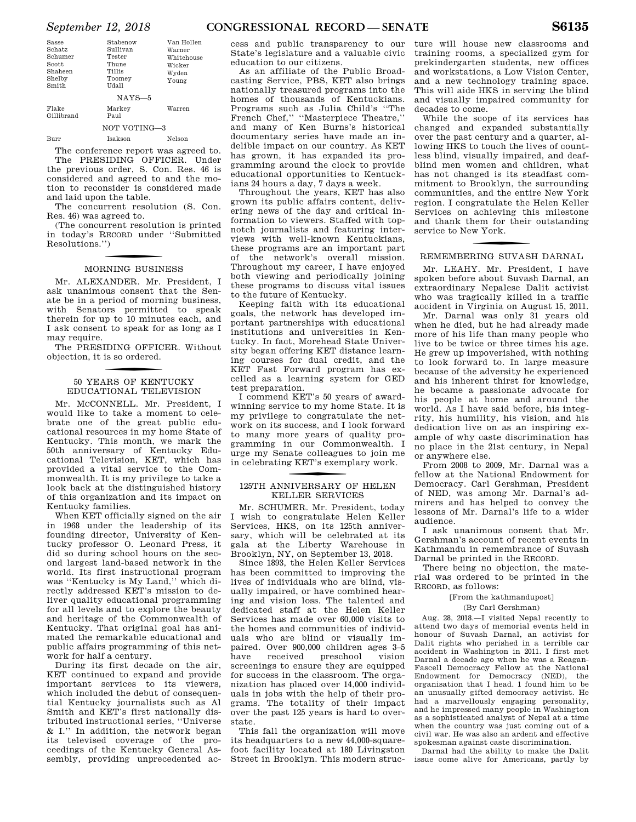| Sasse<br>Schatz<br>Schumer<br>Scott<br>Shaheen<br>Shelby<br>Smith | Stabenow<br>Sullivan<br>Tester<br>Thune<br><b>Tillis</b><br>Toomey<br>Udall | Van Hollen<br>Warner<br>Whitehouse<br>Wicker<br>Wyden<br>Young |
|-------------------------------------------------------------------|-----------------------------------------------------------------------------|----------------------------------------------------------------|
|                                                                   | $NAYS-5$                                                                    |                                                                |
| Flake<br>Gillibrand                                               | Markey<br>Paul                                                              | Warren                                                         |
|                                                                   | NOT VOTING-3                                                                |                                                                |
| Burr                                                              | Isakson                                                                     | Nelson                                                         |

The conference report was agreed to. The PRESIDING OFFICER. Under the previous order, S. Con. Res. 46 is considered and agreed to and the motion to reconsider is considered made and laid upon the table.

The concurrent resolution (S. Con. Res. 46) was agreed to.

(The concurrent resolution is printed in today's RECORD under ''Submitted Resolutions.'')

# f MORNING BUSINESS

Mr. ALEXANDER. Mr. President, I ask unanimous consent that the Senate be in a period of morning business, with Senators permitted to speak therein for up to 10 minutes each, and I ask consent to speak for as long as I may require.

The PRESIDING OFFICER. Without objection, it is so ordered.

## 50 YEARS OF KENTUCKY EDUCATIONAL TELEVISION

Mr. MCCONNELL. Mr. President, I would like to take a moment to celebrate one of the great public educational resources in my home State of Kentucky. This month, we mark the 50th anniversary of Kentucky Educational Television, KET, which has provided a vital service to the Commonwealth. It is my privilege to take a look back at the distinguished history of this organization and its impact on Kentucky families.

When KET officially signed on the air in 1968 under the leadership of its founding director, University of Kentucky professor O. Leonard Press, it did so during school hours on the second largest land-based network in the world. Its first instructional program was ''Kentucky is My Land,'' which directly addressed KET's mission to deliver quality educational programming for all levels and to explore the beauty and heritage of the Commonwealth of Kentucky. That original goal has animated the remarkable educational and public affairs programming of this network for half a century.

During its first decade on the air, KET continued to expand and provide important services to its viewers, which included the debut of consequential Kentucky journalists such as Al Smith and KET's first nationally distributed instructional series, ''Universe & I.'' In addition, the network began its televised coverage of the proceedings of the Kentucky General Assembly, providing unprecedented access and public transparency to our State's legislature and a valuable civic education to our citizens.

As an affiliate of the Public Broadcasting Service, PBS, KET also brings nationally treasured programs into the homes of thousands of Kentuckians. Programs such as Julia Child's ''The French Chef,'' ''Masterpiece Theatre,'' and many of Ken Burns's historical documentary series have made an indelible impact on our country. As KET has grown, it has expanded its programming around the clock to provide educational opportunities to Kentuckians 24 hours a day, 7 days a week.

Throughout the years, KET has also grown its public affairs content, delivering news of the day and critical information to viewers. Staffed with topnotch journalists and featuring interviews with well-known Kentuckians, these programs are an important part of the network's overall mission. Throughout my career, I have enjoyed both viewing and periodically joining these programs to discuss vital issues to the future of Kentucky.

Keeping faith with its educational goals, the network has developed important partnerships with educational institutions and universities in Kentucky. In fact, Morehead State University began offering KET distance learning courses for dual credit, and the KET Fast Forward program has excelled as a learning system for GED test preparation.

I commend KET's 50 years of awardwinning service to my home State. It is my privilege to congratulate the network on its success, and I look forward to many more years of quality programming in our Commonwealth. I urge my Senate colleagues to join me in celebrating KET's exemplary work.

### 125TH ANNIVERSARY OF HELEN KELLER SERVICES

Mr. SCHUMER. Mr. President, today I wish to congratulate Helen Keller Services, HKS, on its 125th anniversary, which will be celebrated at its gala at the Liberty Warehouse in Brooklyn, NY, on September 13, 2018.

Since 1893, the Helen Keller Services has been committed to improving the lives of individuals who are blind, visually impaired, or have combined hearing and vision loss. The talented and dedicated staff at the Helen Keller Services has made over 60,000 visits to the homes and communities of individuals who are blind or visually impaired. Over 900,000 children ages 3–5 have received preschool vision screenings to ensure they are equipped for success in the classroom. The organization has placed over 14,000 individuals in jobs with the help of their programs. The totality of their impact over the past 125 years is hard to overstate.

This fall the organization will move its headquarters to a new 44,000-squarefoot facility located at 180 Livingston Street in Brooklyn. This modern struc-

ture will house new classrooms and training rooms, a specialized gym for prekindergarten students, new offices and workstations, a Low Vision Center, and a new technology training space. This will aide HKS in serving the blind and visually impaired community for decades to come.

While the scope of its services has changed and expanded substantially over the past century and a quarter, allowing HKS to touch the lives of countless blind, visually impaired, and deafblind men women and children, what has not changed is its steadfast commitment to Brooklyn, the surrounding communities, and the entire New York region. I congratulate the Helen Keller Services on achieving this milestone and thank them for their outstanding service to New York.

## f REMEMBERING SUVASH DARNAL

Mr. LEAHY. Mr. President, I have spoken before about Suvash Darnal, an extraordinary Nepalese Dalit activist who was tragically killed in a traffic accident in Virginia on August 15, 2011.

Mr. Darnal was only 31 years old when he died, but he had already made more of his life than many people who live to be twice or three times his age. He grew up impoverished, with nothing to look forward to. In large measure because of the adversity he experienced and his inherent thirst for knowledge, he became a passionate advocate for his people at home and around the world. As I have said before, his integrity, his humility, his vision, and his dedication live on as an inspiring example of why caste discrimination has no place in the 21st century, in Nepal or anywhere else.

From 2008 to 2009, Mr. Darnal was a fellow at the National Endowment for Democracy. Carl Gershman, President of NED, was among Mr. Darnal's admirers and has helped to convey the lessons of Mr. Darnal's life to a wider audience.

I ask unanimous consent that Mr. Gershman's account of recent events in Kathmandu in remembrance of Suvash Darnal be printed in the RECORD.

There being no objection, the material was ordered to be printed in the RECORD, as follows:

#### [From the kathmandupost] (By Carl Gershman)

Aug. 28, 2018.—I visited Nepal recently to attend two days of memorial events held in honour of Suvash Darnal, an activist for Dalit rights who perished in a terrible car accident in Washington in 2011. I first met Darnal a decade ago when he was a Reagan-Fascell Democracy Fellow at the National Endowment for Democracy (NED), the organisation that I head. 1 found him to be an unusually gifted democracy activist. He had a marvellously engaging personality, and he impressed many people in Washington as a sophisticated analyst of Nepal at a time when the country was just coming out of a civil war. He was also an ardent and effective spokesman against caste discrimination.

Darnal had the ability to make the Dalit issue come alive for Americans, partly by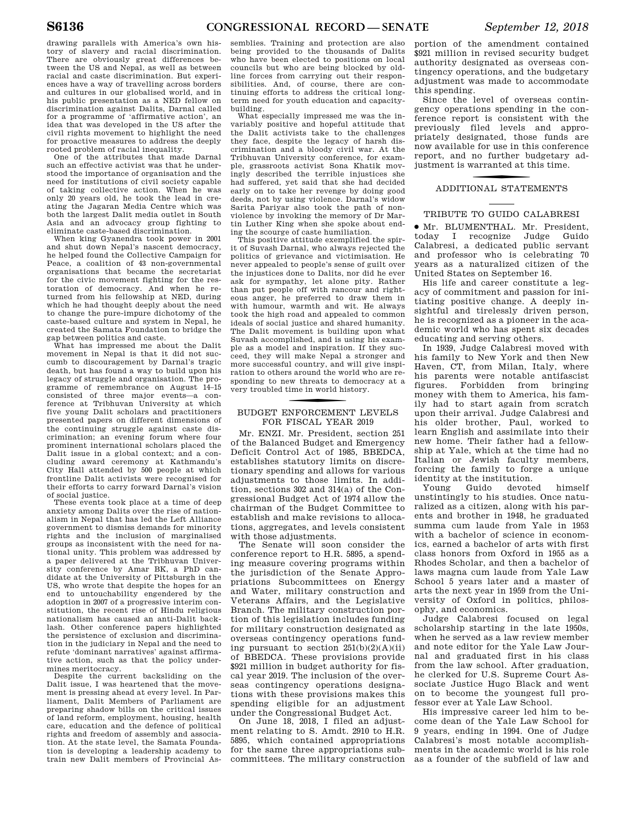drawing parallels with America's own history of slavery and racial discrimination. There are obviously great differences between the US and Nepal, as well as between racial and caste discrimination. But experiences have a way of travelling across borders and cultures in our globalised world, and in his public presentation as a NED fellow on discrimination against Dalits, Darnal called for a programme of 'affirmative action', an idea that was developed in the US after the civil rights movement to highlight the need for proactive measures to address the deeply rooted problem of racial inequality.

One of the attributes that made Darnal such an effective activist was that he understood the importance of organisation and the need for institutions of civil society capable of taking collective action. When he was only 20 years old, he took the lead in creating the Jagaran Media Centre which was both the largest Dalit media outlet in South Asia and an advocacy group fighting to eliminate caste-based discrimination.

When king Gyanendra took power in 2001 and shut down Nepal's nascent democracy, he helped found the Collective Campaign for Peace, a coalition of 43 non-governmental organisations that became the secretariat for the civic movement fighting for the restoration of democracy. And when he returned from his fellowship at NED, during which he had thought deeply about the need to change the pure-impure dichotomy of the caste-based culture and system in Nepal, he created the Samata Foundation to bridge the gap between politics and caste.

What has impressed me about the Dalit movement in Nepal is that it did not succumb to discouragement by Darnal's tragic death, but has found a way to build upon his legacy of struggle and organisation. The programme of remembrance on August 14–15 consisted of three major events—a conference at Tribhuvan University at which five young Dalit scholars and practitioners presented papers on different dimensions of the continuing struggle against caste discrimination; an evening forum where four prominent international scholars placed the Dalit issue in a global context; and a concluding award ceremony at Kathmandu's City Hall attended by 500 people at which frontline Dalit activists were recognised for their efforts to carry forward Darnal's vision of social justice.

These events took place at a time of deep anxiety among Dalits over the rise of nationalism in Nepal that has led the Left Alliance government to dismiss demands for minority rights and the inclusion of marginalised groups as inconsistent with the need for national unity. This problem was addressed by a paper delivered at the Tribhuvan University conference by Amar BK, a PhD candidate at the University of Pittsburgh in the US, who wrote that despite the hopes for an end to untouchability engendered by the adoption in 2007 of a progressive interim constitution, the recent rise of Hindu religious nationalism has caused an anti-Dalit backlash. Other conference papers highlighted the persistence of exclusion and discrimination in the judiciary in Nepal and the need to refute 'dominant narratives' against affirmative action, such as that the policy undermines meritocracy.

Despite the current backsliding on the Dalit issue, I was heartened that the movement is pressing ahead at every level. In Parliament, Dalit Members of Parliament are preparing shadow bills on the critical issues of land reform, employment, housing, health care, education and the defence of political rights and freedom of assembly and association. At the state level, the Samata Foundation is developing a leadership academy to train new Dalit members of Provincial As-

semblies. Training and protection are also being provided to the thousands of Dalits who have been elected to positions on local councils but who are being blocked by oldline forces from carrying out their responsibilities. And, of course, there are continuing efforts to address the critical longterm need for youth education and capacitybuilding.

What especially impressed me was the invariably positive and hopeful attitude that the Dalit activists take to the challenges they face, despite the legacy of harsh discrimination and a bloody civil war. At the Tribhuvan University conference, for example, grassroots activist Sona Khatik movingly described the terrible injustices she had suffered, yet said that she had decided early on to take her revenge by doing good deeds, not by using violence. Darnal's widow Sarita Pariyar also took the path of nonviolence by invoking the memory of Dr Martin Luther King when she spoke about ending the scourge of caste humiliation.

This positive attitude exemplified the spirit of Suvash Darnal, who always rejected the politics of grievance and victimisation. He never appealed to people's sense of guilt over the injustices done to Dalits, nor did he ever ask for sympathy, let alone pity. Rather than put people off with rancour and righteous anger, he preferred to draw them in with humour, warmth and wit. He always took the high road and appealed to common ideals of social justice and shared humanity. The Dalit movement is building upon what Suvash accomplished, and is using his example as a model and inspiration. If they succeed, they will make Nepal a stronger and more successful country, and will give inspiration to others around the world who are responding to new threats to democracy at a very troubled time in world history.

## f BUDGET ENFORCEMENT LEVELS FOR FISCAL YEAR 2019

Mr. ENZI. Mr. President, section 251 of the Balanced Budget and Emergency Deficit Control Act of 1985, BBEDCA, establishes statutory limits on discretionary spending and allows for various adjustments to those limits. In addition, sections 302 and 314(a) of the Congressional Budget Act of 1974 allow the chairman of the Budget Committee to establish and make revisions to allocations, aggregates, and levels consistent with those adjustments.

The Senate will soon consider the conference report to H.R. 5895, a spending measure covering programs within the jurisdiction of the Senate Appropriations Subcommittees on Energy and Water, military construction and Veterans Affairs, and the Legislative Branch. The military construction portion of this legislation includes funding for military construction designated as overseas contingency operations funding pursuant to section  $251(b)(2)(A)(ii)$ of BBEDCA. These provisions provide \$921 million in budget authority for fiscal year 2019. The inclusion of the overseas contingency operations designations with these provisions makes this spending eligible for an adjustment under the Congressional Budget Act.

On June 18, 2018, I filed an adjustment relating to S. Amdt. 2910 to H.R. 5895, which contained appropriations for the same three appropriations subcommittees. The military construction

portion of the amendment contained \$921 million in revised security budget authority designated as overseas contingency operations, and the budgetary adjustment was made to accommodate this spending.

Since the level of overseas contingency operations spending in the conference report is consistent with the previously filed levels and appropriately designated, those funds are now available for use in this conference report, and no further budgetary adjustment is warranted at this time.

## f ADDITIONAL STATEMENTS

#### TRIBUTE TO GUIDO CALABRESI

∑ Mr. BLUMENTHAL. Mr. President, today I recognize Judge Guido Calabresi, a dedicated public servant and professor who is celebrating 70 years as a naturalized citizen of the United States on September 16.

His life and career constitute a legacy of commitment and passion for initiating positive change. A deeply insightful and tirelessly driven person, he is recognized as a pioneer in the academic world who has spent six decades educating and serving others.

In 1939, Judge Calabresi moved with his family to New York and then New Haven, CT, from Milan, Italy, where his parents were notable antifascist figures. Forbidden from bringing money with them to America, his family had to start again from scratch upon their arrival. Judge Calabresi and his older brother, Paul, worked to learn English and assimilate into their new home. Their father had a fellowship at Yale, which at the time had no Italian or Jewish faculty members, forcing the family to forge a unique identity at the institution.

Young Guido devoted himself unstintingly to his studies. Once naturalized as a citizen, along with his parents and brother in 1948, he graduated summa cum laude from Yale in 1953 with a bachelor of science in economics, earned a bachelor of arts with first class honors from Oxford in 1955 as a Rhodes Scholar, and then a bachelor of laws magna cum laude from Yale Law School 5 years later and a master of arts the next year in 1959 from the University of Oxford in politics, philosophy, and economics.

Judge Calabresi focused on legal scholarship starting in the late 1950s, when he served as a law review member and note editor for the Yale Law Journal and graduated first in his class from the law school. After graduation, he clerked for U.S. Supreme Court Associate Justice Hugo Black and went on to become the youngest full professor ever at Yale Law School.

His impressive career led him to become dean of the Yale Law School for 9 years, ending in 1994. One of Judge Calabresi's most notable accomplishments in the academic world is his role as a founder of the subfield of law and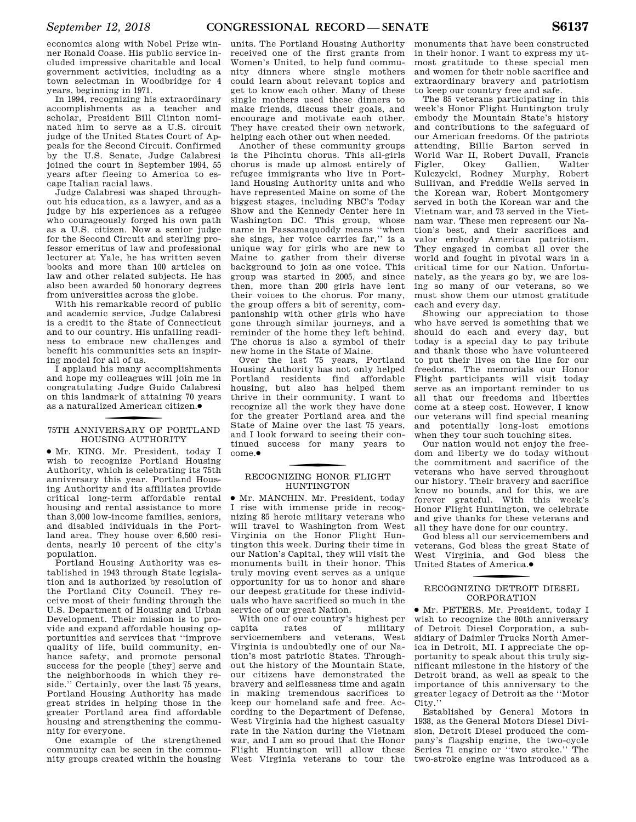economics along with Nobel Prize winner Ronald Coase. His public service included impressive charitable and local government activities, including as a town selectman in Woodbridge for 4 years, beginning in 1971.

In 1994, recognizing his extraordinary accomplishments as a teacher and scholar, President Bill Clinton nominated him to serve as a U.S. circuit judge of the United States Court of Appeals for the Second Circuit. Confirmed by the U.S. Senate, Judge Calabresi joined the court in September 1994, 55 years after fleeing to America to escape Italian racial laws.

Judge Calabresi was shaped throughout his education, as a lawyer, and as a judge by his experiences as a refugee who courageously forged his own path as a U.S. citizen. Now a senior judge for the Second Circuit and sterling professor emeritus of law and professional lecturer at Yale, he has written seven books and more than 100 articles on law and other related subjects. He has also been awarded 50 honorary degrees from universities across the globe.

With his remarkable record of public and academic service, Judge Calabresi is a credit to the State of Connecticut and to our country. His unfailing readiness to embrace new challenges and benefit his communities sets an inspiring model for all of us.

I applaud his many accomplishments and hope my colleagues will join me in congratulating Judge Guido Calabresi on this landmark of attaining 70 years as a naturalized American citizen. ∑

## 75TH ANNIVERSARY OF PORTLAND HOUSING AUTHORITY

∑ Mr. KING. Mr. President, today I wish to recognize Portland Housing Authority, which is celebrating its 75th anniversary this year. Portland Housing Authority and its affiliates provide critical long-term affordable rental housing and rental assistance to more than 3,000 low-income families, seniors, and disabled individuals in the Portland area. They house over 6,500 residents, nearly 10 percent of the city's population.

Portland Housing Authority was established in 1943 through State legislation and is authorized by resolution of the Portland City Council. They receive most of their funding through the U.S. Department of Housing and Urban Development. Their mission is to provide and expand affordable housing opportunities and services that ''improve quality of life, build community, enhance safety, and promote personal success for the people [they] serve and the neighborhoods in which they reside.'' Certainly, over the last 75 years, Portland Housing Authority has made great strides in helping those in the greater Portland area find affordable housing and strengthening the community for everyone.

One example of the strengthened community can be seen in the community groups created within the housing

units. The Portland Housing Authority received one of the first grants from Women's United, to help fund community dinners where single mothers could learn about relevant topics and get to know each other. Many of these single mothers used these dinners to make friends, discuss their goals, and encourage and motivate each other. They have created their own network, helping each other out when needed.

Another of these community groups is the Pihcintu chorus. This all-girls chorus is made up almost entirely of refugee immigrants who live in Portland Housing Authority units and who have represented Maine on some of the biggest stages, including NBC's Today Show and the Kennedy Center here in Washington DC. This group, whose name in Passamaquoddy means ''when she sings, her voice carries far,'' is a unique way for girls who are new to Maine to gather from their diverse background to join as one voice. This group was started in 2005, and since then, more than 200 girls have lent their voices to the chorus. For many, the group offers a bit of serenity, companionship with other girls who have gone through similar journeys, and a reminder of the home they left behind. The chorus is also a symbol of their new home in the State of Maine.

Over the last 75 years, Portland Housing Authority has not only helped Portland residents find affordable housing, but also has helped them thrive in their community. I want to recognize all the work they have done for the greater Portland area and the State of Maine over the last 75 years, and I look forward to seeing their continued success for many years to come.∑

## f RECOGNIZING HONOR FLIGHT HUNTINGTON

∑ Mr. MANCHIN. Mr. President, today I rise with immense pride in recognizing 85 heroic military veterans who will travel to Washington from West Virginia on the Honor Flight Huntington this week. During their time in our Nation's Capital, they will visit the monuments built in their honor. This truly moving event serves as a unique opportunity for us to honor and share our deepest gratitude for these individuals who have sacrificed so much in the service of our great Nation.

With one of our country's highest per capita rates of military servicemembers and veterans, West Virginia is undoubtedly one of our Nation's most patriotic States. Throughout the history of the Mountain State, our citizens have demonstrated the bravery and selflessness time and again in making tremendous sacrifices to keep our homeland safe and free. According to the Department of Defense, West Virginia had the highest casualty rate in the Nation during the Vietnam war, and I am so proud that the Honor Flight Huntington will allow these West Virginia veterans to tour the

monuments that have been constructed in their honor. I want to express my utmost gratitude to these special men and women for their noble sacrifice and extraordinary bravery and patriotism to keep our country free and safe.

The 85 veterans participating in this week's Honor Flight Huntington truly embody the Mountain State's history and contributions to the safeguard of our American freedoms. Of the patriots attending, Billie Barton served in World War II, Robert Duvall, Francis Gallien, Kulczycki, Rodney Murphy, Robert Sullivan, and Freddie Wells served in the Korean war, Robert Montgomery served in both the Korean war and the Vietnam war, and 73 served in the Vietnam war. These men represent our Nation's best, and their sacrifices and valor embody American patriotism. They engaged in combat all over the world and fought in pivotal wars in a critical time for our Nation. Unfortunately, as the years go by, we are losing so many of our veterans, so we must show them our utmost gratitude each and every day.

Showing our appreciation to those who have served is something that we should do each and every day, but today is a special day to pay tribute and thank those who have volunteered to put their lives on the line for our freedoms. The memorials our Honor Flight participants will visit today serve as an important reminder to us all that our freedoms and liberties come at a steep cost. However, I know our veterans will find special meaning and potentially long-lost emotions when they tour such touching sites.

Our nation would not enjoy the freedom and liberty we do today without the commitment and sacrifice of the veterans who have served throughout our history. Their bravery and sacrifice know no bounds, and for this, we are forever grateful. With this week's Honor Flight Huntington, we celebrate and give thanks for these veterans and all they have done for our country.

God bless all our servicemembers and veterans, God bless the great State of West Virginia, and God bless the United States of America.●

## f RECOGNIZING DETROIT DIESEL CORPORATION

∑ Mr. PETERS. Mr. President, today I wish to recognize the 80th anniversary of Detroit Diesel Corporation, a subsidiary of Daimler Trucks North America in Detroit, MI. I appreciate the opportunity to speak about this truly significant milestone in the history of the Detroit brand, as well as speak to the importance of this anniversary to the greater legacy of Detroit as the ''Motor City.''

Established by General Motors in 1938, as the General Motors Diesel Division, Detroit Diesel produced the company's flagship engine, the two-cycle Series 71 engine or ''two stroke.'' The two-stroke engine was introduced as a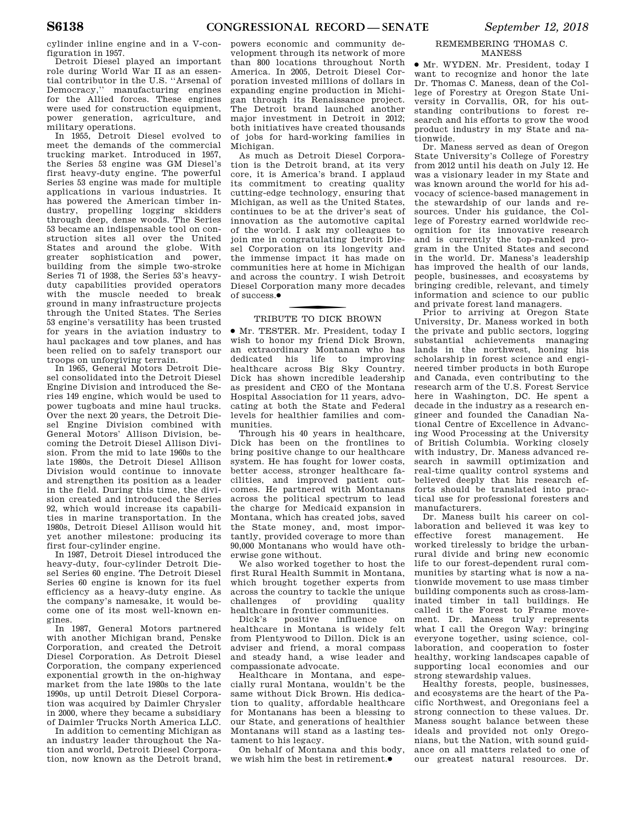cylinder inline engine and in a V-configuration in 1957.

Detroit Diesel played an important role during World War II as an essential contributor in the U.S. ''Arsenal of Democracy,'' manufacturing engines for the Allied forces. These engines were used for construction equipment, power generation, agriculture, and military operations.

In 1955, Detroit Diesel evolved to meet the demands of the commercial trucking market. Introduced in 1957, the Series 53 engine was GM Diesel's first heavy-duty engine. The powerful Series 53 engine was made for multiple applications in various industries. It has powered the American timber industry, propelling logging skidders through deep, dense woods. The Series 53 became an indispensable tool on construction sites all over the United States and around the globe. With greater sophistication and power, building from the simple two-stroke Series 71 of 1938, the Series 53's heavyduty capabilities provided operators with the muscle needed to break ground in many infrastructure projects through the United States. The Series 53 engine's versatility has been trusted for years in the aviation industry to haul packages and tow planes, and has been relied on to safely transport our troops on unforgiving terrain.

In 1965, General Motors Detroit Diesel consolidated into the Detroit Diesel Engine Division and introduced the Series 149 engine, which would be used to power tugboats and mine haul trucks. Over the next 20 years, the Detroit Diesel Engine Division combined with General Motors' Allison Division, becoming the Detroit Diesel Allison Division. From the mid to late 1960s to the late 1980s, the Detroit Diesel Allison Division would continue to innovate and strengthen its position as a leader in the field. During this time, the division created and introduced the Series 92, which would increase its capabilities in marine transportation. In the 1980s, Detroit Diesel Allison would hit yet another milestone: producing its first four-cylinder engine.

In 1987, Detroit Diesel introduced the heavy-duty, four-cylinder Detroit Diesel Series 60 engine. The Detroit Diesel Series 60 engine is known for its fuel efficiency as a heavy-duty engine. As the company's namesake, it would become one of its most well-known engines.

In 1987, General Motors partnered with another Michigan brand, Penske Corporation, and created the Detroit Diesel Corporation. As Detroit Diesel Corporation, the company experienced exponential growth in the on-highway market from the late 1980s to the late 1990s, up until Detroit Diesel Corporation was acquired by Daimler Chrysler in 2000, where they became a subsidiary of Daimler Trucks North America LLC.

In addition to cementing Michigan as an industry leader throughout the Nation and world, Detroit Diesel Corporation, now known as the Detroit brand,

powers economic and community development through its network of more than 800 locations throughout North America. In 2005, Detroit Diesel Corporation invested millions of dollars in expanding engine production in Michigan through its Renaissance project. The Detroit brand launched another major investment in Detroit in 2012; both initiatives have created thousands of jobs for hard-working families in Michigan.

As much as Detroit Diesel Corporation is the Detroit brand, at its very core, it is America's brand. I applaud its commitment to creating quality cutting-edge technology, ensuring that Michigan, as well as the United States, continues to be at the driver's seat of innovation as the automotive capital of the world. I ask my colleagues to join me in congratulating Detroit Diesel Corporation on its longevity and the immense impact it has made on communities here at home in Michigan and across the country. I wish Detroit Diesel Corporation many more decades of success.∑

## f TRIBUTE TO DICK BROWN

∑ Mr. TESTER. Mr. President, today I wish to honor my friend Dick Brown, an extraordinary Montanan who has dedicated his life to improving healthcare across Big Sky Country. Dick has shown incredible leadership as president and CEO of the Montana Hospital Association for 11 years, advocating at both the State and Federal levels for healthier families and communities.

Through his 40 years in healthcare, Dick has been on the frontlines to bring positive change to our healthcare system. He has fought for lower costs, better access, stronger healthcare facilities, and improved patient outcomes. He partnered with Montanans across the political spectrum to lead the charge for Medicaid expansion in Montana, which has created jobs, saved the State money, and, most importantly, provided coverage to more than 90,000 Montanans who would have otherwise gone without.

We also worked together to host the first Rural Health Summit in Montana, which brought together experts from across the country to tackle the unique challenges of providing quality healthcare in frontier communities.<br>Dick's positive influence

Dick's positive influence on healthcare in Montana is widely felt from Plentywood to Dillon. Dick is an adviser and friend, a moral compass and steady hand, a wise leader and compassionate advocate.

Healthcare in Montana, and especially rural Montana, wouldn't be the same without Dick Brown. His dedication to quality, affordable healthcare for Montanans has been a blessing to our State, and generations of healthier Montanans will stand as a lasting testament to his legacy.

On behalf of Montana and this body, we wish him the best in retirement.●

#### REMEMBERING THOMAS C. MANESS

∑ Mr. WYDEN. Mr. President, today I want to recognize and honor the late Dr. Thomas C. Maness, dean of the College of Forestry at Oregon State University in Corvallis, OR, for his outstanding contributions to forest research and his efforts to grow the wood product industry in my State and nationwide.

Dr. Maness served as dean of Oregon State University's College of Forestry from 2012 until his death on July 12. He was a visionary leader in my State and was known around the world for his advocacy of science-based management in the stewardship of our lands and resources. Under his guidance, the College of Forestry earned worldwide recognition for its innovative research and is currently the top-ranked program in the United States and second in the world. Dr. Maness's leadership has improved the health of our lands, people, businesses, and ecosystems by bringing credible, relevant, and timely information and science to our public and private forest land managers.

Prior to arriving at Oregon State University, Dr. Maness worked in both the private and public sectors, logging substantial achievements managing lands in the northwest, honing his scholarship in forest science and engineered timber products in both Europe and Canada, even contributing to the research arm of the U.S. Forest Service here in Washington, DC. He spent a decade in the industry as a research engineer and founded the Canadian National Centre of Excellence in Advancing Wood Processing at the University of British Columbia. Working closely with industry, Dr. Maness advanced research in sawmill optimization and real-time quality control systems and believed deeply that his research efforts should be translated into practical use for professional foresters and manufacturers.

Dr. Maness built his career on collaboration and believed it was key to effective forest management. He worked tirelessly to bridge the urbanrural divide and bring new economic life to our forest-dependent rural communities by starting what is now a nationwide movement to use mass timber building components such as cross-laminated timber in tall buildings. He called it the Forest to Frame movement. Dr. Maness truly represents what I call the Oregon Way: bringing everyone together, using science, collaboration, and cooperation to foster healthy, working landscapes capable of supporting local economies and our strong stewardship values.

Healthy forests, people, businesses, and ecosystems are the heart of the Pacific Northwest, and Oregonians feel a strong connection to these values. Dr. Maness sought balance between these ideals and provided not only Oregonians, but the Nation, with sound guidance on all matters related to one of our greatest natural resources. Dr.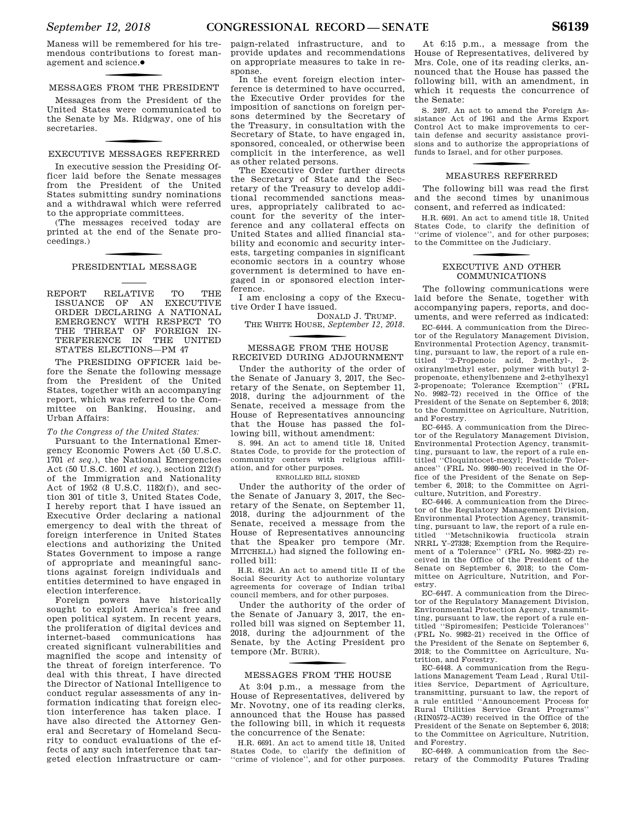Maness will be remembered for his tremendous contributions to forest management and science.●

## f MESSAGES FROM THE PRESIDENT

Messages from the President of the United States were communicated to the Senate by Ms. Ridgway, one of his secretaries.

## f EXECUTIVE MESSAGES REFERRED

In executive session the Presiding Officer laid before the Senate messages from the President of the United States submitting sundry nominations and a withdrawal which were referred to the appropriate committees.

(The messages received today are printed at the end of the Senate proceedings.)

## f PRESIDENTIAL MESSAGE

REPORT RELATIVE TO THE ISSUANCE OF AN EXECUTIVE ISSUANCE OF AN ORDER DECLARING A NATIONAL EMERGENCY WITH RESPECT TO THE THREAT OF FOREIGN IN-TERFERENCE IN THE UNITED STATES ELECTIONS—PM 47

The PRESIDING OFFICER laid before the Senate the following message from the President of the United States, together with an accompanying report, which was referred to the Committee on Banking, Housing, and Urban Affairs:

#### *To the Congress of the United States:*

Pursuant to the International Emergency Economic Powers Act (50 U.S.C. 1701 *et seq.*), the National Emergencies Act (50 U.S.C. 1601 *et seq.*), section 212(f) of the Immigration and Nationality Act of 1952 (8 U.S.C. 1182(f)), and section 301 of title 3, United States Code, I hereby report that I have issued an Executive Order declaring a national emergency to deal with the threat of foreign interference in United States elections and authorizing the United States Government to impose a range of appropriate and meaningful sanctions against foreign individuals and entities determined to have engaged in election interference.

Foreign powers have historically sought to exploit America's free and open political system. In recent years, the proliferation of digital devices and internet-based communications has created significant vulnerabilities and magnified the scope and intensity of the threat of foreign interference. To deal with this threat, I have directed the Director of National Intelligence to conduct regular assessments of any information indicating that foreign election interference has taken place. I have also directed the Attorney General and Secretary of Homeland Security to conduct evaluations of the effects of any such interference that targeted election infrastructure or campaign-related infrastructure, and to provide updates and recommendations on appropriate measures to take in response.

In the event foreign election interference is determined to have occurred, the Executive Order provides for the imposition of sanctions on foreign persons determined by the Secretary of the Treasury, in consultation with the Secretary of State, to have engaged in, sponsored, concealed, or otherwise been complicit in the interference, as well as other related persons.

The Executive Order further directs the Secretary of State and the Secretary of the Treasury to develop additional recommended sanctions measures, appropriately calibrated to account for the severity of the interference and any collateral effects on United States and allied financial stability and economic and security interests, targeting companies in significant economic sectors in a country whose government is determined to have engaged in or sponsored election interference.

I am enclosing a copy of the Executive Order I have issued.

DONALD J. TRUMP. THE WHITE HOUSE, *September 12, 2018.* 

## f MESSAGE FROM THE HOUSE RECEIVED DURING ADJOURNMENT

Under the authority of the order of the Senate of January 3, 2017, the Secretary of the Senate, on September 11, 2018, during the adjournment of the Senate, received a message from the House of Representatives announcing that the House has passed the following bill, without amendment:

S. 994. An act to amend title 18, United States Code, to provide for the protection of community centers with religious affiliation, and for other purposes.

ENROLLED BILL SIGNED

Under the authority of the order of the Senate of January 3, 2017, the Secretary of the Senate, on September 11, 2018, during the adjournment of the Senate, received a message from the House of Representatives announcing that the Speaker pro tempore (Mr. MITCHELL) had signed the following enrolled bill:

H.R. 6124. An act to amend title II of the Social Security Act to authorize voluntary agreements for coverage of Indian tribal council members, and for other purposes.

Under the authority of the order of the Senate of January 3, 2017, the enrolled bill was signed on September 11, 2018, during the adjournment of the Senate, by the Acting President pro tempore (Mr. B URR).

## f MESSAGES FROM THE HOUSE

At 3:04 p.m., a message from the House of Representatives, delivered by Mr. Novotny, one of its reading clerks, announced that the House has passed the following bill, in which it requests the concurrence of the Senate:

H.R. 6691. An act to amend title 18, United States Code, to clarify the definition of ''crime of violence'', and for other purposes.

At 6:15 p.m., a message from the House of Representatives, delivered by Mrs. Cole, one of its reading clerks, announced that the House has passed the following bill, with an amendment, in which it requests the concurrence of the Senate:

S. 2497. An act to amend the Foreign Assistance Act of 1961 and the Arms Export Control Act to make improvements to certain defense and security assistance provisions and to authorize the appropriations of funds to Israel, and for other purposes.

## f MEASURES REFERRED

The following bill was read the first and the second times by unanimous consent, and referred as indicated:

H.R. 6691. An act to amend title 18, United States Code, to clarify the definition of ''crime of violence'', and for other purposes; to the Committee on the Judiciary.

## f EXECUTIVE AND OTHER COMMUNICATIONS

The following communications were laid before the Senate, together with accompanying papers, reports, and documents, and were referred as indicated:

EC–6444. A communication from the Director of the Regulatory Management Division, Environmental Protection Agency, transmitting, pursuant to law, the report of a rule entitled ''2-Propenoic acid, 2-methyl-, 2 oxiranylmethyl ester, polymer with butyl 2 propenoate, ethenylbenzene and 2-ethylhexyl 2-propenoate; Tolerance Exemption'' (FRL No. 9982–72) received in the Office of the President of the Senate on September 6, 2018; to the Committee on Agriculture, Nutrition, and Forestry.

EC–6445. A communication from the Director of the Regulatory Management Division, Environmental Protection Agency, transmitting, pursuant to law, the report of a rule entitled ''Cloquintocet-mexyl; Pesticide Tolerances'' (FRL No. 9980–90) received in the Office of the President of the Senate on September 6, 2018; to the Committee on Agriculture, Nutrition, and Forestry.

EC–6446. A communication from the Director of the Regulatory Management Division, Environmental Protection Agency, transmitting, pursuant to law, the report of a rule entitled ''Metschnikowia fructicola strain NRRL Y–27328; Exemption from the Requirement of a Tolerance'' (FRL No. 9982–22) received in the Office of the President of the Senate on September 6, 2018; to the Committee on Agriculture, Nutrition, and Forestry.

EC–6447. A communication from the Director of the Regulatory Management Division, Environmental Protection Agency, transmitting, pursuant to law, the report of a rule entitled ''Spiromesifen; Pesticide Tolerances'' (FRL No. 9982–21) received in the Office of the President of the Senate on September 6, 2018; to the Committee on Agriculture, Nutrition, and Forestry.

EC–6448. A communication from the Regulations Management Team Lead , Rural Utilities Service, Department of Agriculture, transmitting, pursuant to law, the report of a rule entitled ''Announcement Process for Rural Utilities Service Grant Programs'' (RIN0572–AC39) received in the Office of the President of the Senate on September 6, 2018; to the Committee on Agriculture, Nutrition, and Forestry.

EC–6449. A communication from the Secretary of the Commodity Futures Trading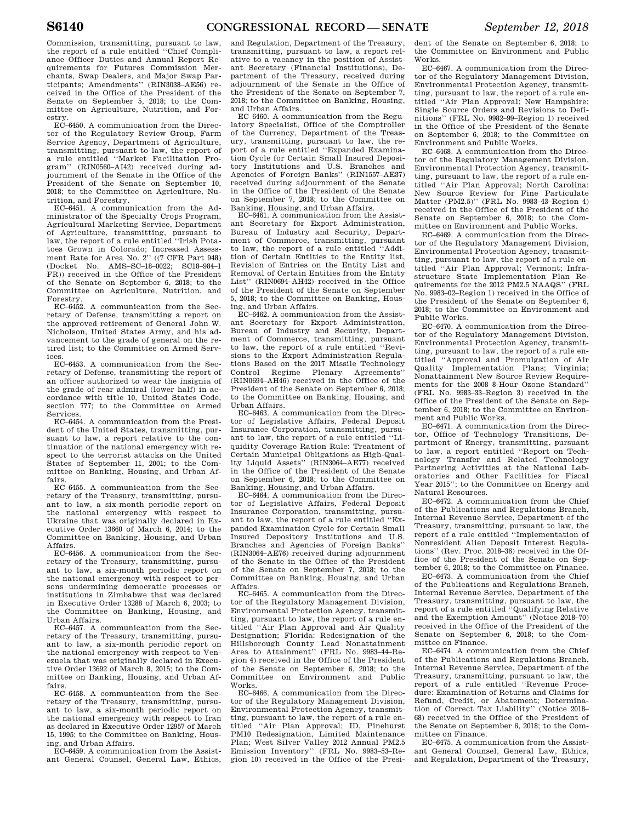Commission, transmitting, pursuant to law, the report of a rule entitled ''Chief Compliance Officer Duties and Annual Report Requirements for Futures Commission Merchants, Swap Dealers, and Major Swap Participants; Amendments'' (RIN3038–AE56) received in the Office of the President of the Senate on September 5, 2018; to the Committee on Agriculture, Nutrition, and Forestry.

EC–6450. A communication from the Director of the Regulatory Review Group, Farm Service Agency, Department of Agriculture, transmitting, pursuant to law, the report of a rule entitled ''Market Facilitation Program'' (RIN0560–AI42) received during adjournment of the Senate in the Office of the President of the Senate on September 10, 2018; to the Committee on Agriculture, Nutrition, and Forestry.

EC–6451. A communication from the Administrator of the Specialty Crops Program, Agricultural Marketing Service, Department of Agriculture, transmitting, pursuant to law, the report of a rule entitled ''Irish Potatoes Grown in Colorado; Increased Assessment Rate for Area No. 2'' ((7 CFR Part 948) (Docket No. AMS–SC–18–0022; SC18–984–1 FR)) received in the Office of the President of the Senate on September 6, 2018; to the Committee on Agriculture, Nutrition, and Forestry.

EC–6452. A communication from the Secretary of Defense, transmitting a report on the approved retirement of General John W. Nicholson, United States Army, and his advancement to the grade of general on the retired list; to the Committee on Armed Services.

EC–6453. A communication from the Secretary of Defense, transmitting the report of an officer authorized to wear the insignia of the grade of rear admiral (lower half) in accordance with title 10, United States Code, section 777; to the Committee on Armed Services.

EC–6454. A communication from the President of the United States, transmitting, pursuant to law, a report relative to the continuation of the national emergency with respect to the terrorist attacks on the United States of September 11, 2001; to the Committee on Banking, Housing, and Urban Affairs.

EC–6455. A communication from the Secretary of the Treasury, transmitting, pursuant to law, a six-month periodic report on the national emergency with respect to Ukraine that was originally declared in Executive Order 13660 of March 6, 2014; to the Committee on Banking, Housing, and Urban Affairs.

EC–6456. A communication from the Secretary of the Treasury, transmitting, pursuant to law, a six-month periodic report on the national emergency with respect to persons undermining democratic processes or institutions in Zimbabwe that was declared in Executive Order 13288 of March 6, 2003; to the Committee on Banking, Housing, and Urban Affairs.

EC–6457. A communication from the Secretary of the Treasury, transmitting, pursuant to law, a six-month periodic report on the national emergency with respect to Venezuela that was originally declared in Executive Order 13692 of March 8, 2015; to the Committee on Banking, Housing, and Urban Affairs.

EC–6458. A communication from the Secretary of the Treasury, transmitting, pursuant to law, a six-month periodic report on the national emergency with respect to Iran as declared in Executive Order 12957 of March 15, 1995; to the Committee on Banking, Housing, and Urban Affairs.

EC–6459. A communication from the Assistant General Counsel, General Law, Ethics,

and Regulation, Department of the Treasury, transmitting, pursuant to law, a report relative to a vacancy in the position of Assistant Secretary (Financial Institutions), Department of the Treasury, received during adjournment of the Senate in the Office of the President of the Senate on September 7, 2018; to the Committee on Banking, Housing, and Urban Affairs.

EC–6460. A communication from the Regulatory Specialist, Office of the Comptroller of the Currency, Department of the Treasury, transmitting, pursuant to law, the report of a rule entitled ''Expanded Examination Cycle for Certain Small Insured Depository Institutions and U.S. Branches and Agencies of Foreign Banks'' (RIN1557–AE37) received during adjournment of the Senate in the Office of the President of the Senate on September 7, 2018; to the Committee on Banking, Housing, and Urban Affairs.

EC–6461. A communication from the Assistant Secretary for Export Administration, Bureau of Industry and Security, Department of Commerce, transmitting, pursuant to law, the report of a rule entitled ''Addition of Certain Entities to the Entity list, Revision of Entries on the Entity List and Removal of Certain Entities from the Entity List'' (RIN0694–AH42) received in the Office of the President of the Senate on September 5, 2018; to the Committee on Banking, Housing, and Urban Affairs.

EC–6462. A communication from the Assistant Secretary for Export Administration, Bureau of Industry and Security, Department of Commerce, transmitting, pursuant to law, the report of a rule entitled ''Revisions to the Export Administration Regulations Based on the 2017 Missile Technology Control Regime Plenary Agreements'' (RIN0694–AH46) received in the Office of the President of the Senate on September 6, 2018; to the Committee on Banking, Housing, and Urban Affairs.

EC–6463. A communication from the Director of Legislative Affairs, Federal Deposit Insurance Corporation, transmitting, pursuant to law, the report of a rule entitled ''Liquidity Coverage Ration Rule: Treatment of Certain Municipal Obligations as High-Quality Liquid Assets'' (RIN3064–AE77) received in the Office of the President of the Senate on September 6, 2018; to the Committee on Banking, Housing, and Urban Affairs.

EC–6464. A communication from the Director of Legislative Affairs, Federal Deposit Insurance Corporation, transmitting, pursuant to law, the report of a rule entitled ''Expanded Examination Cycle for Certain Small Insured Depository Institutions and U.S. Branches and Agencies of Foreign Banks'' (RIN3064–AE76) received during adjournment of the Senate in the Office of the President of the Senate on September 7, 2018; to the Committee on Banking, Housing, and Urban Affairs.

EC–6465. A communication from the Director of the Regulatory Management Division, Environmental Protection Agency, transmitting, pursuant to law, the report of a rule entitled ''Air Plan Approval and Air Quality Designation; Florida: Redesignation of the Hillsborough County Lead Nonattainment Area to Attainment'' (FRL No. 9983–44–Region 4) received in the Office of the President of the Senate on September 6, 2018; to the Committee on Environment and Public Works.

EC–6466. A communication from the Director of the Regulatory Management Division, Environmental Protection Agency, transmitting, pursuant to law, the report of a rule entitled ''Air Plan Approval; ID, Pinehurst PM10 Redesignation, Limited Maintenance Plan; West Silver Valley 2012 Annual PM2.5 Emission Inventory'' (FRL No. 9983–53–Region 10) received in the Office of the Presi-

dent of the Senate on September 6, 2018; to the Committee on Environment and Public Works.

EC–6467. A communication from the Director of the Regulatory Management Division, Environmental Protection Agency, transmitting, pursuant to law, the report of a rule entitled ''Air Plan Approval; New Hampshire; Single Source Orders and Revisions to Definitions'' (FRL No. 9982–99–Region 1) received in the Office of the President of the Senate on September 6, 2018; to the Committee on Environment and Public Works.

EC–6468. A communication from the Director of the Regulatory Management Division, Environmental Protection Agency, transmitting, pursuant to law, the report of a rule entitled ''Air Plan Approval; North Carolina: New Source Review for Fine Particulate Matter (PM2.5)'' (FRL No. 9983–43–Region 4) received in the Office of the President of the Senate on September 6, 2018; to the Committee on Environment and Public Works.

EC–6469. A communication from the Director of the Regulatory Management Division, Environmental Protection Agency, transmitting, pursuant to law, the report of a rule entitled ''Air Plan Approval; Vermont; Infrastructure State Implementation Plan Requirements for the 2012 PM2.5 NAAQS'' (FRL No. 9983–02–Region 1) received in the Office of the President of the Senate on September 6, 2018; to the Committee on Environment and Public Works.

EC–6470. A communication from the Director of the Regulatory Management Division, Environmental Protection Agency, transmitting, pursuant to law, the report of a rule entitled ''Approval and Promulgation of Air Quality Implementation Plans; Virginia; Nonattainment New Source Review Requirements for the 2008 8-Hour Ozone Standard'' (FRL No. 9983–33–Region 3) received in the Office of the President of the Senate on September 6, 2018; to the Committee on Environment and Public Works.

EC–6471. A communication from the Director, Office of Technology Transitions, Department of Energy, transmitting, pursuant to law, a report entitled ''Report on Technology Transfer and Related Technology Partnering Activities at the National Laboratories and Other Facilities for Fiscal Year 2015''; to the Committee on Energy and Natural Resources.

EC–6472. A communication from the Chief of the Publications and Regulations Branch, Internal Revenue Service, Department of the Treasury, transmitting, pursuant to law, the report of a rule entitled ''Implementation of Nonresident Alien Deposit Interest Regulations'' (Rev. Proc. 2018–36) received in the Office of the President of the Senate on September 6, 2018; to the Committee on Finance.

EC–6473. A communication from the Chief of the Publications and Regulations Branch, Internal Revenue Service, Department of the Treasury, transmitting, pursuant to law, the report of a rule entitled ''Qualifying Relative and the Exemption Amount'' (Notice 2018–70) received in the Office of the President of the Senate on September 6, 2018; to the Committee on Finance.

EC–6474. A communication from the Chief of the Publications and Regulations Branch, Internal Revenue Service, Department of the Treasury, transmitting, pursuant to law, the report of a rule entitled ''Revenue Procedure: Examination of Returns and Claims for Refund, Credit, or Abatement; Determination of Correct Tax Liability'' (Notice 2018– 68) received in the Office of the President of the Senate on September 6, 2018; to the Committee on Finance.

EC–6475. A communication from the Assistant General Counsel, General Law, Ethics, and Regulation, Department of the Treasury,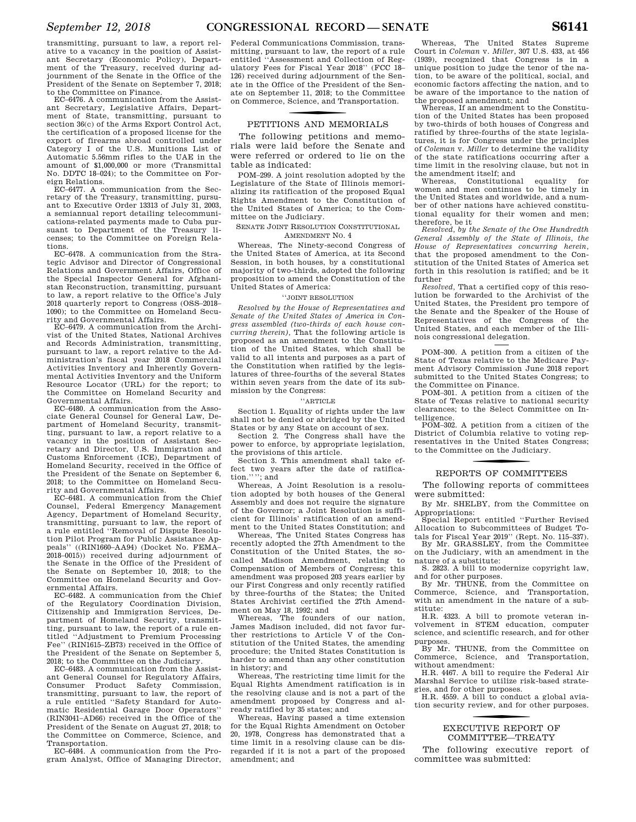transmitting, pursuant to law, a report relative to a vacancy in the position of Assistant Secretary (Economic Policy), Department of the Treasury, received during adjournment of the Senate in the Office of the President of the Senate on September 7, 2018; to the Committee on Finance.

EC–6476. A communication from the Assistant Secretary, Legislative Affairs, Department of State, transmitting, pursuant to section 36(c) of the Arms Export Control Act, the certification of a proposed license for the export of firearms abroad controlled under Category I of the U.S. Munitions List of Automatic 5.56mm rifles to the UAE in the amount of \$1,000,000 or more (Transmittal No. DDTC 18–024); to the Committee on Foreign Relations.

EC–6477. A communication from the Secretary of the Treasury, transmitting, pursuant to Executive Order 13313 of July 31, 2003, a semiannual report detailing telecommunications-related payments made to Cuba pursuant to Department of the Treasury licenses; to the Committee on Foreign Relations.

EC–6478. A communication from the Strategic Advisor and Director of Congressional Relations and Government Affairs, Office of the Special Inspector General for Afghanistan Reconstruction, transmitting, pursuant to law, a report relative to the Office's July 2018 quarterly report to Congress (OSS–2018– 1090); to the Committee on Homeland Security and Governmental Affairs.

EC–6479. A communication from the Archivist of the United States, National Archives and Records Administration, transmitting, pursuant to law, a report relative to the Administration's fiscal year 2018 Commercial Activities Inventory and Inherently Governmental Activities Inventory and the Uniform Resource Locator (URL) for the report; to the Committee on Homeland Security and Governmental Affairs.

EC–6480. A communication from the Associate General Counsel for General Law, Department of Homeland Security, transmitting, pursuant to law, a report relative to a vacancy in the position of Assistant Secretary and Director, U.S. Immigration and Customs Enforcement (ICE), Department of Homeland Security, received in the Office of the President of the Senate on September 6, 2018; to the Committee on Homeland Security and Governmental Affairs.

EC–6481. A communication from the Chief Counsel, Federal Emergency Management Agency, Department of Homeland Security, transmitting, pursuant to law, the report of a rule entitled ''Removal of Dispute Resolution Pilot Program for Public Assistance Appeals'' ((RIN1660–AA94) (Docket No. FEMA– 2018–0015)) received during adjournment of the Senate in the Office of the President of the Senate on September 10, 2018; to the Committee on Homeland Security and Governmental Affairs.

EC–6482. A communication from the Chief of the Regulatory Coordination Division, Citizenship and Immigration Services, Department of Homeland Security, transmitting, pursuant to law, the report of a rule entitled ''Adjustment to Premium Processing Fee'' (RIN1615–ZB73) received in the Office of the President of the Senate on September 5, 2018; to the Committee on the Judiciary.

EC–6483. A communication from the Assistant General Counsel for Regulatory Affairs, Consumer Product Safety Commission, transmitting, pursuant to law, the report of a rule entitled ''Safety Standard for Automatic Residential Garage Door Operators'' (RIN3041–AD66) received in the Office of the President of the Senate on August 27, 2018; to the Committee on Commerce, Science, and Transportation.

EC–6484. A communication from the Program Analyst, Office of Managing Director,

Federal Communications Commission, transmitting, pursuant to law, the report of a rule entitled ''Assessment and Collection of Regulatory Fees for Fiscal Year 2018'' (FCC 18– 126) received during adjournment of the Senate in the Office of the President of the Senate on September 11, 2018; to the Committee on Commerce, Science, and Transportation.

## f PETITIONS AND MEMORIALS

The following petitions and memorials were laid before the Senate and were referred or ordered to lie on the table as indicated:

POM–299. A joint resolution adopted by the Legislature of the State of Illinois memorializing its ratification of the proposed Equal Rights Amendment to the Constitution of the United States of America; to the Committee on the Judiciary.

#### SENATE JOINT RESOLUTION CONSTITUTIONAL AMENDMENT NO. 4

Whereas, The Ninety-second Congress of the United States of America, at its Second Session, in both houses, by a constitutional majority of two-thirds, adopted the following proposition to amend the Constitution of the United States of America:

#### ''JOINT RESOLUTION

*Resolved by the House of Representatives and Senate of the United States of America in Congress assembled (two-thirds of each house concurring therein),* That the following article is proposed as an amendment to the Constitution of the United States, which shall be valid to all intents and purposes as a part of the Constitution when ratified by the legislatures of three-fourths of the several States within seven years from the date of its submission by the Congress:

#### ''ARTICLE

Section 1. Equality of rights under the law shall not be denied or abridged by the United States or by any State on account of sex.

Section 2. The Congress shall have the power to enforce, by appropriate legislation, the provisions of this article.

Section 3. This amendment shall take effect two years after the date of ratification.''''; and

Whereas, A Joint Resolution is a resolution adopted by both houses of the General Assembly and does not require the signature of the Governor; a Joint Resolution is sufficient for Illinois' ratification of an amendment to the United States Constitution; and

Whereas, The United States Congress has recently adopted the 27th Amendment to the Constitution of the United States, the socalled Madison Amendment, relating to Compensation of Members of Congress; this amendment was proposed 203 years earlier by our First Congress and only recently ratified by three-fourths of the States; the United States Archivist certified the 27th Amendment on May 18, 1992; and

Whereas, The founders of our nation, James Madison included, did not favor further restrictions to Article V of the Constitution of the United States, the amending procedure; the United States Constitution is harder to amend than any other constitution in history; and

Whereas, The restricting time limit for the Equal Rights Amendment ratification is in the resolving clause and is not a part of the amendment proposed by Congress and already ratified by 35 states; and

Whereas, Having passed a time extension for the Equal Rights Amendment on October 20, 1978, Congress has demonstrated that a time limit in a resolving clause can be disregarded if it is not a part of the proposed amendment; and

Whereas, The United States Supreme Court in *Coleman* v. *Miller*, 307 U.S. 433, at 456 (1939), recognized that Congress is in a unique position to judge the tenor of the nation, to be aware of the political, social, and economic factors affecting the nation, and to be aware of the importance to the nation of the proposed amendment; and

Whereas, If an amendment to the Constitution of the United States has been proposed by two-thirds of both houses of Congress and ratified by three-fourths of the state legislatures, it is for Congress under the principles of *Coleman* v. *Miller* to determine the validity of the state ratifications occurring after a time limit in the resolving clause, but not in the amendment itself; and<br>Whereas, Constitution

Constitutional equality for women and men continues to be timely in the United States and worldwide, and a number of other nations have achieved constitutional equality for their women and men; therefore, be it

*Resolved, by the Senate of the One Hundredth General Assembly of the State of Illinois, the House of Representatives concurring herein,*  that the proposed amendment to the Constitution of the United States of America set forth in this resolution is ratified; and be it further

*Resolved,* That a certified copy of this resolution be forwarded to the Archivist of the United States, the President pro tempore of the Senate and the Speaker of the House of Representatives of the Congress of the United States, and each member of the Illinois congressional delegation.

POM–300. A petition from a citizen of the State of Texas relative to the Medicare Payment Advisory Commission June 2018 report submitted to the United States Congress; to the Committee on Finance.

POM–301. A petition from a citizen of the State of Texas relative to national security clearances; to the Select Committee on Intelligence.

POM–302. A petition from a citizen of the District of Columbia relative to voting representatives in the United States Congress; to the Committee on the Judiciary.

## f REPORTS OF COMMITTEES

The following reports of committees were submitted:

By Mr. SHELBY, from the Committee on Appropriations:

Special Report entitled ''Further Revised Allocation to Subcommittees of Budget To-

tals for Fiscal Year 2019'' (Rept. No. 115–337). By Mr. GRASSLEY, from the Committee on the Judiciary, with an amendment in the nature of a substitute:

S. 2823. A bill to modernize copyright law, and for other purposes.

By Mr. THUNE, from the Committee on Commerce, Science, and Transportation, with an amendment in the nature of a substitute:

H.R. 4323. A bill to promote veteran involvement in STEM education, computer science, and scientific research, and for other purposes.

By Mr. THUNE, from the Committee on Commerce, Science, and Transportation, without amendment:

H.R. 4467. A bill to require the Federal Air Marshal Service to utilize risk-based strategies, and for other purposes.

H.R. 4559. A bill to conduct a global aviation security review, and for other purposes.

## f EXECUTIVE REPORT OF COMMITTEE—TREATY

The following executive report of committee was submitted: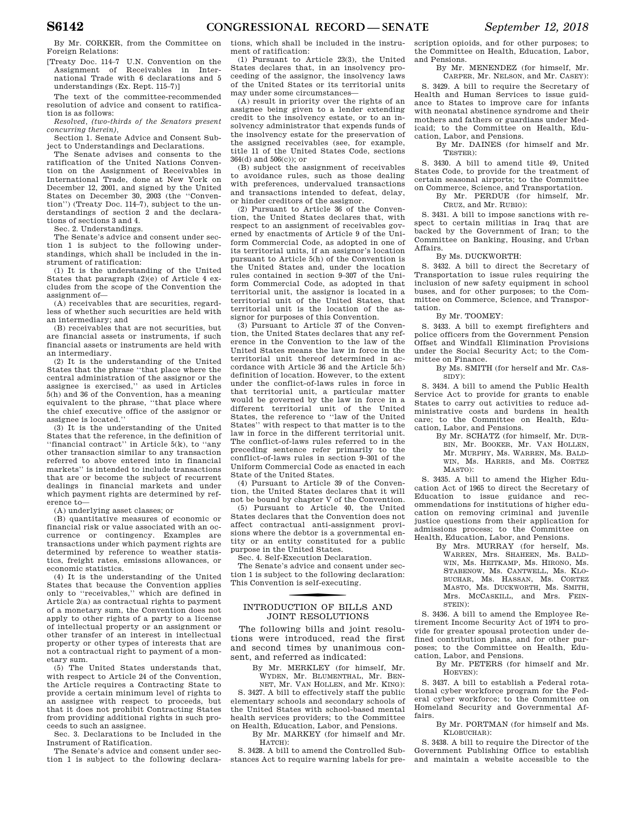By Mr. CORKER, from the Committee on Foreign Relations:

[Treaty Doc. 114–7 U.N. Convention on the Assignment of Receivables in International Trade with 6 declarations and 5 understandings (Ex. Rept. 115–7)]

The text of the committee-recommended resolution of advice and consent to ratification is as follows:

*Resolved, (two-thirds of the Senators present concurring therein),* 

Section 1. Senate Advice and Consent Subject to Understandings and Declarations.

The Senate advises and consents to the ratification of the United Nations Convention on the Assignment of Receivables in International Trade, done at New York on December 12, 2001, and signed by the United States on December 30, 2003 (the ''Convention'') (Treaty Doc. 114–7), subject to the understandings of section 2 and the declarations of sections 3 and 4.

Sec. 2. Understandings.

The Senate's advice and consent under section 1 is subject to the following understandings, which shall be included in the instrument of ratification:

(1) It is the understanding of the United States that paragraph (2)(e) of Article 4 excludes from the scope of the Convention the assignment of—

(A) receivables that are securities, regardless of whether such securities are held with an intermediary; and

(B) receivables that are not securities, but are financial assets or instruments, if such financial assets or instruments are held with an intermediary.

(2) It is the understanding of the United States that the phrase ''that place where the central administration of the assignor or the assignee is exercised,'' as used in Articles 5(h) and 36 of the Convention, has a meaning equivalent to the phrase, ''that place where the chief executive office of the assignor or assignee is located.''

(3) It is the understanding of the United States that the reference, in the definition of ''financial contract'' in Article 5(k), to ''any other transaction similar to any transaction referred to above entered into in financial markets'' is intended to include transactions that are or become the subject of recurrent dealings in financial markets and under which payment rights are determined by reference to—

(A) underlying asset classes; or

(B) quantitative measures of economic or financial risk or value associated with an occurrence or contingency. Examples are transactions under which payment rights are determined by reference to weather statistics, freight rates, emissions allowances, or economic statistics.

(4) It is the understanding of the United States that because the Convention applies only to ''receivables,'' which are defined in Article 2(a) as contractual rights to payment of a monetary sum, the Convention does not apply to other rights of a party to a license of intellectual property or an assignment or other transfer of an interest in intellectual property or other types of interests that are not a contractual right to payment of a monetary sum.

(5) The United States understands that, with respect to Article 24 of the Convention, the Article requires a Contracting State to provide a certain minimum level of rights to an assignee with respect to proceeds, but that it does not prohibit Contracting States from providing additional rights in such proceeds to such an assignee.

Sec. 3. Declarations to be Included in the Instrument of Ratification.

The Senate's advice and consent under section 1 is subject to the following declarations, which shall be included in the instrument of ratification:

(1) Pursuant to Article 23(3), the United States declares that, in an insolvency proceeding of the assignor, the insolvency laws of the United States or its territorial units may under some circumstances—

(A) result in priority over the rights of an assignee being given to a lender extending credit to the insolvency estate, or to an insolvency administrator that expends funds of the insolvency estate for the preservation of the assigned receivables (see, for example, title 11 of the United States Code, sections 364(d) and 506(c)); or

(B) subject the assignment of receivables to avoidance rules, such as those dealing with preferences, undervalued transactions and transactions intended to defeat, delay, or hinder creditors of the assignor.

(2) Pursuant to Article 36 of the Convention, the United States declares that, with respect to an assignment of receivables governed by enactments of Article 9 of the Uniform Commercial Code, as adopted in one of its territorial units, if an assignor's location pursuant to Article 5(h) of the Convention is the United States and, under the location rules contained in section 9–307 of the Uniform Commercial Code, as adopted in that territorial unit, the assignor is located in a territorial unit of the United States, that territorial unit is the location of the assignor for purposes of this Convention.

(3) Pursuant to Article 37 of the Convention, the United States declares that any reference in the Convention to the law of the United States means the law in force in the territorial unit thereof determined in accordance with Article 36 and the Article 5(h) definition of location. However, to the extent under the conflict-of-laws rules in force in that territorial unit, a particular matter would be governed by the law in force in a different territorial unit of the United States, the reference to ''law of the United States'' with respect to that matter is to the law in force in the different territorial unit. The conflict-of-laws rules referred to in the preceding sentence refer primarily to the conflict-of-laws rules in section 9–301 of the Uniform Commercial Code as enacted in each State of the United States.

(4) Pursuant to Article 39 of the Convention, the United States declares that it will not be bound by chapter V of the Convention.

(5) Pursuant to Article 40, the United States declares that the Convention does not affect contractual anti-assignment provisions where the debtor is a governmental entity or an entity constituted for a public purpose in the United States.

Sec. 4. Self-Execution Declaration.

The Senate's advice and consent under section 1 is subject to the following declaration: This Convention is self-executing.

## f INTRODUCTION OF BILLS AND JOINT RESOLUTIONS

The following bills and joint resolutions were introduced, read the first and second times by unanimous consent, and referred as indicated:

> By Mr. MERKLEY (for himself, Mr. WYDEN, Mr. BLUMENTHAL, Mr. BEN-

NET, Mr. VAN HOLLEN, and Mr. KING): S. 3427. A bill to effectively staff the public elementary schools and secondary schools of the United States with school-based mental health services providers; to the Committee on Health, Education, Labor, and Pensions.

By Mr. MARKEY (for himself and Mr. HATCH):

S. 3428. A bill to amend the Controlled Substances Act to require warning labels for pre-

scription opioids, and for other purposes; to the Committee on Health, Education, Labor, and Pensions.

By Mr. MENENDEZ (for himself, Mr. CARPER, Mr. NELSON, and Mr. CASEY):

S. 3429. A bill to require the Secretary of Health and Human Services to issue guidance to States to improve care for infants with neonatal abstinence syndrome and their mothers and fathers or guardians under Medicaid; to the Committee on Health, Education, Labor, and Pensions.

By Mr. DAINES (for himself and Mr. TESTER):

S. 3430. A bill to amend title 49, United States Code, to provide for the treatment of certain seasonal airports; to the Committee on Commerce, Science, and Transportation.

By Mr. PERDUE (for himself, Mr. CRUZ, and Mr. RUBIO):

S. 3431. A bill to impose sanctions with respect to certain militias in Iraq that are backed by the Government of Iran; to the Committee on Banking, Housing, and Urban Affairs.

#### By Ms. DUCKWORTH:

S. 3432. A bill to direct the Secretary of Transportation to issue rules requiring the inclusion of new safety equipment in school buses, and for other purposes; to the Committee on Commerce, Science, and Transportation.

By Mr. TOOMEY:

S. 3433. A bill to exempt firefighters and police officers from the Government Pension Offset and Windfall Elimination Provisions under the Social Security Act; to the Committee on Finance.

By Ms. SMITH (for herself and Mr. CAS-SIDY):

S. 3434. A bill to amend the Public Health Service Act to provide for grants to enable States to carry out activities to reduce administrative costs and burdens in health care; to the Committee on Health, Education, Labor, and Pensions.

> By Mr. SCHATZ (for himself, Mr. DUR-BIN, Mr. BOOKER, Mr. VAN HOLLEN, Mr. MURPHY, Ms. WARREN, Ms. BALD-WIN, Ms. HARRIS, and Ms. CORTEZ MASTO):

S. 3435. A bill to amend the Higher Education Act of 1965 to direct the Secretary of Education to issue guidance and recommendations for institutions of higher education on removing criminal and juvenile justice questions from their application for admissions process; to the Committee on Health, Education, Labor, and Pensions.

By Mrs. MURRAY (for herself, Ms. WARREN, Mrs. SHAHEEN, Ms. BALD-WIN, Ms. HEITKAMP, Ms. HIRONO, Ms. STABENOW, Ms. CANTWELL, Ms. KLO-BUCHAR, Ms. HASSAN, Ms. CORTEZ MASTO, Ms. DUCKWORTH, Ms. SMITH, Mrs. MCCASKILL, and Mrs. FEIN- $STERIN$ )

S. 3436. A bill to amend the Employee Retirement Income Security Act of 1974 to provide for greater spousal protection under defined contribution plans, and for other purposes; to the Committee on Health, Education, Labor, and Pensions.

By Mr. PETERS (for himself and Mr. HOEVEN):

S. 3437. A bill to establish a Federal rotational cyber workforce program for the Federal cyber workforce; to the Committee on Homeland Security and Governmental Affairs.

By Mr. PORTMAN (for himself and Ms. KLOBUCHAR):

S. 3438. A bill to require the Director of the Government Publishing Office to establish and maintain a website accessible to the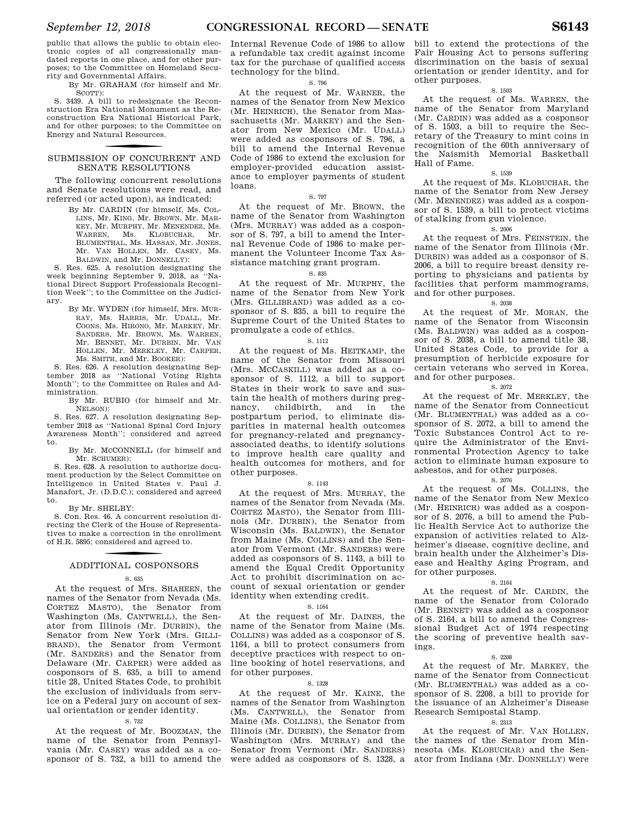public that allows the public to obtain electronic copies of all congressionally mandated reports in one place, and for other purposes; to the Committee on Homeland Security and Governmental Affairs.

By Mr. GRAHAM (for himself and Mr. SCOTT):

S. 3439. A bill to redesignate the Reconstruction Era National Monument as the Reconstruction Era National Historical Park, and for other purposes; to the Committee on Energy and Natural Resources.

## SUBMISSION OF CONCURRENT AND SENATE RESOLUTIONS

The following concurrent resolutions and Senate resolutions were read, and referred (or acted upon), as indicated:

> By Mr. CARDIN (for himself, Ms. COL-LINS, Mr. KING, Mr. BROWN, Mr. MAR-KEY, Mr. MURPHY, Mr. MENENDEZ, Ms. WARREN, Ms. KLOBUCHAR, Mr. BLUMENTHAL, Ms. HASSAN, Mr. JONES, Mr. VAN HOLLEN, Mr. CASEY, Ms. BALDWIN, and Mr. DONNELLY):

S. Res. 625. A resolution designating the week beginning September 9, 2018, as ''National Direct Support Professionals Recognition Week''; to the Committee on the Judiciary.

By Mr. WYDEN (for himself, Mrs. MUR-RAY, Ms. HARRIS, Mr. UDALL, Mr. COONS, Ms. HIRONO, Mr. MARKEY, Mr. SANDERS, Mr. BROWN, Ms. WARREN, Mr. BENNET, Mr. DURBIN, Mr. VAN HOLLEN, Mr. MERKLEY, Mr. CARPER, Ms. SMITH, and Mr. BOOKER):

S. Res. 626. A resolution designating September 2018 as ''National Voting Rights Month''; to the Committee on Rules and Administration.

By Mr. RUBIO (for himself and Mr. NELSON):

S. Res. 627. A resolution designating September 2018 as ''National Spinal Cord Injury Awareness Month''; considered and agreed to.

By Mr. MCCONNELL (for himself and Mr. SCHUMER):

S. Res. 628. A resolution to authorize document production by the Select Committee on Intelligence in United States v. Paul J. Manafort, Jr. (D.D.C.); considered and agreed to.

#### By Mr. SHELBY:

S. Con. Res. 46. A concurrent resolution directing the Clerk of the House of Representatives to make a correction in the enrollment of H.R. 5895; considered and agreed to.

## f ADDITIONAL COSPONSORS

#### S. 635

At the request of Mrs. SHAHEEN, the names of the Senator from Nevada (Ms. CORTEZ MASTO), the Senator from Washington (Ms. CANTWELL), the Senator from Illinois (Mr. DURBIN), the Senator from New York (Mrs. GILLI-BRAND), the Senator from Vermont (Mr. SANDERS) and the Senator from Delaware (Mr. CARPER) were added as cosponsors of S. 635, a bill to amend title 28, United States Code, to prohibit the exclusion of individuals from service on a Federal jury on account of sexual orientation or gender identity.

#### S. 732

At the request of Mr. BOOZMAN, the name of the Senator from Pennsylvania (Mr. CASEY) was added as a cosponsor of S. 732, a bill to amend the

Internal Revenue Code of 1986 to allow a refundable tax credit against income tax for the purchase of qualified access technology for the blind.

#### S. 796

At the request of Mr. WARNER, the names of the Senator from New Mexico (Mr. HEINRICH), the Senator from Massachusetts (Mr. MARKEY) and the Senator from New Mexico (Mr. UDALL) were added as cosponsors of S. 796, a bill to amend the Internal Revenue Code of 1986 to extend the exclusion for employer-provided education assistance to employer payments of student loans.

#### S. 797

At the request of Mr. BROWN, the name of the Senator from Washington (Mrs. MURRAY) was added as a cosponsor of S. 797, a bill to amend the Internal Revenue Code of 1986 to make permanent the Volunteer Income Tax Assistance matching grant program.

#### S. 835

At the request of Mr. MURPHY, the name of the Senator from New York (Mrs. GILLIBRAND) was added as a cosponsor of S. 835, a bill to require the Supreme Court of the United States to promulgate a code of ethics.

#### S. 1112

At the request of Ms. HEITKAMP, the name of the Senator from Missouri (Mrs. MCCASKILL) was added as a cosponsor of S. 1112, a bill to support States in their work to save and sustain the health of mothers during pregnancy, childbirth, and in the postpartum period, to eliminate disparities in maternal health outcomes for pregnancy-related and pregnancyassociated deaths, to identify solutions to improve health care quality and health outcomes for mothers, and for other purposes.

#### S. 1143

At the request of Mrs. MURRAY, the names of the Senator from Nevada (Ms. CORTEZ MASTO), the Senator from Illinois (Mr. DURBIN), the Senator from Wisconsin (Ms. BALDWIN), the Senator from Maine (Ms. COLLINS) and the Senator from Vermont (Mr. SANDERS) were added as cosponsors of S. 1143, a bill to amend the Equal Credit Opportunity Act to prohibit discrimination on account of sexual orientation or gender identity when extending credit.

#### S. 1164

At the request of Mr. DAINES, the name of the Senator from Maine (Ms. COLLINS) was added as a cosponsor of S. 1164, a bill to protect consumers from deceptive practices with respect to online booking of hotel reservations, and for other purposes.

#### S. 1328

At the request of Mr. KAINE, the names of the Senator from Washington (Ms. CANTWELL), the Senator from Maine (Ms. COLLINS), the Senator from Illinois (Mr. DURBIN), the Senator from Washington (Mrs. MURRAY) and the Senator from Vermont (Mr. SANDERS) were added as cosponsors of S. 1328, a

bill to extend the protections of the Fair Housing Act to persons suffering discrimination on the basis of sexual orientation or gender identity, and for other purposes.

#### S. 1503

At the request of Ms. WARREN, the name of the Senator from Maryland (Mr. CARDIN) was added as a cosponsor of S. 1503, a bill to require the Secretary of the Treasury to mint coins in recognition of the 60th anniversary of the Naismith Memorial Basketball Hall of Fame.

#### S. 1539

At the request of Ms. KLOBUCHAR, the name of the Senator from New Jersey (Mr. MENENDEZ) was added as a cosponsor of S. 1539, a bill to protect victims of stalking from gun violence.

#### S. 2006

At the request of Mrs. FEINSTEIN, the name of the Senator from Illinois (Mr. DURBIN) was added as a cosponsor of S. 2006, a bill to require breast density reporting to physicians and patients by facilities that perform mammograms, and for other purposes.

#### S. 2038

At the request of Mr. MORAN, the name of the Senator from Wisconsin (Ms. BALDWIN) was added as a cosponsor of S. 2038, a bill to amend title 38, United States Code, to provide for a presumption of herbicide exposure for certain veterans who served in Korea, and for other purposes.

#### S. 2072

At the request of Mr. MERKLEY, the name of the Senator from Connecticut (Mr. BLUMENTHAL) was added as a cosponsor of S. 2072, a bill to amend the Toxic Substances Control Act to require the Administrator of the Environmental Protection Agency to take action to eliminate human exposure to asbestos, and for other purposes.

#### S. 2076

At the request of Ms. COLLINS, the name of the Senator from New Mexico (Mr. HEINRICH) was added as a cosponsor of S. 2076, a bill to amend the Public Health Service Act to authorize the expansion of activities related to Alzheimer's disease, cognitive decline, and brain health under the Alzheimer's Disease and Healthy Aging Program, and for other purposes.

#### S. 2164

At the request of Mr. CARDIN, the name of the Senator from Colorado (Mr. BENNET) was added as a cosponsor of S. 2164, a bill to amend the Congressional Budget Act of 1974 respecting the scoring of preventive health savings.

#### S. 2208

At the request of Mr. MARKEY, the name of the Senator from Connecticut (Mr. BLUMENTHAL) was added as a cosponsor of S. 2208, a bill to provide for the issuance of an Alzheimer's Disease Research Semipostal Stamp.

#### S. 2313

At the request of Mr. VAN HOLLEN, the names of the Senator from Minnesota (Ms. KLOBUCHAR) and the Senator from Indiana (Mr. DONNELLY) were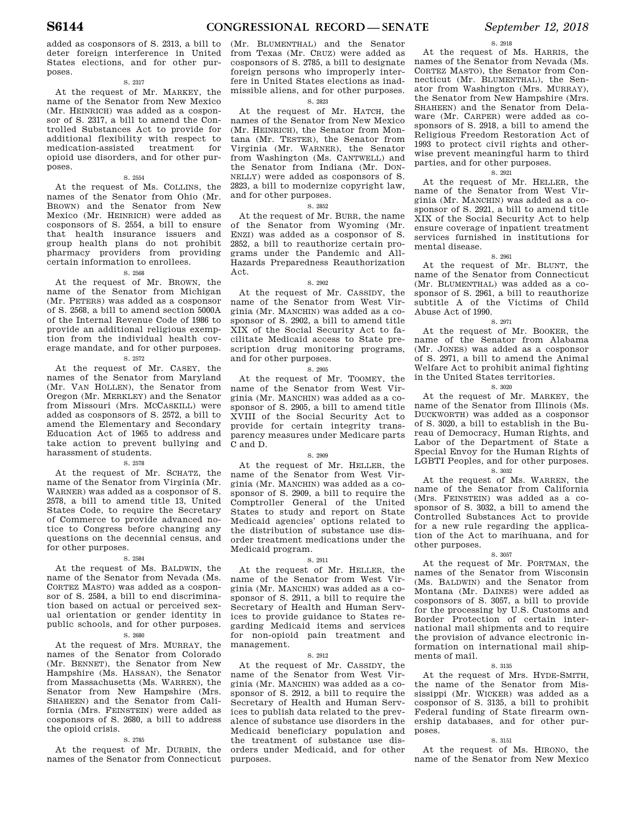added as cosponsors of S. 2313, a bill to deter foreign interference in United States elections, and for other purposes.

#### S. 2317

At the request of Mr. MARKEY, the name of the Senator from New Mexico (Mr. HEINRICH) was added as a cosponsor of S. 2317, a bill to amend the Controlled Substances Act to provide for additional flexibility with respect to medication-assisted treatment opioid use disorders, and for other purposes.

#### S. 2554

At the request of Ms. COLLINS, the names of the Senator from Ohio (Mr. BROWN) and the Senator from New Mexico (Mr. HEINRICH) were added as cosponsors of S. 2554, a bill to ensure that health insurance issuers and group health plans do not prohibit pharmacy providers from providing certain information to enrollees.

#### S. 2568

At the request of Mr. BROWN, the name of the Senator from Michigan (Mr. PETERS) was added as a cosponsor of S. 2568, a bill to amend section 5000A of the Internal Revenue Code of 1986 to provide an additional religious exemption from the individual health coverage mandate, and for other purposes.

#### S. 2572

At the request of Mr. CASEY, the names of the Senator from Maryland (Mr. VAN HOLLEN), the Senator from Oregon (Mr. MERKLEY) and the Senator from Missouri (Mrs. MCCASKILL) were added as cosponsors of S. 2572, a bill to amend the Elementary and Secondary Education Act of 1965 to address and take action to prevent bullying and harassment of students.

#### S. 2578

At the request of Mr. SCHATZ, the name of the Senator from Virginia (Mr. WARNER) was added as a cosponsor of S. 2578, a bill to amend title 13, United States Code, to require the Secretary of Commerce to provide advanced notice to Congress before changing any questions on the decennial census, and for other purposes.

#### S. 2584

At the request of Ms. BALDWIN, the name of the Senator from Nevada (Ms. CORTEZ MASTO) was added as a cosponsor of S. 2584, a bill to end discrimination based on actual or perceived sexual orientation or gender identity in public schools, and for other purposes.

#### S. 2680

At the request of Mrs. MURRAY, the names of the Senator from Colorado (Mr. BENNET), the Senator from New Hampshire (Ms. HASSAN), the Senator from Massachusetts (Ms. WARREN), the Senator from New Hampshire (Mrs. SHAHEEN) and the Senator from California (Mrs. FEINSTEIN) were added as cosponsors of S. 2680, a bill to address the opioid crisis.

#### S. 2785

At the request of Mr. DURBIN, the names of the Senator from Connecticut

(Mr. BLUMENTHAL) and the Senator from Texas (Mr. CRUZ) were added as cosponsors of S. 2785, a bill to designate foreign persons who improperly interfere in United States elections as inadmissible aliens, and for other purposes.

#### S. 2823

At the request of Mr. HATCH, the names of the Senator from New Mexico (Mr. HEINRICH), the Senator from Montana (Mr. TESTER), the Senator from Virginia (Mr. WARNER), the Senator from Washington (Ms. CANTWELL) and the Senator from Indiana (Mr. DON-NELLY) were added as cosponsors of S. 2823, a bill to modernize copyright law, and for other purposes.

#### S. 2852

At the request of Mr. BURR, the name of the Senator from Wyoming (Mr. ENZI) was added as a cosponsor of S. 2852, a bill to reauthorize certain programs under the Pandemic and All-Hazards Preparedness Reauthorization Act.

#### S. 2902

At the request of Mr. CASSIDY, the name of the Senator from West Virginia (Mr. MANCHIN) was added as a cosponsor of S. 2902, a bill to amend title XIX of the Social Security Act to facilitate Medicaid access to State prescription drug monitoring programs, and for other purposes.

#### S. 2905

At the request of Mr. TOOMEY, the name of the Senator from West Virginia (Mr. MANCHIN) was added as a cosponsor of S. 2905, a bill to amend title XVIII of the Social Security Act to provide for certain integrity transparency measures under Medicare parts C and D.

#### S. 2909

At the request of Mr. HELLER, the name of the Senator from West Virginia (Mr. MANCHIN) was added as a cosponsor of S. 2909, a bill to require the Comptroller General of the United States to study and report on State Medicaid agencies' options related to the distribution of substance use disorder treatment medications under the Medicaid program.

#### S. 2911

At the request of Mr. HELLER, the name of the Senator from West Virginia (Mr. MANCHIN) was added as a cosponsor of S. 2911, a bill to require the Secretary of Health and Human Services to provide guidance to States regarding Medicaid items and services for non-opioid pain treatment and management.

#### S. 2912

At the request of Mr. CASSIDY, the name of the Senator from West Virginia (Mr. MANCHIN) was added as a cosponsor of S. 2912, a bill to require the Secretary of Health and Human Services to publish data related to the prevalence of substance use disorders in the Medicaid beneficiary population and the treatment of substance use disorders under Medicaid, and for other purposes.

#### S. 2918

At the request of Ms. HARRIS, the names of the Senator from Nevada (Ms. CORTEZ MASTO), the Senator from Connecticut (Mr. BLUMENTHAL), the Senator from Washington (Mrs. MURRAY), the Senator from New Hampshire (Mrs. SHAHEEN) and the Senator from Delaware (Mr. CARPER) were added as cosponsors of S. 2918, a bill to amend the Religious Freedom Restoration Act of 1993 to protect civil rights and otherwise prevent meaningful harm to third parties, and for other purposes.

#### S. 2921

At the request of Mr. HELLER, the name of the Senator from West Virginia (Mr. MANCHIN) was added as a cosponsor of S. 2921, a bill to amend title XIX of the Social Security Act to help ensure coverage of inpatient treatment services furnished in institutions for mental disease.

#### S. 2961

At the request of Mr. BLUNT, the name of the Senator from Connecticut (Mr. BLUMENTHAL) was added as a cosponsor of S. 2961, a bill to reauthorize subtitle A of the Victims of Child Abuse Act of 1990.

#### S. 2971

At the request of Mr. BOOKER, the name of the Senator from Alabama (Mr. JONES) was added as a cosponsor of S. 2971, a bill to amend the Animal Welfare Act to prohibit animal fighting in the United States territories.

#### S. 3020

At the request of Mr. MARKEY, the name of the Senator from Illinois (Ms. DUCKWORTH) was added as a cosponsor of S. 3020, a bill to establish in the Bureau of Democracy, Human Rights, and Labor of the Department of State a Special Envoy for the Human Rights of LGBTI Peoples, and for other purposes. S. 3032

At the request of Ms. WARREN, the name of the Senator from California (Mrs. FEINSTEIN) was added as a cosponsor of S. 3032, a bill to amend the Controlled Substances Act to provide for a new rule regarding the application of the Act to marihuana, and for other purposes.

#### S. 3057

At the request of Mr. PORTMAN, the names of the Senator from Wisconsin (Ms. BALDWIN) and the Senator from Montana (Mr. DAINES) were added as cosponsors of S. 3057, a bill to provide for the processing by U.S. Customs and Border Protection of certain international mail shipments and to require the provision of advance electronic information on international mail shipments of mail.

#### S. 3135

At the request of Mrs. HYDE-SMITH, the name of the Senator from Mississippi (Mr. WICKER) was added as a cosponsor of S. 3135, a bill to prohibit Federal funding of State firearm ownership databases, and for other purposes.

#### S. 3151

At the request of Ms. HIRONO, the name of the Senator from New Mexico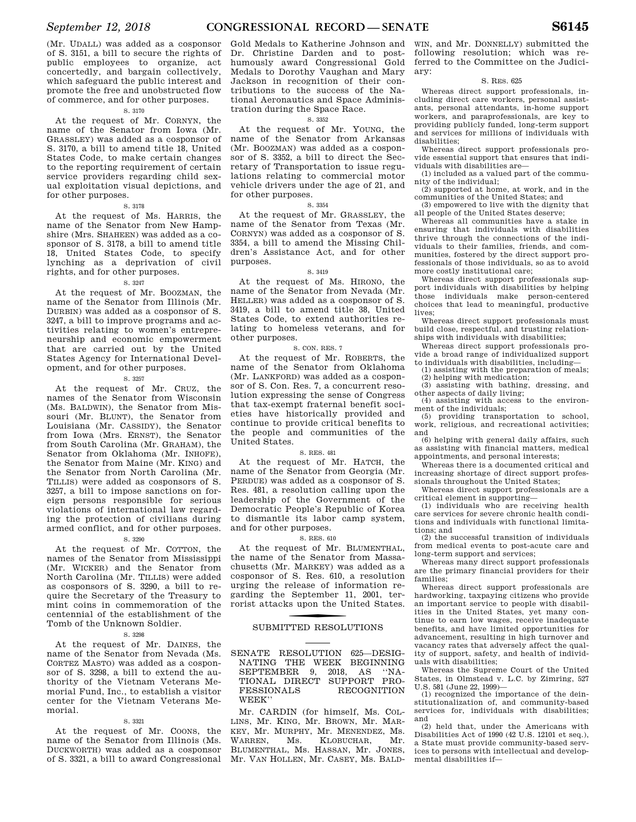(Mr. UDALL) was added as a cosponsor of S. 3151, a bill to secure the rights of public employees to organize, act concertedly, and bargain collectively, which safeguard the public interest and promote the free and unobstructed flow of commerce, and for other purposes.

#### S. 3170

At the request of Mr. CORNYN, the name of the Senator from Iowa (Mr. GRASSLEY) was added as a cosponsor of S. 3170, a bill to amend title 18, United States Code, to make certain changes to the reporting requirement of certain service providers regarding child sexual exploitation visual depictions, and for other purposes.

#### S. 3178

At the request of Ms. HARRIS, the name of the Senator from New Hampshire (Mrs. SHAHEEN) was added as a cosponsor of S. 3178, a bill to amend title 18, United States Code, to specify lynching as a deprivation of civil rights, and for other purposes.

#### S. 3247

At the request of Mr. BOOZMAN, the name of the Senator from Illinois (Mr. DURBIN) was added as a cosponsor of S. 3247, a bill to improve programs and activities relating to women's entrepreneurship and economic empowerment that are carried out by the United States Agency for International Development, and for other purposes.

S. 3257

At the request of Mr. CRUZ, the names of the Senator from Wisconsin (Ms. BALDWIN), the Senator from Missouri (Mr. BLUNT), the Senator from Louisiana (Mr. CASSIDY), the Senator from Iowa (Mrs. ERNST), the Senator from South Carolina (Mr. GRAHAM), the Senator from Oklahoma (Mr. INHOFE), the Senator from Maine (Mr. KING) and the Senator from North Carolina (Mr. TILLIS) were added as cosponsors of S. 3257, a bill to impose sanctions on foreign persons responsible for serious violations of international law regarding the protection of civilians during armed conflict, and for other purposes.

#### S. 3290

At the request of Mr. COTTON, the names of the Senator from Mississippi (Mr. WICKER) and the Senator from North Carolina (Mr. TILLIS) were added as cosponsors of S. 3290, a bill to require the Secretary of the Treasury to mint coins in commemoration of the centennial of the establishment of the Tomb of the Unknown Soldier.

#### S. 3298

At the request of Mr. DAINES, the name of the Senator from Nevada (Ms. CORTEZ MASTO) was added as a cosponsor of S. 3298, a bill to extend the authority of the Vietnam Veterans Memorial Fund, Inc., to establish a visitor center for the Vietnam Veterans Memorial.

#### S. 3321

At the request of Mr. COONS, the name of the Senator from Illinois (Ms. DUCKWORTH) was added as a cosponsor of S. 3321, a bill to award Congressional

Gold Medals to Katherine Johnson and Dr. Christine Darden and to posthumously award Congressional Gold Medals to Dorothy Vaughan and Mary Jackson in recognition of their contributions to the success of the National Aeronautics and Space Administration during the Space Race.

#### S. 3352

At the request of Mr. YOUNG, the name of the Senator from Arkansas (Mr. BOOZMAN) was added as a cosponsor of S. 3352, a bill to direct the Secretary of Transportation to issue regulations relating to commercial motor vehicle drivers under the age of 21, and for other purposes.

#### S. 3354

At the request of Mr. GRASSLEY, the name of the Senator from Texas (Mr. CORNYN) was added as a cosponsor of S. 3354, a bill to amend the Missing Children's Assistance Act, and for other purposes.

#### S. 3419

At the request of Ms. HIRONO, the name of the Senator from Nevada (Mr. HELLER) was added as a cosponsor of S. 3419, a bill to amend title 38, United States Code, to extend authorities relating to homeless veterans, and for other purposes.

#### S. CON. RES. 7

At the request of Mr. ROBERTS, the name of the Senator from Oklahoma (Mr. LANKFORD) was added as a cosponsor of S. Con. Res. 7, a concurrent resolution expressing the sense of Congress that tax-exempt fraternal benefit societies have historically provided and continue to provide critical benefits to the people and communities of the United States.

#### S. RES. 481

At the request of Mr. HATCH, the name of the Senator from Georgia (Mr. PERDUE) was added as a cosponsor of S. Res. 481, a resolution calling upon the leadership of the Government of the Democratic People's Republic of Korea to dismantle its labor camp system, and for other purposes.

#### S. RES. 610

At the request of Mr. BLUMENTHAL, the name of the Senator from Massachusetts (Mr. MARKEY) was added as a cosponsor of S. Res. 610, a resolution urging the release of information regarding the September 11, 2001, terrorist attacks upon the United States.

## SUBMITTED RESOLUTIONS

SENATE RESOLUTION 625—DESIG-NATING THE WEEK BEGINNING SEPTEMBER 9, 2018, AS ''NA-TIONAL DIRECT SUPPORT PRO-FESSIONALS RECOGNITION WEEK''

Mr. CARDIN (for himself, Ms. COL-LINS, Mr. KING, Mr. BROWN, Mr. MAR-KEY, Mr. MURPHY, Mr. MENENDEZ, Ms. WARREN, Ms. KLOBUCHAR, Mr. BLUMENTHAL, Ms. HASSAN, Mr. JONES, Mr. VAN HOLLEN, Mr. CASEY, Ms. BALD-

WIN, and Mr. DONNELLY) submitted the following resolution; which was referred to the Committee on the Judiciary:

#### S. RES. 625

Whereas direct support professionals, including direct care workers, personal assistants, personal attendants, in-home support workers, and paraprofessionals, are key to providing publicly funded, long-term support and services for millions of individuals with disabilities;

Whereas direct support professionals provide essential support that ensures that individuals with disabilities are—

(1) included as a valued part of the community of the individual;

(2) supported at home, at work, and in the communities of the United States; and

(3) empowered to live with the dignity that all people of the United States deserve;

Whereas all communities have a stake in ensuring that individuals with disabilities thrive through the connections of the individuals to their families, friends, and communities, fostered by the direct support professionals of those individuals, so as to avoid more costly institutional care;

Whereas direct support professionals support individuals with disabilities by helping those individuals make person-centered choices that lead to meaningful, productive lives;

Whereas direct support professionals must build close, respectful, and trusting relationships with individuals with disabilities;

Whereas direct support professionals provide a broad range of individualized support to individuals with disabilities, including—

(1) assisting with the preparation of meals; (2) helping with medication;

(3) assisting with bathing, dressing, and other aspects of daily living;

(4) assisting with access to the environment of the individuals;

(5) providing transportation to school, work, religious, and recreational activities; and

(6) helping with general daily affairs, such as assisting with financial matters, medical appointments, and personal interests;

Whereas there is a documented critical and increasing shortage of direct support professionals throughout the United States;

Whereas direct support professionals are a critical element in supporting—

(1) individuals who are receiving health care services for severe chronic health conditions and individuals with functional limitations; and

(2) the successful transition of individuals from medical events to post-acute care and long-term support and services;

Whereas many direct support professionals are the primary financial providers for their families;

Whereas direct support professionals are hardworking, taxpaying citizens who provide an important service to people with disabilities in the United States, yet many continue to earn low wages, receive inadequate benefits, and have limited opportunities for advancement, resulting in high turnover and vacancy rates that adversely affect the quality of support, safety, and health of individuals with disabilities;

Whereas the Supreme Court of the United States, in Olmstead v. L.C. by Zimring, 527 U.S. 581 (June 22, 1999)—

(1) recognized the importance of the deinstitutionalization of, and community-based services for, individuals with disabilities; and

(2) held that, under the Americans with Disabilities Act of 1990 (42 U.S. 12101 et seq.), a State must provide community-based services to persons with intellectual and developmental disabilities if—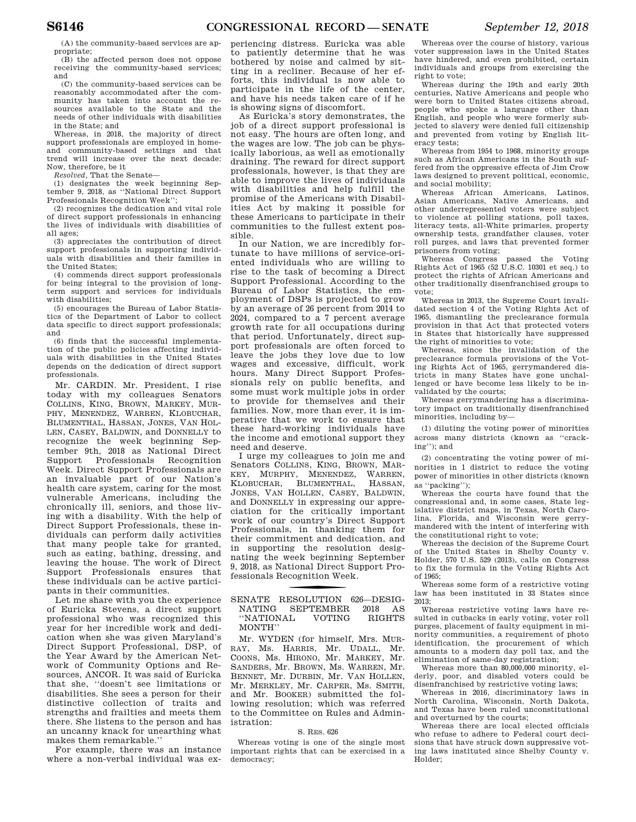(A) the community-based services are appropriate;

(B) the affected person does not oppose receiving the community-based services; and

(C) the community-based services can be reasonably accommodated after the community has taken into account the resources available to the State and the needs of other individuals with disabilities in the State; and

Whereas, in 2018, the majority of direct support professionals are employed in homeand community-based settings and that trend will increase over the next decade: Now, therefore, be it

*Resolved,* That the Senate—

(1) designates the week beginning September 9, 2018, as ''National Direct Support Professionals Recognition Week'';

(2) recognizes the dedication and vital role of direct support professionals in enhancing the lives of individuals with disabilities of all ages;

(3) appreciates the contribution of direct support professionals in supporting individuals with disabilities and their families in the United States;

(4) commends direct support professionals for being integral to the provision of longterm support and services for individuals with disabilities;

(5) encourages the Bureau of Labor Statistics of the Department of Labor to collect data specific to direct support professionals; and

(6) finds that the successful implementation of the public policies affecting individuals with disabilities in the United States depends on the dedication of direct support professionals.

Mr. CARDIN. Mr. President, I rise today with my colleagues Senators COLLINS, KING, BROWN, MARKEY, MUR-PHY, MENENDEZ, WARREN, KLOBUCHAR, BLUMENTHAL, HASSAN, JONES, VAN HOL-LEN, CASEY, BALDWIN, and DONNELLY to recognize the week beginning September 9th, 2018 as National Direct Support Professionals Recognition Week. Direct Support Professionals are an invaluable part of our Nation's health care system, caring for the most vulnerable Americans, including the chronically ill, seniors, and those living with a disability. With the help of Direct Support Professionals, these individuals can perform daily activities that many people take for granted, such as eating, bathing, dressing, and leaving the house. The work of Direct Support Professionals ensures that these individuals can be active participants in their communities.

Let me share with you the experience of Euricka Stevens, a direct support professional who was recognized this year for her incredible work and dedication when she was given Maryland's Direct Support Professional, DSP, of the Year Award by the American Network of Community Options and Resources, ANCOR. It was said of Euricka that she, ''doesn't see limitations or disabilities. She sees a person for their distinctive collection of traits and strengths and frailties and meets them there. She listens to the person and has an uncanny knack for unearthing what makes them remarkable.''

For example, there was an instance where a non-verbal individual was ex-

periencing distress. Euricka was able to patiently determine that he was bothered by noise and calmed by sitting in a recliner. Because of her efforts, this individual is now able to participate in the life of the center, and have his needs taken care of if he is showing signs of discomfort.

As Euricka's story demonstrates, the job of a direct support professional is not easy. The hours are often long, and the wages are low. The job can be physically laborious, as well as emotionally draining. The reward for direct support professionals, however, is that they are able to improve the lives of individuals with disabilities and help fulfill the promise of the Americans with Disabilities Act by making it possible for these Americans to participate in their communities to the fullest extent possible.

In our Nation, we are incredibly fortunate to have millions of service-oriented individuals who are willing to rise to the task of becoming a Direct Support Professional. According to the Bureau of Labor Statistics, the employment of DSPs is projected to grow by an average of 26 percent from 2014 to 2024, compared to a 7 percent average growth rate for all occupations during that period. Unfortunately, direct support professionals are often forced to leave the jobs they love due to low wages and excessive, difficult, work hours. Many Direct Support Professionals rely on public benefits, and some must work multiple jobs in order to provide for themselves and their families. Now, more than ever, it is imperative that we work to ensure that these hard-working individuals have the income and emotional support they need and deserve.

I urge my colleagues to join me and Senators COLLINS, KING, BROWN, MAR-KEY, MURPHY, MENENDEZ, WARREN, KLOBUCHAR, BLUMENTHAL, HASSAN, JONES, VAN HOLLEN, CASEY, BALDWIN, and DONNELLY in expressing our appreciation for the critically important work of our country's Direct Support Professionals, in thanking them for their commitment and dedication, and in supporting the resolution designating the week beginning September 9, 2018, as National Direct Support Professionals Recognition Week.

#### SENATE RESOLUTION 626-DESIG-NATING SEPTEMBER 2018 AS ''NATIONAL VOTING RIGHTS MONTH''

Mr. WYDEN (for himself, Mrs. MUR-RAY, Ms. HARRIS, Mr. UDALL, Mr. COONS, Ms. HIRONO, Mr. MARKEY, Mr. SANDERS, Mr. BROWN, Ms. WARREN, Mr. BENNET, Mr. DURBIN, Mr. VAN HOLLEN, Mr. MERKLEY, Mr. CARPER, Ms. SMITH, and Mr. BOOKER) submitted the following resolution; which was referred to the Committee on Rules and Administration:

#### S. RES. 626

Whereas voting is one of the single most important rights that can be exercised in a democracy;

Whereas over the course of history, various voter suppression laws in the United States have hindered, and even prohibited, certain individuals and groups from exercising the right to vote;

Whereas during the 19th and early 20th centuries, Native Americans and people who were born to United States citizens abroad, people who spoke a language other than English, and people who were formerly subjected to slavery were denied full citizenship and prevented from voting by English literacy tests;

Whereas from 1954 to 1968, minority groups such as African Americans in the South suffered from the oppressive effects of Jim Crow laws designed to prevent political, economic, and social mobility;

Whereas African Americans, Latinos, Asian Americans, Native Americans, and other underrepresented voters were subject to violence at polling stations, poll taxes, literacy tests, all-White primaries, property ownership tests, grandfather clauses, voter roll purges, and laws that prevented former prisoners from voting;

Whereas Congress passed the Voting Rights Act of 1965 (52 U.S.C. 10301 et seq.) to protect the rights of African Americans and other traditionally disenfranchised groups to vote;

Whereas in 2013, the Supreme Court invalidated section 4 of the Voting Rights Act of 1965, dismantling the preclearance formula provision in that Act that protected voters in States that historically have suppressed the right of minorities to vote;

Whereas, since the invalidation of the preclearance formula provisions of the Voting Rights Act of 1965, gerrymandered districts in many States have gone unchallenged or have become less likely to be invalidated by the courts;

Whereas gerrymandering has a discriminatory impact on traditionally disenfranchised minorities, including by—

(1) diluting the voting power of minorities across many districts (known as ''cracking''); and

(2) concentrating the voting power of minorities in 1 district to reduce the voting power of minorities in other districts (known as ''packing'');

Whereas the courts have found that the congressional and, in some cases, State legislative district maps, in Texas, North Carolina, Florida, and Wisconsin were gerrymandered with the intent of interfering with the constitutional right to vote;

Whereas the decision of the Supreme Court of the United States in Shelby County v. Holder, 570 U.S. 529 (2013), calls on Congress to fix the formula in the Voting Rights Act of 1965;

Whereas some form of a restrictive voting law has been instituted in 33 States since 2013;

Whereas restrictive voting laws have resulted in cutbacks in early voting, voter roll purges, placement of faulty equipment in minority communities, a requirement of photo identification, the procurement of which amounts to a modern day poll tax, and the elimination of same-day registration;

Whereas more than 80,000,000 minority, elderly, poor, and disabled voters could be disenfranchised by restrictive voting laws;

Whereas in 2016, discriminatory laws in North Carolina, Wisconsin, North Dakota, and Texas have been ruled unconstitutional and overturned by the courts;

Whereas there are local elected officials who refuse to adhere to Federal court decisions that have struck down suppressive voting laws instituted since Shelby County v. Holder;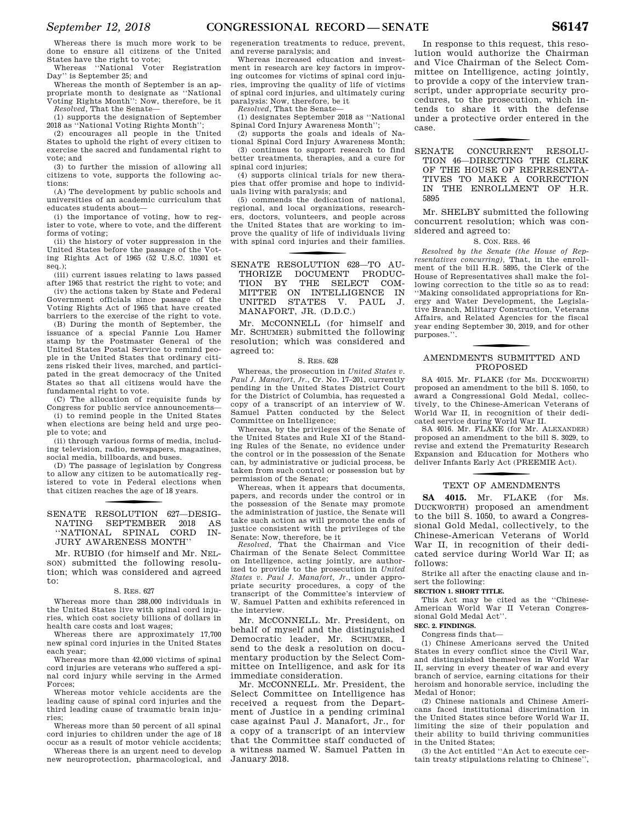Whereas there is much more work to be done to ensure all citizens of the United States have the right to vote;

Whereas ''National Voter Registration Day'' is September 25; and

Whereas the month of September is an appropriate month to designate as ''National Voting Rights Month'': Now, therefore, be it *Resolved,* That the Senate—

(1) supports the designation of September 2018 as ''National Voting Rights Month'';

(2) encourages all people in the United States to uphold the right of every citizen to exercise the sacred and fundamental right to vote; and

(3) to further the mission of allowing all citizens to vote, supports the following actions:

(A) The development by public schools and universities of an academic curriculum that educates students about—

(i) the importance of voting, how to register to vote, where to vote, and the different forms of voting;

(ii) the history of voter suppression in the United States before the passage of the Voting Rights Act of 1965 (52 U.S.C. 10301 et seq.);

(iii) current issues relating to laws passed after 1965 that restrict the right to vote; and

(iv) the actions taken by State and Federal Government officials since passage of the Voting Rights Act of 1965 that have created barriers to the exercise of the right to vote.

(B) During the month of September, the issuance of a special Fannie Lou Hamer stamp by the Postmaster General of the United States Postal Service to remind people in the United States that ordinary citizens risked their lives, marched, and participated in the great democracy of the United States so that all citizens would have the fundamental right to vote.

(C) The allocation of requisite funds by Congress for public service announcements—

(i) to remind people in the United States when elections are being held and urge people to vote; and

(ii) through various forms of media, including television, radio, newspapers, magazines, social media, billboards, and buses.

(D) The passage of legislation by Congress to allow any citizen to be automatically registered to vote in Federal elections when that citizen reaches the age of 18 years.

#### SENATE RESOLUTION 627-DESIG-NATING SEPTEMBER 2018 AS ''NATIONAL SPINAL CORD IN-JURY AWARENESS MONTH''

Mr. RUBIO (for himself and Mr. NEL-SON) submitted the following resolution; which was considered and agreed to:

#### S. RES. 627

Whereas more than 288,000 individuals in the United States live with spinal cord injuries, which cost society billions of dollars in health care costs and lost wages;

Whereas there are approximately 17,700 new spinal cord injuries in the United States each year;

Whereas more than 42,000 victims of spinal cord injuries are veterans who suffered a spinal cord injury while serving in the Armed Forces;

Whereas motor vehicle accidents are the leading cause of spinal cord injuries and the third leading cause of traumatic brain injuries;

Whereas more than 50 percent of all spinal cord injuries to children under the age of 18 occur as a result of motor vehicle accidents;

Whereas there is an urgent need to develop new neuroprotection, pharmacological, and

regeneration treatments to reduce, prevent, and reverse paralysis; and

Whereas increased education and investment in research are key factors in improving outcomes for victims of spinal cord injuries, improving the quality of life of victims of spinal cord injuries, and ultimately curing paralysis: Now, therefore, be it

*Resolved,* That the Senate—

(1) designates September 2018 as ''National Spinal Cord Injury Awareness Month'';

(2) supports the goals and ideals of National Spinal Cord Injury Awareness Month;

(3) continues to support research to find better treatments, therapies, and a cure for spinal cord injuries;

(4) supports clinical trials for new therapies that offer promise and hope to individuals living with paralysis; and

(5) commends the dedication of national, regional, and local organizations, researchers, doctors, volunteers, and people across the United States that are working to improve the quality of life of individuals living with spinal cord injuries and their families.

f SENATE RESOLUTION 628—TO AU-THORIZE DOCUMENT PRODUC-TION BY THE SELECT COM-MITTEE ON INTELLIGENCE IN UNITED STATES V. PAUL J. MANAFORT, JR. (D.D.C.)

Mr. MCCONNELL (for himself and Mr. SCHUMER) submitted the following resolution; which was considered and agreed to:

#### S. RES. 628

Whereas, the prosecution in *United States v. Paul J. Manafort, Jr.*, Cr. No. 17–201, currently pending in the United States District Court for the District of Columbia, has requested a copy of a transcript of an interview of W. Samuel Patten conducted by the Select Committee on Intelligence;

Whereas, by the privileges of the Senate of the United States and Rule XI of the Standing Rules of the Senate, no evidence under the control or in the possession of the Senate can, by administrative or judicial process, be taken from such control or possession but by permission of the Senate;

Whereas, when it appears that documents, papers, and records under the control or in the possession of the Senate may promote the administration of justice, the Senate will take such action as will promote the ends of justice consistent with the privileges of the Senate: Now, therefore, be it

*Resolved,* That the Chairman and Vice Chairman of the Senate Select Committee on Intelligence, acting jointly, are authorized to provide to the prosecution in *United States v. Paul J. Manafort, Jr.*, under appropriate security procedures, a copy of the transcript of the Committee's interview of W. Samuel Patten and exhibits referenced in the interview.

Mr. MCCONNELL. Mr. President, on behalf of myself and the distinguished Democratic leader, Mr. SCHUMER, I send to the desk a resolution on documentary production by the Select Committee on Intelligence, and ask for its immediate consideration.

Mr. MCCONNELL. Mr. President, the Select Committee on Intelligence has received a request from the Department of Justice in a pending criminal case against Paul J. Manafort, Jr., for a copy of a transcript of an interview that the Committee staff conducted of a witness named W. Samuel Patten in January 2018.

In response to this request, this resolution would authorize the Chairman and Vice Chairman of the Select Committee on Intelligence, acting jointly, to provide a copy of the interview transcript, under appropriate security procedures, to the prosecution, which intends to share it with the defense under a protective order entered in the case.

f SENATE CONCURRENT RESOLU-TION 46—DIRECTING THE CLERK OF THE HOUSE OF REPRESENTA-TIVES TO MAKE A CORRECTION IN THE ENROLLMENT OF H.R. 5895

Mr. SHELBY submitted the following concurrent resolution; which was considered and agreed to:

#### S. CON. RES. 46

*Resolved by the Senate (the House of Representatives concurring),* That, in the enrollment of the bill H.R. 5895, the Clerk of the House of Representatives shall make the following correction to the title so as to read: ''Making consolidated appropriations for Energy and Water Development, the Legislative Branch, Military Construction, Veterans Affairs, and Related Agencies for the fiscal year ending September 30, 2019, and for other purposes.''.

### f AMENDMENTS SUBMITTED AND PROPOSED

SA 4015. Mr. FLAKE (for Ms. DUCKWORTH) proposed an amendment to the bill S. 1050, to award a Congressional Gold Medal, collectively, to the Chinese-American Veterans of World War II, in recognition of their dedicated service during World War II.

SA 4016. Mr. FLAKE (for Mr. ALEXANDER) proposed an amendment to the bill S. 3029, to revise and extend the Prematurity Research Expansion and Education for Mothers who deliver Infants Early Act (PREEMIE Act).

## TEXT OF AMENDMENTS

**SA 4015.** Mr. FLAKE (for Ms. DUCKWORTH) proposed an amendment to the bill S. 1050, to award a Congressional Gold Medal, collectively, to the Chinese-American Veterans of World War II, in recognition of their dedicated service during World War II; as follows:

Strike all after the enacting clause and insert the following:

#### **SECTION 1. SHORT TITLE.**

This Act may be cited as the ''Chinese-American World War II Veteran Congressional Gold Medal Act''.

#### **SEC. 2. FINDINGS.**

Congress finds that—

(1) Chinese Americans served the United States in every conflict since the Civil War, and distinguished themselves in World War II, serving in every theater of war and every branch of service, earning citations for their heroism and honorable service, including the Medal of Honor;

(2) Chinese nationals and Chinese Americans faced institutional discrimination in the United States since before World War II, limiting the size of their population and their ability to build thriving communities in the United States;

(3) the Act entitled ''An Act to execute certain treaty stipulations relating to Chinese'',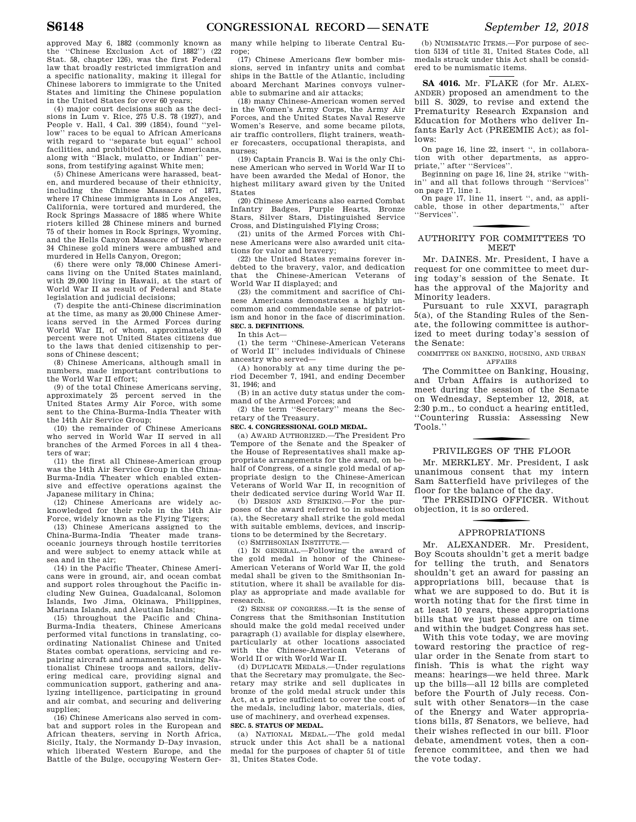approved May 6, 1882 (commonly known as the ''Chinese Exclusion Act of 1882'') (22 Stat. 58, chapter 126), was the first Federal law that broadly restricted immigration and a specific nationality, making it illegal for Chinese laborers to immigrate to the United States and limiting the Chinese population in the United States for over 60 years;

(4) major court decisions such as the decisions in Lum v. Rice, 275 U.S. 78 (1927), and People v. Hall, 4 Cal. 399 (1854), found ''yellow'' races to be equal to African Americans with regard to ''separate but equal'' school facilities, and prohibited Chinese Americans, along with ''Black, mulatto, or Indian'' persons, from testifying against White men;

(5) Chinese Americans were harassed, beaten, and murdered because of their ethnicity, including the Chinese Massacre of 1871, where 17 Chinese immigrants in Los Angeles, California, were tortured and murdered, the Rock Springs Massacre of 1885 where White rioters killed 28 Chinese miners and burned 75 of their homes in Rock Springs, Wyoming, and the Hells Canyon Massacre of 1887 where 34 Chinese gold miners were ambushed and murdered in Hells Canyon, Oregon;

(6) there were only 78,000 Chinese Americans living on the United States mainland, with 29,000 living in Hawaii, at the start of World War II as result of Federal and State legislation and judicial decisions;

(7) despite the anti-Chinese discrimination at the time, as many as 20,000 Chinese Americans served in the Armed Forces during World War II, of whom, approximately 40 percent were not United States citizens due to the laws that denied citizenship to persons of Chinese descent;

(8) Chinese Americans, although small in numbers, made important contributions to the World War II effort;

(9) of the total Chinese Americans serving, approximately 25 percent served in the United States Army Air Force, with some sent to the China-Burma-India Theater with the 14th Air Service Group;

(10) the remainder of Chinese Americans who served in World War II served in all branches of the Armed Forces in all 4 theaters of war;

(11) the first all Chinese-American group was the 14th Air Service Group in the China-Burma-India Theater which enabled extensive and effective operations against the Japanese military in China;

(12) Chinese Americans are widely acknowledged for their role in the 14th Air Force, widely known as the Flying Tigers;

(13) Chinese Americans assigned to the China-Burma-India Theater made transoceanic journeys through hostile territories and were subject to enemy attack while at sea and in the air;

(14) in the Pacific Theater, Chinese Americans were in ground, air, and ocean combat and support roles throughout the Pacific including New Guinea, Guadalcanal, Solomon Islands, Iwo Jima, Okinawa, Philippines, Mariana Islands, and Aleutian Islands;

(15) throughout the Pacific and China-Burma-India theaters, Chinese Americans performed vital functions in translating, coordinating Nationalist Chinese and United States combat operations, servicing and repairing aircraft and armaments, training Nationalist Chinese troops and sailors, delivering medical care, providing signal and communication support, gathering and analyzing intelligence, participating in ground and air combat, and securing and delivering supplies;

(16) Chinese Americans also served in combat and support roles in the European and African theaters, serving in North Africa, Sicily, Italy, the Normandy D–Day invasion, which liberated Western Europe, and the Battle of the Bulge, occupying Western Ger-

many while helping to liberate Central Europe;

(17) Chinese Americans flew bomber missions, served in infantry units and combat ships in the Battle of the Atlantic, including aboard Merchant Marines convoys vulnerable to submarine and air attacks;

(18) many Chinese-American women served in the Women's Army Corps, the Army Air Forces, and the United States Naval Reserve Women's Reserve, and some became pilots, air traffic controllers, flight trainers, weather forecasters, occupational therapists, and nurses;

(19) Captain Francis B. Wai is the only Chinese American who served in World War II to have been awarded the Medal of Honor, the highest military award given by the United States

(20) Chinese Americans also earned Combat Infantry Badges, Purple Hearts, Bronze Stars, Silver Stars, Distinguished Service Cross, and Distinguished Flying Cross;

(21) units of the Armed Forces with Chinese Americans were also awarded unit citations for valor and bravery;

(22) the United States remains forever indebted to the bravery, valor, and dedication that the Chinese-American Veterans of World War II displayed; and

(23) the commitment and sacrifice of Chinese Americans demonstrates a highly uncommon and commendable sense of patriotism and honor in the face of discrimination. **SEC. 3. DEFINITIONS.** 

In this Act—

(1) the term ''Chinese-American Veterans of World II'' includes individuals of Chinese ancestry who served—

(A) honorably at any time during the period December 7, 1941, and ending December 31, 1946; and

(B) in an active duty status under the command of the Armed Forces; and

(2) the term ''Secretary'' means the Secretary of the Treasury.

#### **SEC. 4. CONGRESSIONAL GOLD MEDAL.**

(a) AWARD AUTHORIZED.—The President Pro Tempore of the Senate and the Speaker of the House of Representatives shall make appropriate arrangements for the award, on behalf of Congress, of a single gold medal of appropriate design to the Chinese-American Veterans of World War II, in recognition of their dedicated service during World War II.

(b) DESIGN AND STRIKING.—For the purposes of the award referred to in subsection (a), the Secretary shall strike the gold medal with suitable emblems, devices, and inscriptions to be determined by the Secretary. (c) SMITHSONIAN INSTITUTE.—

(1) IN GENERAL.—Following the award of the gold medal in honor of the Chinese-American Veterans of World War II, the gold medal shall be given to the Smithsonian Institution, where it shall be available for display as appropriate and made available for research.

(2) SENSE OF CONGRESS.—It is the sense of Congress that the Smithsonian Institution should make the gold medal received under paragraph (1) available for display elsewhere, particularly at other locations associated with the Chinese-American Veterans of World II or with World War II.

(d) DUPLICATE MEDALS.—Under regulations that the Secretary may promulgate, the Secretary may strike and sell duplicates in bronze of the gold medal struck under this Act, at a price sufficient to cover the cost of the medals, including labor, materials, dies, use of machinery, and overhead expenses. **SEC. 5. STATUS OF MEDAL.** 

(a) NATIONAL MEDAL.—The gold medal struck under this Act shall be a national medal for the purposes of chapter 51 of title 31, Unites States Code.

(b) NUMISMATIC ITEMS.—For purpose of section 5134 of title 31, United States Code, all medals struck under this Act shall be considered to be numismatic items.

**SA 4016.** Mr. FLAKE (for Mr. ALEX-ANDER) proposed an amendment to the bill S. 3029, to revise and extend the Prematurity Research Expansion and Education for Mothers who deliver Infants Early Act (PREEMIE Act); as follows:

On page 16, line 22, insert '', in collaboration with other departments, as appropriate,'' after ''Services''.

Beginning on page 16, line 24, strike ''within'' and all that follows through ''Services'' on page 17, line 1.

On page 17, line 11, insert '', and, as applicable, those in other departments,'' after ''Services''.

## f AUTHORITY FOR COMMITTEES TO **MEET**

Mr. DAINES. Mr. President, I have a request for one committee to meet during today's session of the Senate. It has the approval of the Majority and Minority leaders.

Pursuant to rule XXVI, paragraph 5(a), of the Standing Rules of the Senate, the following committee is authorized to meet during today's session of the Senate:

COMMITTEE ON BANKING, HOUSING, AND URBAN AFFAIRS

The Committee on Banking, Housing, and Urban Affairs is authorized to meet during the session of the Senate on Wednesday, September 12, 2018, at 2:30 p.m., to conduct a hearing entitled, ''Countering Russia: Assessing New Tools.''

## f PRIVILEGES OF THE FLOOR

Mr. MERKLEY. Mr. President, I ask unanimous consent that my intern Sam Satterfield have privileges of the floor for the balance of the day.

The PRESIDING OFFICER. Without objection, it is so ordered.

## f APPROPRIATIONS

Mr. ALEXANDER. Mr. President, Boy Scouts shouldn't get a merit badge for telling the truth, and Senators shouldn't get an award for passing an appropriations bill, because that is what we are supposed to do. But it is worth noting that for the first time in at least 10 years, these appropriations bills that we just passed are on time and within the budget Congress has set.

With this vote today, we are moving toward restoring the practice of regular order in the Senate from start to finish. This is what the right way means: hearings—we held three. Mark up the bills—all 12 bills are completed before the Fourth of July recess. Consult with other Senators—in the case of the Energy and Water appropriations bills, 87 Senators, we believe, had their wishes reflected in our bill. Floor debate, amendment votes, then a conference committee, and then we had the vote today.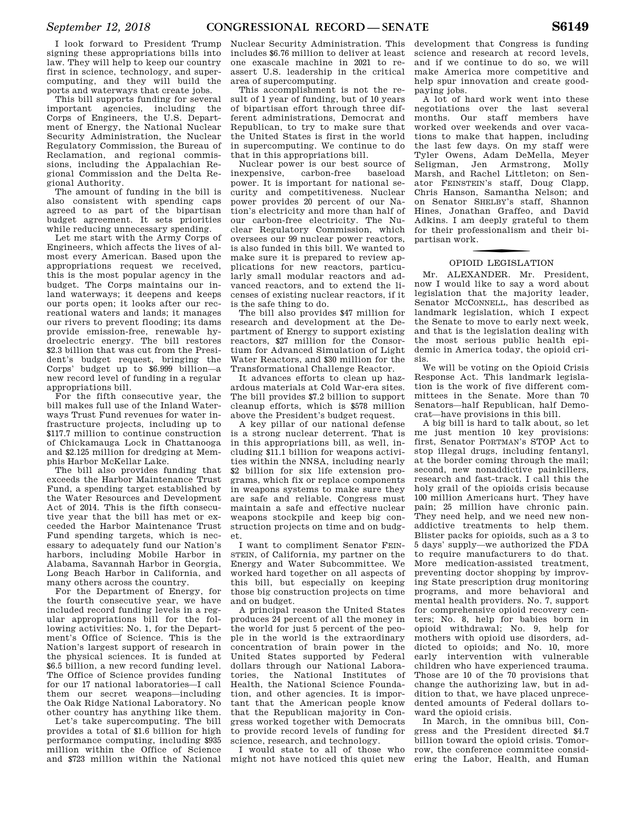I look forward to President Trump signing these appropriations bills into law. They will help to keep our country first in science, technology, and supercomputing, and they will build the ports and waterways that create jobs.

This bill supports funding for several important agencies, including the Corps of Engineers, the U.S. Department of Energy, the National Nuclear Security Administration, the Nuclear Regulatory Commission, the Bureau of Reclamation, and regional commissions, including the Appalachian Regional Commission and the Delta Regional Authority.

The amount of funding in the bill is also consistent with spending caps agreed to as part of the bipartisan budget agreement. It sets priorities while reducing unnecessary spending.

Let me start with the Army Corps of Engineers, which affects the lives of almost every American. Based upon the appropriations request we received, this is the most popular agency in the budget. The Corps maintains our inland waterways; it deepens and keeps our ports open; it looks after our recreational waters and lands; it manages our rivers to prevent flooding; its dams provide emission-free, renewable hydroelectric energy. The bill restores \$2.3 billion that was cut from the President's budget request, bringing the Corps' budget up to \$6.999 billion—a new record level of funding in a regular appropriations bill.

For the fifth consecutive year, the bill makes full use of the Inland Waterways Trust Fund revenues for water infrastructure projects, including up to \$117.7 million to continue construction of Chickamauga Lock in Chattanooga and \$2.125 million for dredging at Memphis Harbor McKellar Lake.

The bill also provides funding that exceeds the Harbor Maintenance Trust Fund, a spending target established by the Water Resources and Development Act of 2014. This is the fifth consecutive year that the bill has met or exceeded the Harbor Maintenance Trust Fund spending targets, which is necessary to adequately fund our Nation's harbors, including Mobile Harbor in Alabama, Savannah Harbor in Georgia, Long Beach Harbor in California, and many others across the country.

For the Department of Energy, for the fourth consecutive year, we have included record funding levels in a regular appropriations bill for the following activities: No. 1, for the Department's Office of Science. This is the Nation's largest support of research in the physical sciences. It is funded at \$6.5 billion, a new record funding level. The Office of Science provides funding for our 17 national laboratories—I call them our secret weapons—including the Oak Ridge National Laboratory. No other country has anything like them.

Let's take supercomputing. The bill provides a total of \$1.6 billion for high performance computing, including \$935 million within the Office of Science and \$723 million within the National

Nuclear Security Administration. This includes \$6.76 million to deliver at least one exascale machine in 2021 to reassert U.S. leadership in the critical area of supercomputing.

This accomplishment is not the result of 1 year of funding, but of 10 years of bipartisan effort through three different administrations, Democrat and Republican, to try to make sure that the United States is first in the world in supercomputing. We continue to do that in this appropriations bill.

Nuclear power is our best source of inexpensive, carbon-free baseload power. It is important for national security and competitiveness. Nuclear power provides 20 percent of our Nation's electricity and more than half of our carbon-free electricity. The Nuclear Regulatory Commission, which oversees our 99 nuclear power reactors, is also funded in this bill. We wanted to make sure it is prepared to review applications for new reactors, particularly small modular reactors and advanced reactors, and to extend the licenses of existing nuclear reactors, if it is the safe thing to do.

The bill also provides \$47 million for research and development at the Department of Energy to support existing reactors, \$27 million for the Consortium for Advanced Simulation of Light Water Reactors, and \$30 million for the Transformational Challenge Reactor.

It advances efforts to clean up hazardous materials at Cold War-era sites. The bill provides \$7.2 billion to support cleanup efforts, which is \$578 million above the President's budget request.

A key pillar of our national defense is a strong nuclear deterrent. That is in this appropriations bill, as well, including \$11.1 billion for weapons activities within the NNSA, including nearly \$2 billion for six life extension programs, which fix or replace components in weapons systems to make sure they are safe and reliable. Congress must maintain a safe and effective nuclear weapons stockpile and keep big construction projects on time and on budget.

I want to compliment Senator FEIN-STEIN, of California, my partner on the Energy and Water Subcommittee. We worked hard together on all aspects of this bill, but especially on keeping those big construction projects on time and on budget.

A principal reason the United States produces 24 percent of all the money in the world for just 5 percent of the people in the world is the extraordinary concentration of brain power in the United States supported by Federal dollars through our National Laboratories, the National Institutes of Health, the National Science Foundation, and other agencies. It is important that the American people know that the Republican majority in Congress worked together with Democrats to provide record levels of funding for science, research, and technology.

I would state to all of those who might not have noticed this quiet new

development that Congress is funding science and research at record levels, and if we continue to do so, we will make America more competitive and help spur innovation and create goodpaying jobs.

A lot of hard work went into these negotiations over the last several months. Our staff members have worked over weekends and over vacations to make that happen, including the last few days. On my staff were Tyler Owens, Adam DeMella, Meyer Seligman, Jen Armstrong, Molly Marsh, and Rachel Littleton; on Senator FEINSTEIN's staff, Doug Clapp, Chris Hanson, Samantha Nelson; and on Senator SHELBY's staff, Shannon Hines, Jonathan Graffeo, and David Adkins. I am deeply grateful to them for their professionalism and their bipartisan work.

## OPIOID LEGISLATION

Mr. ALEXANDER. Mr. President, now I would like to say a word about legislation that the majority leader, Senator MCCONNELL, has described as landmark legislation, which I expect the Senate to move to early next week, and that is the legislation dealing with the most serious public health epidemic in America today, the opioid crisis.

We will be voting on the Opioid Crisis Response Act. This landmark legislation is the work of five different committees in the Senate. More than 70 Senators—half Republican, half Democrat—have provisions in this bill.

A big bill is hard to talk about, so let me just mention 10 key provisions: first, Senator PORTMAN's STOP Act to stop illegal drugs, including fentanyl, at the border coming through the mail; second, new nonaddictive painkillers, research and fast-track. I call this the holy grail of the opioids crisis because 100 million Americans hurt. They have pain; 25 million have chronic pain. They need help, and we need new nonaddictive treatments to help them. Blister packs for opioids, such as a 3 to 5 days' supply—we authorized the FDA to require manufacturers to do that. More medication-assisted treatment, preventing doctor shopping by improving State prescription drug monitoring programs, and more behavioral and mental health providers. No. 7, support for comprehensive opioid recovery centers; No. 8, help for babies born in opioid withdrawal; No. 9, help for mothers with opioid use disorders, addicted to opioids; and No. 10, more early intervention with vulnerable children who have experienced trauma. Those are 10 of the 70 provisions that change the authorizing law, but in addition to that, we have placed unprecedented amounts of Federal dollars toward the opioid crisis.

In March, in the omnibus bill, Congress and the President directed \$4.7 billion toward the opioid crisis. Tomorrow, the conference committee considering the Labor, Health, and Human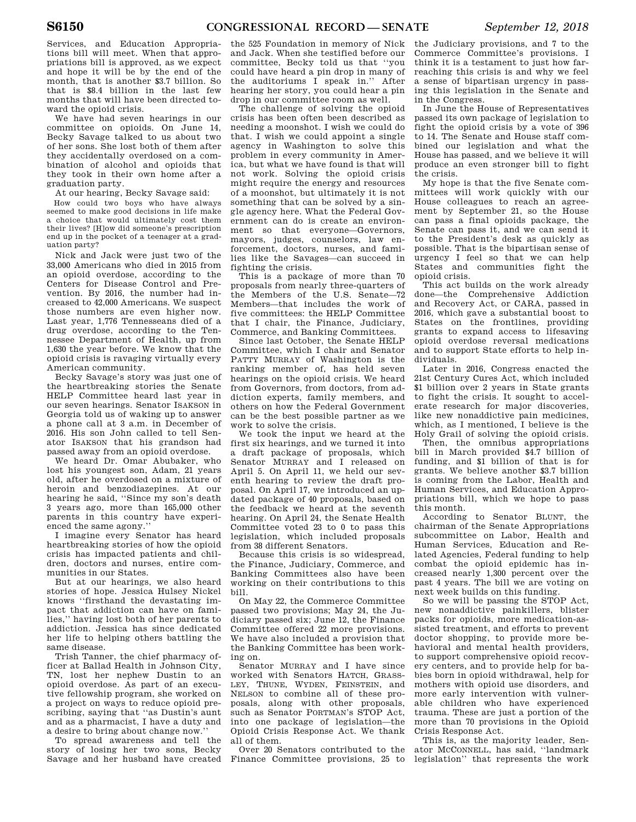Services, and Education Appropriations bill will meet. When that appropriations bill is approved, as we expect and hope it will be by the end of the month, that is another \$3.7 billion. So that is \$8.4 billion in the last few months that will have been directed toward the opioid crisis.

We have had seven hearings in our committee on opioids. On June 14, Becky Savage talked to us about two of her sons. She lost both of them after they accidentally overdosed on a combination of alcohol and opioids that they took in their own home after a graduation party.

At our hearing, Becky Savage said:

How could two boys who have always seemed to make good decisions in life make a choice that would ultimately cost them their lives? [H]ow did someone's prescription end up in the pocket of a teenager at a graduation party?

Nick and Jack were just two of the 33,000 Americans who died in 2015 from an opioid overdose, according to the Centers for Disease Control and Prevention. By 2016, the number had increased to 42,000 Americans. We suspect those numbers are even higher now. Last year, 1,776 Tennesseans died of a drug overdose, according to the Tennessee Department of Health, up from 1,630 the year before. We know that the opioid crisis is ravaging virtually every American community.

Becky Savage's story was just one of the heartbreaking stories the Senate HELP Committee heard last year in our seven hearings. Senator ISAKSON in Georgia told us of waking up to answer a phone call at 3 a.m. in December of 2016. His son John called to tell Senator ISAKSON that his grandson had passed away from an opioid overdose.

We heard Dr. Omar Abubaker, who lost his youngest son, Adam, 21 years old, after he overdosed on a mixture of heroin and benzodiazepines. At our hearing he said, ''Since my son's death 3 years ago, more than 165,000 other parents in this country have experienced the same agony.''

I imagine every Senator has heard heartbreaking stories of how the opioid crisis has impacted patients and children, doctors and nurses, entire communities in our States.

But at our hearings, we also heard stories of hope. Jessica Hulsey Nickel knows ''firsthand the devastating impact that addiction can have on families,'' having lost both of her parents to addiction. Jessica has since dedicated her life to helping others battling the same disease.

Trish Tanner, the chief pharmacy officer at Ballad Health in Johnson City, TN, lost her nephew Dustin to an opioid overdose. As part of an executive fellowship program, she worked on a project on ways to reduce opioid prescribing, saying that ''as Dustin's aunt and as a pharmacist, I have a duty and a desire to bring about change now.''

To spread awareness and tell the story of losing her two sons, Becky Savage and her husband have created

the 525 Foundation in memory of Nick and Jack. When she testified before our committee, Becky told us that ''you could have heard a pin drop in many of the auditoriums I speak in.'' After hearing her story, you could hear a pin drop in our committee room as well.

The challenge of solving the opioid crisis has been often been described as needing a moonshot. I wish we could do that. I wish we could appoint a single agency in Washington to solve this problem in every community in America, but what we have found is that will not work. Solving the opioid crisis might require the energy and resources of a moonshot, but ultimately it is not something that can be solved by a single agency here. What the Federal Government can do is create an environment so that everyone—Governors, mayors, judges, counselors, law enforcement, doctors, nurses, and families like the Savages—can succeed in fighting the crisis.

This is a package of more than 70 proposals from nearly three-quarters of the Members of the U.S. Senate—72 Members—that includes the work of five committees: the HELP Committee that I chair, the Finance, Judiciary, Commerce, and Banking Committees.

Since last October, the Senate HELP Committee, which I chair and Senator PATTY MURRAY of Washington is the ranking member of, has held seven hearings on the opioid crisis. We heard from Governors, from doctors, from addiction experts, family members, and others on how the Federal Government can be the best possible partner as we work to solve the crisis.

We took the input we heard at the first six hearings, and we turned it into a draft package of proposals, which Senator MURRAY and I released on April 5. On April 11, we held our seventh hearing to review the draft proposal. On April 17, we introduced an updated package of 40 proposals, based on the feedback we heard at the seventh hearing. On April 24, the Senate Health Committee voted 23 to 0 to pass this legislation, which included proposals from 38 different Senators.

Because this crisis is so widespread, the Finance, Judiciary, Commerce, and Banking Committees also have been working on their contributions to this bill.

On May 22, the Commerce Committee passed two provisions; May 24, the Judiciary passed six; June 12, the Finance Committee offered 22 more provisions. We have also included a provision that the Banking Committee has been working on.

Senator MURRAY and I have since worked with Senators HATCH, GRASS-LEY, THUNE, WYDEN, FEINSTEIN, and NELSON to combine all of these proposals, along with other proposals, such as Senator PORTMAN's STOP Act, into one package of legislation—the Opioid Crisis Response Act. We thank all of them.

Over 20 Senators contributed to the Finance Committee provisions, 25 to

the Judiciary provisions, and 7 to the Commerce Committee's provisions. I think it is a testament to just how farreaching this crisis is and why we feel a sense of bipartisan urgency in passing this legislation in the Senate and in the Congress.

In June the House of Representatives passed its own package of legislation to fight the opioid crisis by a vote of 396 to 14. The Senate and House staff combined our legislation and what the House has passed, and we believe it will produce an even stronger bill to fight the crisis.

My hope is that the five Senate committees will work quickly with our House colleagues to reach an agreement by September 21, so the House can pass a final opioids package, the Senate can pass it, and we can send it to the President's desk as quickly as possible. That is the bipartisan sense of urgency I feel so that we can help States and communities fight the opioid crisis.

This act builds on the work already done—the Comprehensive Addiction and Recovery Act, or CARA, passed in 2016, which gave a substantial boost to States on the frontlines, providing grants to expand access to lifesaving opioid overdose reversal medications and to support State efforts to help individuals.

Later in 2016, Congress enacted the 21st Century Cures Act, which included \$1 billion over 2 years in State grants to fight the crisis. It sought to accelerate research for major discoveries, like new nonaddictive pain medicines, which, as I mentioned, I believe is the Holy Grail of solving the opioid crisis.

Then, the omnibus appropriations bill in March provided \$4.7 billion of funding, and \$1 billion of that is for grants. We believe another \$3.7 billion is coming from the Labor, Health and Human Services, and Education Appropriations bill, which we hope to pass this month.

According to Senator BLUNT, the chairman of the Senate Appropriations subcommittee on Labor, Health and Human Services, Education and Related Agencies, Federal funding to help combat the opioid epidemic has increased nearly 1,300 percent over the past 4 years. The bill we are voting on next week builds on this funding.

So we will be passing the STOP Act, new nonaddictive painkillers, blister packs for opioids, more medication-assisted treatment, and efforts to prevent doctor shopping, to provide more behavioral and mental health providers, to support comprehensive opioid recovery centers, and to provide help for babies born in opioid withdrawal, help for mothers with opioid use disorders, and more early intervention with vulnerable children who have experienced trauma. These are just a portion of the more than 70 provisions in the Opioid Crisis Response Act.

This is, as the majority leader, Senator MCCONNELL, has said, ''landmark legislation'' that represents the work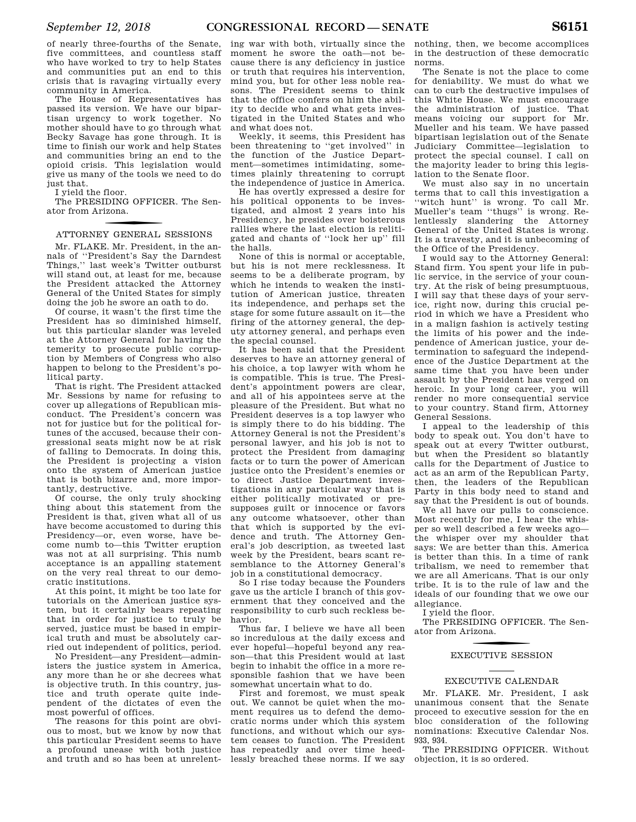of nearly three-fourths of the Senate, five committees, and countless staff who have worked to try to help States and communities put an end to this crisis that is ravaging virtually every community in America.

The House of Representatives has passed its version. We have our bipartisan urgency to work together. No mother should have to go through what Becky Savage has gone through. It is time to finish our work and help States and communities bring an end to the opioid crisis. This legislation would give us many of the tools we need to do just that.

I yield the floor.

The PRESIDING OFFICER. The Senator from Arizona.

## f ATTORNEY GENERAL SESSIONS

Mr. FLAKE. Mr. President, in the annals of ''President's Say the Darndest Things,'' last week's Twitter outburst will stand out, at least for me, because the President attacked the Attorney General of the United States for simply doing the job he swore an oath to do.

Of course, it wasn't the first time the President has so diminished himself, but this particular slander was leveled at the Attorney General for having the temerity to prosecute public corruption by Members of Congress who also happen to belong to the President's political party.

That is right. The President attacked Mr. Sessions by name for refusing to cover up allegations of Republican misconduct. The President's concern was not for justice but for the political fortunes of the accused, because their congressional seats might now be at risk of falling to Democrats. In doing this, the President is projecting a vision onto the system of American justice that is both bizarre and, more importantly, destructive.

Of course, the only truly shocking thing about this statement from the President is that, given what all of us have become accustomed to during this Presidency—or, even worse, have become numb to—this Twitter eruption was not at all surprising. This numb acceptance is an appalling statement on the very real threat to our democratic institutions.

At this point, it might be too late for tutorials on the American justice system, but it certainly bears repeating that in order for justice to truly be served, justice must be based in empirical truth and must be absolutely carried out independent of politics, period.

No President—any President—administers the justice system in America, any more than he or she decrees what is objective truth. In this country, justice and truth operate quite independent of the dictates of even the most powerful of offices.

The reasons for this point are obvious to most, but we know by now that this particular President seems to have a profound unease with both justice and truth and so has been at unrelent-

ing war with both, virtually since the moment he swore the oath—not because there is any deficiency in justice or truth that requires his intervention, mind you, but for other less noble reasons. The President seems to think that the office confers on him the ability to decide who and what gets investigated in the United States and who and what does not.

Weekly, it seems, this President has been threatening to ''get involved'' in the function of the Justice Department—sometimes intimidating, sometimes plainly threatening to corrupt the independence of justice in America.

He has overtly expressed a desire for his political opponents to be investigated, and almost 2 years into his Presidency, he presides over boisterous rallies where the last election is relitigated and chants of ''lock her up'' fill the halls.

None of this is normal or acceptable, but his is not mere recklessness. It seems to be a deliberate program, by which he intends to weaken the institution of American justice, threaten its independence, and perhaps set the stage for some future assault on it—the firing of the attorney general, the deputy attorney general, and perhaps even the special counsel.

It has been said that the President deserves to have an attorney general of his choice, a top lawyer with whom he is compatible. This is true. The President's appointment powers are clear, and all of his appointees serve at the pleasure of the President. But what no President deserves is a top lawyer who is simply there to do his bidding. The Attorney General is not the President's personal lawyer, and his job is not to protect the President from damaging facts or to turn the power of American justice onto the President's enemies or to direct Justice Department investigations in any particular way that is either politically motivated or presupposes guilt or innocence or favors any outcome whatsoever, other than that which is supported by the evidence and truth. The Attorney General's job description, as tweeted last week by the President, bears scant resemblance to the Attorney General's job in a constitutional democracy.

So I rise today because the Founders gave us the article I branch of this government that they conceived and the responsibility to curb such reckless behavior.

Thus far, I believe we have all been so incredulous at the daily excess and ever hopeful—hopeful beyond any reason—that this President would at last begin to inhabit the office in a more responsible fashion that we have been somewhat uncertain what to do.

First and foremost, we must speak out. We cannot be quiet when the moment requires us to defend the democratic norms under which this system functions, and without which our system ceases to function. The President has repeatedly and over time heedlessly breached these norms. If we say

nothing, then, we become accomplices in the destruction of these democratic norms.

The Senate is not the place to come for deniability. We must do what we can to curb the destructive impulses of this White House. We must encourage the administration of justice. That means voicing our support for Mr. Mueller and his team. We have passed bipartisan legislation out of the Senate Judiciary Committee—legislation to protect the special counsel. I call on the majority leader to bring this legislation to the Senate floor.

We must also say in no uncertain terms that to call this investigation a ''witch hunt'' is wrong. To call Mr. Mueller's team ''thugs'' is wrong. Relentlessly slandering the Attorney General of the United States is wrong. It is a travesty, and it is unbecoming of the Office of the Presidency.

I would say to the Attorney General: Stand firm. You spent your life in public service, in the service of your country. At the risk of being presumptuous, I will say that these days of your service, right now, during this crucial period in which we have a President who in a malign fashion is actively testing the limits of his power and the independence of American justice, your determination to safeguard the independence of the Justice Department at the same time that you have been under assault by the President has verged on heroic. In your long career, you will render no more consequential service to your country. Stand firm, Attorney General Sessions.

I appeal to the leadership of this body to speak out. You don't have to speak out at every Twitter outburst, but when the President so blatantly calls for the Department of Justice to act as an arm of the Republican Party, then, the leaders of the Republican Party in this body need to stand and say that the President is out of bounds.

We all have our pulls to conscience. Most recently for me, I hear the whisper so well described a few weeks ago the whisper over my shoulder that says: We are better than this. America is better than this. In a time of rank tribalism, we need to remember that we are all Americans. That is our only tribe. It is to the rule of law and the ideals of our founding that we owe our allegiance.

I yield the floor.

The PRESIDING OFFICER. The Senator from Arizona.

## f EXECUTIVE SESSION

#### EXECUTIVE CALENDAR

Mr. FLAKE. Mr. President, I ask unanimous consent that the Senate proceed to executive session for the en bloc consideration of the following nominations: Executive Calendar Nos. 933, 934.

The PRESIDING OFFICER. Without objection, it is so ordered.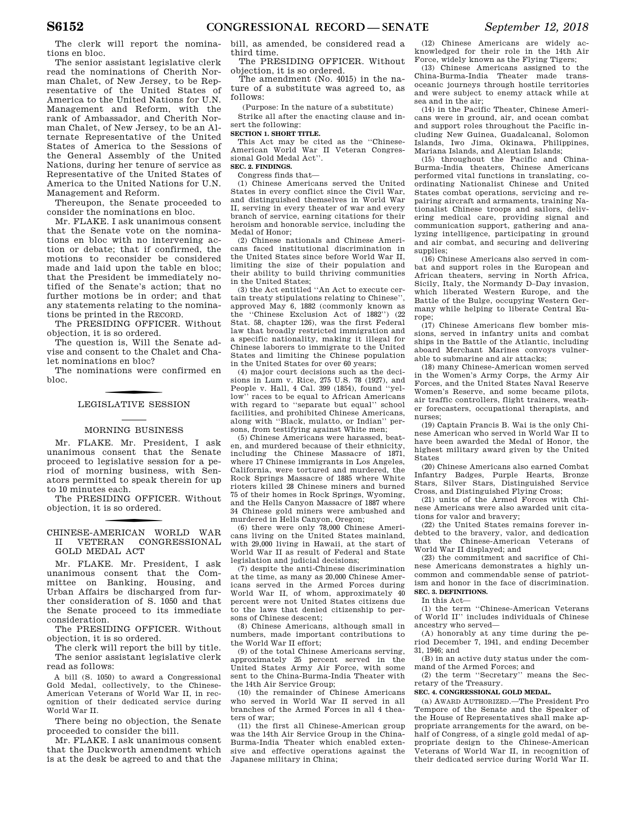The clerk will report the nominations en bloc.

The senior assistant legislative clerk read the nominations of Cherith Norman Chalet, of New Jersey, to be Representative of the United States of America to the United Nations for U.N. Management and Reform, with the rank of Ambassador, and Cherith Norman Chalet, of New Jersey, to be an Alternate Representative of the United States of America to the Sessions of the General Assembly of the United Nations, during her tenure of service as Representative of the United States of America to the United Nations for U.N. Management and Reform.

Thereupon, the Senate proceeded to consider the nominations en bloc.

Mr. FLAKE. I ask unanimous consent that the Senate vote on the nominations en bloc with no intervening action or debate; that if confirmed, the motions to reconsider be considered made and laid upon the table en bloc; that the President be immediately notified of the Senate's action; that no further motions be in order; and that any statements relating to the nominations be printed in the RECORD.

The PRESIDING OFFICER. Without objection, it is so ordered.

The question is, Will the Senate advise and consent to the Chalet and Chalet nominations en bloc?

The nominations were confirmed en bloc.

## LEGISLATIVE SESSION

#### MORNING BUSINESS

Mr. FLAKE. Mr. President, I ask unanimous consent that the Senate proceed to legislative session for a period of morning business, with Senators permitted to speak therein for up to 10 minutes each.

The PRESIDING OFFICER. Without objection, it is so ordered.

f CHINESE-AMERICAN WORLD WAR II VETERAN CONGRESSIONAL GOLD MEDAL ACT

Mr. FLAKE. Mr. President, I ask unanimous consent that the Committee on Banking, Housing, and Urban Affairs be discharged from further consideration of S. 1050 and that the Senate proceed to its immediate consideration.

The PRESIDING OFFICER. Without objection, it is so ordered.

The clerk will report the bill by title. The senior assistant legislative clerk read as follows:

A bill (S. 1050) to award a Congressional Gold Medal, collectively, to the Chinese-American Veterans of World War II, in recognition of their dedicated service during World War II.

There being no objection, the Senate proceeded to consider the bill.

Mr. FLAKE. I ask unanimous consent that the Duckworth amendment which is at the desk be agreed to and that the bill, as amended, be considered read a third time.

The PRESIDING OFFICER. Without objection, it is so ordered.

The amendment (No. 4015) in the nature of a substitute was agreed to, as follows:

(Purpose: In the nature of a substitute)

Strike all after the enacting clause and insert the following:

**SECTION 1. SHORT TITLE.** 

This Act may be cited as the ''Chinese-American World War II Veteran Congres-sional Gold Medal Act''.

#### **SEC. 2. FINDINGS.**

Congress finds that—

(1) Chinese Americans served the United States in every conflict since the Civil War, and distinguished themselves in World War II, serving in every theater of war and every branch of service, earning citations for their heroism and honorable service, including the Medal of Honor;

(2) Chinese nationals and Chinese Americans faced institutional discrimination in the United States since before World War II, limiting the size of their population and their ability to build thriving communities in the United States;

(3) the Act entitled ''An Act to execute certain treaty stipulations relating to Chinese'', approved May 6, 1882 (commonly known as the ''Chinese Exclusion Act of 1882'') (22 Stat. 58, chapter 126), was the first Federal law that broadly restricted immigration and a specific nationality, making it illegal for Chinese laborers to immigrate to the United States and limiting the Chinese population in the United States for over 60 years;

(4) major court decisions such as the decisions in Lum v. Rice, 275 U.S. 78 (1927), and People v. Hall, 4 Cal. 399 (1854), found ''yellow'' races to be equal to African Americans with regard to ''separate but equal'' school facilities, and prohibited Chinese Americans, along with ''Black, mulatto, or Indian'' persons, from testifying against White men;

(5) Chinese Americans were harassed, beaten, and murdered because of their ethnicity, including the Chinese Massacre of 1871, where 17 Chinese immigrants in Los Angeles, California, were tortured and murdered, the Rock Springs Massacre of 1885 where White rioters killed 28 Chinese miners and burned 75 of their homes in Rock Springs, Wyoming, and the Hells Canyon Massacre of 1887 where 34 Chinese gold miners were ambushed and murdered in Hells Canyon, Oregon;

(6) there were only 78,000 Chinese Americans living on the United States mainland, with 29,000 living in Hawaii, at the start of World War II as result of Federal and State legislation and judicial decisions;

(7) despite the anti-Chinese discrimination at the time, as many as 20,000 Chinese Americans served in the Armed Forces during World War II, of whom, approximately 40 percent were not United States citizens due to the laws that denied citizenship to persons of Chinese descent;

(8) Chinese Americans, although small in numbers, made important contributions to the World War II effort;

(9) of the total Chinese Americans serving, approximately 25 percent served in the United States Army Air Force, with some sent to the China-Burma-India Theater with the 14th Air Service Group;

(10) the remainder of Chinese Americans who served in World War II served in all branches of the Armed Forces in all 4 theaters of war;

(11) the first all Chinese-American group was the 14th Air Service Group in the China-Burma-India Theater which enabled extensive and effective operations against the Japanese military in China;

(12) Chinese Americans are widely acknowledged for their role in the 14th Air Force, widely known as the Flying Tigers;

(13) Chinese Americans assigned to the China-Burma-India Theater made transoceanic journeys through hostile territories and were subject to enemy attack while at sea and in the air;

(14) in the Pacific Theater, Chinese Americans were in ground, air, and ocean combat and support roles throughout the Pacific including New Guinea, Guadalcanal, Solomon Islands, Iwo Jima, Okinawa, Philippines, Mariana Islands, and Aleutian Islands;

(15) throughout the Pacific and China-Burma-India theaters, Chinese Americans performed vital functions in translating, coordinating Nationalist Chinese and United States combat operations, servicing and repairing aircraft and armaments, training Nationalist Chinese troops and sailors, delivering medical care, providing signal and communication support, gathering and analyzing intelligence, participating in ground and air combat, and securing and delivering supplies;

(16) Chinese Americans also served in combat and support roles in the European and African theaters, serving in North Africa, Sicily, Italy, the Normandy D–Day invasion, which liberated Western Europe, and the Battle of the Bulge, occupying Western Germany while helping to liberate Central Europe;

(17) Chinese Americans flew bomber missions, served in infantry units and combat ships in the Battle of the Atlantic, including aboard Merchant Marines convoys vulnerable to submarine and air attacks;

(18) many Chinese-American women served in the Women's Army Corps, the Army Air Forces, and the United States Naval Reserve Women's Reserve, and some became pilots, air traffic controllers, flight trainers, weather forecasters, occupational therapists, and nurses;

(19) Captain Francis B. Wai is the only Chinese American who served in World War II to have been awarded the Medal of Honor, the highest military award given by the United States

(20) Chinese Americans also earned Combat Infantry Badges, Purple Hearts, Bronze Stars, Silver Stars, Distinguished Service Cross, and Distinguished Flying Cross;

(21) units of the Armed Forces with Chinese Americans were also awarded unit citations for valor and bravery;

(22) the United States remains forever indebted to the bravery, valor, and dedication that the Chinese-American Veterans of World War II displayed; and

(23) the commitment and sacrifice of Chinese Americans demonstrates a highly uncommon and commendable sense of patriotism and honor in the face of discrimination. **SEC. 3. DEFINITIONS.** 

#### In this Act—

(1) the term ''Chinese-American Veterans of World II'' includes individuals of Chinese ancestry who served—

(A) honorably at any time during the period December 7, 1941, and ending December 31, 1946; and

(B) in an active duty status under the command of the Armed Forces; and

(2) the term ''Secretary'' means the Secretary of the Treasury.

#### **SEC. 4. CONGRESSIONAL GOLD MEDAL.**

(a) AWARD AUTHORIZED.—The President Pro Tempore of the Senate and the Speaker of the House of Representatives shall make appropriate arrangements for the award, on behalf of Congress, of a single gold medal of appropriate design to the Chinese-American Veterans of World War II, in recognition of their dedicated service during World War II.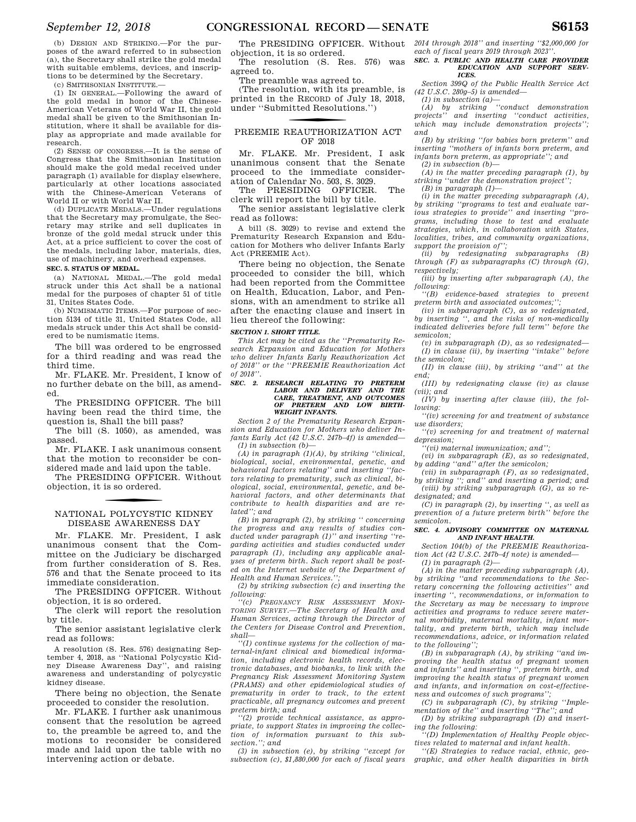(b) DESIGN AND STRIKING.—For the purposes of the award referred to in subsection (a), the Secretary shall strike the gold medal with suitable emblems, devices, and inscriptions to be determined by the Secretary.

(c) SMITHSONIAN INSTITUTE.—

(1) IN GENERAL.—Following the award of the gold medal in honor of the Chinese-American Veterans of World War II, the gold medal shall be given to the Smithsonian Institution, where it shall be available for display as appropriate and made available for research.

(2) SENSE OF CONGRESS.—It is the sense of Congress that the Smithsonian Institution should make the gold medal received under paragraph (1) available for display elsewhere, particularly at other locations associated with the Chinese-American Veterans of World II or with World War II.

(d) DUPLICATE MEDALS.—Under regulations that the Secretary may promulgate, the Secretary may strike and sell duplicates in bronze of the gold medal struck under this Act, at a price sufficient to cover the cost of the medals, including labor, materials, dies, use of machinery, and overhead expenses.

#### **SEC. 5. STATUS OF MEDAL.**

(a) NATIONAL MEDAL.—The gold medal struck under this Act shall be a national medal for the purposes of chapter 51 of title 31, Unites States Code.

(b) NUMISMATIC ITEMS.—For purpose of section 5134 of title 31, United States Code, all medals struck under this Act shall be considered to be numismatic items.

The bill was ordered to be engrossed for a third reading and was read the third time.

Mr. FLAKE. Mr. President, I know of no further debate on the bill, as amended.

The PRESIDING OFFICER. The bill having been read the third time, the question is, Shall the bill pass?

The bill (S. 1050), as amended, was passed.

Mr. FLAKE. I ask unanimous consent that the motion to reconsider be considered made and laid upon the table.

The PRESIDING OFFICER. Without objection, it is so ordered.

## f NATIONAL POLYCYSTIC KIDNEY DISEASE AWARENESS DAY

Mr. FLAKE. Mr. President, I ask unanimous consent that the Committee on the Judiciary be discharged from further consideration of S. Res. 576 and that the Senate proceed to its immediate consideration.

The PRESIDING OFFICER. Without objection, it is so ordered.

The clerk will report the resolution by title.

The senior assistant legislative clerk read as follows:

A resolution (S. Res. 576) designating September 4, 2018, as ''National Polycystic Kidney Disease Awareness Day'', and raising awareness and understanding of polycystic kidney disease.

There being no objection, the Senate proceeded to consider the resolution.

Mr. FLAKE. I further ask unanimous consent that the resolution be agreed to, the preamble be agreed to, and the motions to reconsider be considered made and laid upon the table with no intervening action or debate.

The PRESIDING OFFICER. Without objection, it is so ordered.

The resolution (S. Res. 576) was

agreed to. The preamble was agreed to.

(The resolution, with its preamble, is printed in the RECORD of July 18, 2018, under ''Submitted Resolutions.'')

#### f PREEMIE REAUTHORIZATION ACT OF 2018

Mr. FLAKE. Mr. President, I ask unanimous consent that the Senate proceed to the immediate consideration of Calendar No. 503, S. 3029.

The PRESIDING OFFICER. The clerk will report the bill by title.

The senior assistant legislative clerk read as follows:

A bill (S. 3029) to revise and extend the Prematurity Research Expansion and Education for Mothers who deliver Infants Early Act (PREEMIE Act).

There being no objection, the Senate proceeded to consider the bill, which had been reported from the Committee on Health, Education, Labor, and Pensions, with an amendment to strike all after the enacting clause and insert in lieu thereof the following:

#### *SECTION 1. SHORT TITLE.*

*This Act may be cited as the ''Prematurity Research Expansion and Education for Mothers who deliver Infants Early Reauthorization Act of 2018'' or the ''PREEMIE Reauthorization Act of 2018''.* 

#### *SEC. 2. RESEARCH RELATING TO PRETERM LABOR AND DELIVERY AND THE CARE, TREATMENT, AND OUTCOMES OF PRETERM AND LOW BIRTH-WEIGHT INFANTS.*

*Section 2 of the Prematurity Research Expansion and Education for Mothers who deliver Infants Early Act (42 U.S.C. 247b–4f) is amended— (1) in subsection (b)—* 

*(A) in paragraph (1)(A), by striking ''clinical, biological, social, environmental, genetic, and*  behavioral factors relating" and inserting *tors relating to prematurity, such as clinical, biological, social, environmental, genetic, and behavioral factors, and other determinants that contribute to health disparities and are related''; and* 

*(B) in paragraph (2), by striking '' concerning the progress and any results of studies conducted under paragraph (1)'' and inserting ''regarding activities and studies conducted under paragraph (1), including any applicable analyses of preterm birth. Such report shall be posted on the Internet website of the Department of Health and Human Services.'';* 

*(2) by striking subsection (c) and inserting the following:* 

*''(c) PREGNANCY RISK ASSESSMENT MONI-TORING SURVEY.—The Secretary of Health and Human Services, acting through the Director of the Centers for Disease Control and Prevention, shall—* 

*''(1) continue systems for the collection of maternal-infant clinical and biomedical information, including electronic health records, electronic databases, and biobanks, to link with the Pregnancy Risk Assessment Monitoring System (PRAMS) and other epidemiological studies of prematurity in order to track, to the extent practicable, all pregnancy outcomes and prevent preterm birth; and* 

*''(2) provide technical assistance, as appropriate, to support States in improving the collection of information pursuant to this subsection.''; and* 

*(3) in subsection (e), by striking ''except for subsection (c), \$1,880,000 for each of fiscal years*  *2014 through 2018'' and inserting ''\$2,000,000 for each of fiscal years 2019 through 2023''.* 

#### *SEC. 3. PUBLIC AND HEALTH CARE PROVIDER EDUCATION AND SUPPORT SERV-ICES.*

*Section 399Q of the Public Health Service Act (42 U.S.C. 280g–5) is amended—* 

*(1) in subsection (a)—* 

*(A) by striking ''conduct demonstration*  and inserting "conduct activities, *which may include demonstration projects''; and* 

*(B) by striking ''for babies born preterm'' and inserting ''mothers of infants born preterm, and infants born preterm, as appropriate''; and* 

*(2) in subsection (b)—* 

*(A) in the matter preceding paragraph (1), by striking ''under the demonstration project''; (B) in paragraph (1)—* 

*(i) in the matter preceding subparagraph (A), by striking ''programs to test and evaluate various strategies to provide'' and inserting ''programs, including those to test and evaluate strategies, which, in collaboration with States, localities, tribes, and community organizations, support the provision of'';* 

*(ii) by redesignating subparagraphs (B) through (F) as subparagraphs (C) through (G), respectively;* 

*(iii) by inserting after subparagraph (A), the following:* 

*''(B) evidence-based strategies to prevent preterm birth and associated outcomes;'';* 

*(iv) in subparagraph (C), as so redesignated, by inserting '', and the risks of non-medically indicated deliveries before full term'' before the semicolon;* 

*(v) in subparagraph (D), as so redesignated— (I) in clause (ii), by inserting ''intake'' before the semicolon;* 

*(II) in clause (iii), by striking ''and'' at the end;* 

*(III) by redesignating clause (iv) as clause (vii); and* 

*(IV) by inserting after clause (iii), the following:* 

*''(iv) screening for and treatment of substance use disorders;* 

*''(v) screening for and treatment of maternal depression;* 

*''(vi) maternal immunization; and'';* 

*(vi) in subparagraph (E), as so redesignated, by adding ''and'' after the semicolon;* 

*(vii) in subparagraph (F), as so redesignated, by striking ''; and'' and inserting a period; and (viii) by striking subparagraph (G), as so redesignated; and* 

*(C) in paragraph (2), by inserting '', as well as prevention of a future preterm birth'' before the semicolon.* 

#### *SEC. 4. ADVISORY COMMITTEE ON MATERNAL AND INFANT HEALTH.*

*Section 104(b) of the PREEMIE Reauthorization Act (42 U.S.C. 247b–4f note) is amended—* 

*(1) in paragraph (2)—* 

*(A) in the matter preceding subparagraph (A), by striking ''and recommendations to the Secretary concerning the following activities'' and inserting '', recommendations, or information to the Secretary as may be necessary to improve activities and programs to reduce severe maternal morbidity, maternal mortality, infant mortality, and preterm birth, which may include recommendations, advice, or information related to the following'';* 

*(B) in subparagraph (A), by striking ''and improving the health status of pregnant women and infants'' and inserting '', preterm birth, and improving the health status of pregnant women and infants, and information on cost-effectiveness and outcomes of such programs'';* 

*(C) in subparagraph (C), by striking ''Implementation of the'' and inserting ''The''; and (D) by striking subparagraph (D) and insert-*

*ing the following: ''(D) Implementation of Healthy People objec-*

*tives related to maternal and infant health.* 

*''(E) Strategies to reduce racial, ethnic, geographic, and other health disparities in birth*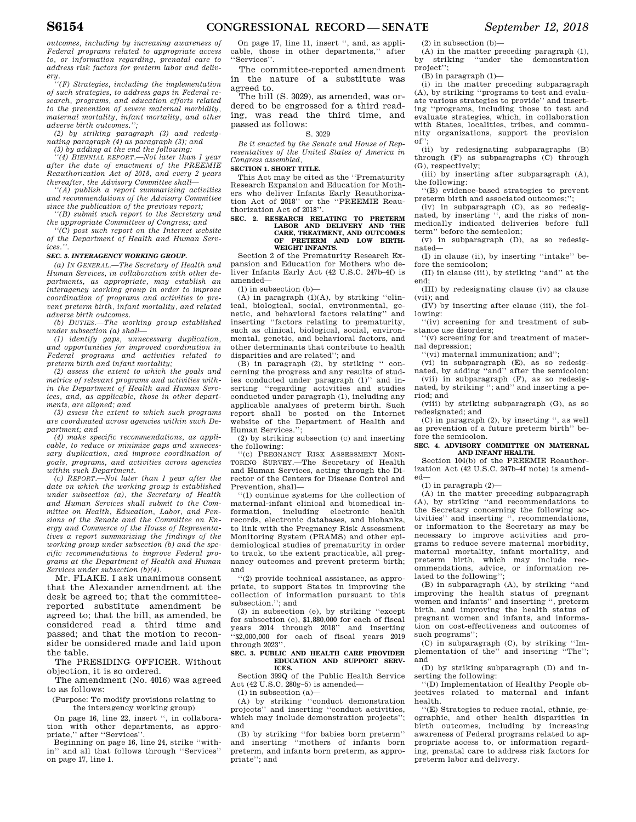*outcomes, including by increasing awareness of Federal programs related to appropriate access to, or information regarding, prenatal care to address risk factors for preterm labor and deliv-*

*ery. ''(F) Strategies, including the implementation of such strategies, to address gaps in Federal research, programs, and education efforts related to the prevention of severe maternal morbidity, maternal mortality, infant mortality, and other adverse birth outcomes.'';* 

*(2) by striking paragraph (3) and redesignating paragraph (4) as paragraph (3); and* 

*(3) by adding at the end the following:* 

*''(4) BIENNIAL REPORT.—Not later than 1 year after the date of enactment of the PREEMIE Reauthorization Act of 2018, and every 2 years thereafter, the Advisory Committee shall—* 

*''(A) publish a report summarizing activities and recommendations of the Advisory Committee since the publication of the previous report; ''(B) submit such report to the Secretary and* 

*the appropriate Committees of Congress; and* 

*''(C) post such report on the Internet website of the Department of Health and Human Services.''.* 

#### *SEC. 5. INTERAGENCY WORKING GROUP.*

*(a) IN GENERAL.—The Secretary of Health and Human Services, in collaboration with other departments, as appropriate, may establish an interagency working group in order to improve coordination of programs and activities to prevent preterm birth, infant mortality, and related adverse birth outcomes.* 

*(b) DUTIES.—The working group established under subsection (a) shall—* 

*(1) identify gaps, unnecessary duplication, and opportunities for improved coordination in Federal programs and activities related to preterm birth and infant mortality;* 

*(2) assess the extent to which the goals and metrics of relevant programs and activities within the Department of Health and Human Services, and, as applicable, those in other departments, are aligned; and* 

*(3) assess the extent to which such programs are coordinated across agencies within such Department; and* 

*(4) make specific recommendations, as applicable, to reduce or minimize gaps and unnecessary duplication, and improve coordination of goals, programs, and activities across agencies within such Department.* 

*(c) REPORT.—Not later than 1 year after the date on which the working group is established under subsection (a), the Secretary of Health and Human Services shall submit to the Committee on Health, Education, Labor, and Pensions of the Senate and the Committee on Energy and Commerce of the House of Representatives a report summarizing the findings of the working group under subsection (b) and the specific recommendations to improve Federal programs at the Department of Health and Human Services under subsection (b)(4).* 

Mr. FLAKE. I ask unanimous consent that the Alexander amendment at the desk be agreed to; that the committeereported substitute amendment be agreed to; that the bill, as amended, be considered read a third time and passed; and that the motion to reconsider be considered made and laid upon the table.

The PRESIDING OFFICER. Without objection, it is so ordered.

The amendment (No. 4016) was agreed to as follows:

(Purpose: To modify provisions relating to the interagency working group)

On page 16, line 22, insert '', in collaboration with other departments, as appropriate," after "Services"

Beginning on page 16, line 24, strike ''within'' and all that follows through ''Services'' on page 17, line 1.

On page 17, line 11, insert '', and, as applicable, those in other departments,'' after ''Services''.

The committee-reported amendment in the nature of a substitute was agreed to.

The bill (S. 3029), as amended, was ordered to be engrossed for a third reading, was read the third time, and passed as follows:

#### S. 3029

*Be it enacted by the Senate and House of Representatives of the United States of America in Congress assembled,* 

#### **SECTION 1. SHORT TITLE.**

This Act may be cited as the ''Prematurity Research Expansion and Education for Mothers who deliver Infants Early Reauthorization Act of 2018'' or the ''PREEMIE Reauthorization Act of 2018''.

#### **SEC. 2. RESEARCH RELATING TO PRETERM LABOR AND DELIVERY AND THE CARE, TREATMENT, AND OUTCOMES OF PRETERM AND LOW BIRTH-WEIGHT INFANTS.**

Section 2 of the Prematurity Research Expansion and Education for Mothers who deliver Infants Early Act (42 U.S.C. 247b–4f) is amended—

 $(1)$  in subsection  $(b)$ –

(A) in paragraph  $(1)(A)$ , by striking "clinical, biological, social, environmental, genetic, and behavioral factors relating'' and inserting ''factors relating to prematurity, such as clinical, biological, social, environmental, genetic, and behavioral factors, and other determinants that contribute to health disparities and are related''; and

(B) in paragraph (2), by striking '' concerning the progress and any results of studies conducted under paragraph (1)'' and inserting ''regarding activities and studies conducted under paragraph (1), including any applicable analyses of preterm birth. Such report shall be posted on the Internet website of the Department of Health and Human Services.'';

(2) by striking subsection (c) and inserting the following:

''(c) PREGNANCY RISK ASSESSMENT MONI-TORING SURVEY.—The Secretary of Health and Human Services, acting through the Director of the Centers for Disease Control and Prevention, shall—

''(1) continue systems for the collection of maternal-infant clinical and biomedical information, including electronic health records, electronic databases, and biobanks, to link with the Pregnancy Risk Assessment Monitoring System (PRAMS) and other epidemiological studies of prematurity in order to track, to the extent practicable, all pregnancy outcomes and prevent preterm birth; and

''(2) provide technical assistance, as appropriate, to support States in improving the collection of information pursuant to this subsection.''; and

(3) in subsection (e), by striking ''except for subsection (c), \$1,880,000 for each of fiscal years 2014 through 2018'' and inserting ''\$2,000,000 for each of fiscal years 2019 through 2023''.

#### **SEC. 3. PUBLIC AND HEALTH CARE PROVIDER EDUCATION AND SUPPORT SERV-ICES.**

Section 399Q of the Public Health Service Act (42 U.S.C. 280g–5) is amended—

 $(1)$  in subsection  $(a)$ —

(A) by striking ''conduct demonstration projects'' and inserting ''conduct activities, which may include demonstration projects"; and

(B) by striking "for babies born preterm"<br>and inserting "mothers of infants born "mothers of infants born preterm, and infants born preterm, as appropriate''; and

(2) in subsection (b)—

(A) in the matter preceding paragraph (1), by striking ''under the demonstration project'';

(B) in paragraph (1)—

(i) in the matter preceding subparagraph (A), by striking ''programs to test and evaluate various strategies to provide'' and inserting ''programs, including those to test and evaluate strategies, which, in collaboration with States, localities, tribes, and community organizations, support the provision of'';

(ii) by redesignating subparagraphs (B) through (F) as subparagraphs (C) through (G), respectively;

(iii) by inserting after subparagraph (A), the following:

''(B) evidence-based strategies to prevent preterm birth and associated outcomes;'';

(iv) in subparagraph (C), as so redesignated, by inserting '', and the risks of non-medically indicated deliveries before full term'' before the semicolon;

(v) in subparagraph (D), as so redesignated—

(I) in clause (ii), by inserting ''intake'' before the semicolon;

(II) in clause (iii), by striking ''and'' at the end;

(III) by redesignating clause (iv) as clause (vii); and

(IV) by inserting after clause (iii), the following:

''(iv) screening for and treatment of substance use disorders;

''(v) screening for and treatment of maternal depression;

''(vi) maternal immunization; and'';

(vi) in subparagraph (E), as so redesig-nated, by adding ''and'' after the semicolon;

(vii) in subparagraph (F), as so redesig-nated, by striking ''; and'' and inserting a period; and

(viii) by striking subparagraph (G), as so redesignated; and

(C) in paragraph (2), by inserting '', as well as prevention of a future preterm birth'' before the semicolon.

#### **SEC. 4. ADVISORY COMMITTEE ON MATERNAL AND INFANT HEALTH.**

Section 104(b) of the PREEMIE Reauthorization Act (42 U.S.C. 247b–4f note) is amended—

(1) in paragraph (2)—

(A) in the matter preceding subparagraph (A), by striking ''and recommendations to the Secretary concerning the following activities'' and inserting '', recommendations, or information to the Secretary as may be necessary to improve activities and programs to reduce severe maternal morbidity, maternal mortality, infant mortality, and preterm birth, which may include recommendations, advice, or information related to the following'';

(B) in subparagraph (A), by striking ''and improving the health status of pregnant women and infants'' and inserting '', preterm birth, and improving the health status of pregnant women and infants, and information on cost-effectiveness and outcomes of such programs'';

(C) in subparagraph (C), by striking ''Implementation of the'' and inserting ''The''; and

(D) by striking subparagraph (D) and inserting the following:

''(D) Implementation of Healthy People objectives related to maternal and infant health.

''(E) Strategies to reduce racial, ethnic, geographic, and other health disparities birth outcomes, including by increasing awareness of Federal programs related to appropriate access to, or information regarding, prenatal care to address risk factors for preterm labor and delivery.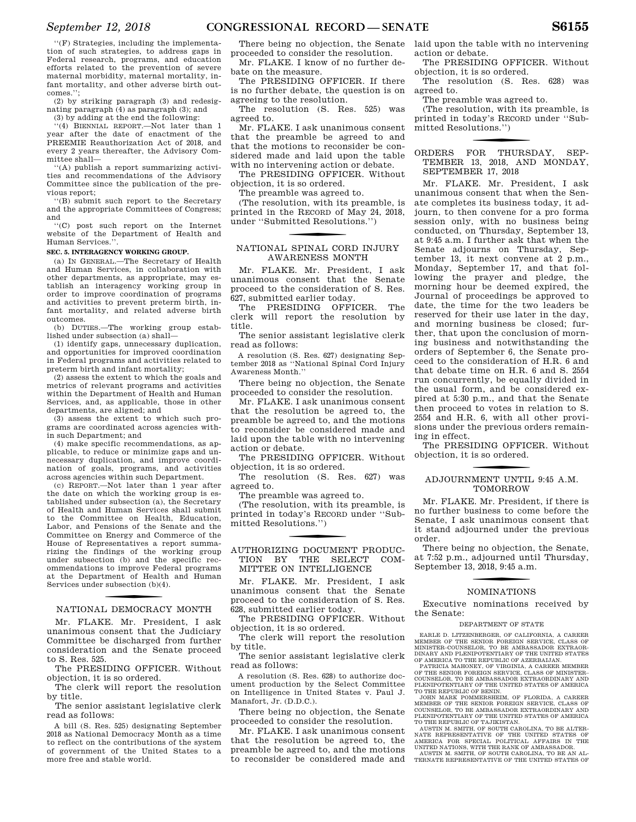''(F) Strategies, including the implementation of such strategies, to address gaps in Federal research, programs, and education efforts related to the prevention of severe maternal morbidity, maternal mortality, infant mortality, and other adverse birth outcomes.'';

(2) by striking paragraph (3) and redesignating paragraph (4) as paragraph (3); and

(3) by adding at the end the following: ''(4) BIENNIAL REPORT.—Not later than 1

year after the date of enactment of the PREEMIE Reauthorization Act of 2018, and every 2 years thereafter, the Advisory Committee shall—

''(A) publish a report summarizing activities and recommendations of the Advisory Committee since the publication of the previous report;

''(B) submit such report to the Secretary and the appropriate Committees of Congress; and

''(C) post such report on the Internet website of the Department of Health and Human Services.''.

#### **SEC. 5. INTERAGENCY WORKING GROUP.**

(a) IN GENERAL.—The Secretary of Health and Human Services, in collaboration with other departments, as appropriate, may establish an interagency working group in order to improve coordination of programs and activities to prevent preterm birth, infant mortality, and related adverse birth outcomes.

(b) DUTIES.—The working group established under subsection (a) shall—

(1) identify gaps, unnecessary duplication, and opportunities for improved coordination in Federal programs and activities related to preterm birth and infant mortality;

(2) assess the extent to which the goals and metrics of relevant programs and activities within the Department of Health and Human Services, and, as applicable, those in other departments, are aligned; and

(3) assess the extent to which such programs are coordinated across agencies within such Department; and

(4) make specific recommendations, as applicable, to reduce or minimize gaps and unnecessary duplication, and improve coordination of goals, programs, and activities across agencies within such Department.

(c) REPORT.—Not later than 1 year after the date on which the working group is established under subsection (a), the Secretary of Health and Human Services shall submit to the Committee on Health, Education, Labor, and Pensions of the Senate and the Committee on Energy and Commerce of the House of Representatives a report summarizing the findings of the working group under subsection (b) and the specific recommendations to improve Federal programs at the Department of Health and Human Services under subsection (b)(4).

## f NATIONAL DEMOCRACY MONTH

Mr. FLAKE. Mr. President, I ask unanimous consent that the Judiciary Committee be discharged from further consideration and the Senate proceed to S. Res. 525.

The PRESIDING OFFICER. Without objection, it is so ordered.

The clerk will report the resolution by title.

The senior assistant legislative clerk read as follows:

A bill (S. Res. 525) designating September 2018 as National Democracy Month as a time to reflect on the contributions of the system of government of the United States to a more free and stable world.

There being no objection, the Senate proceeded to consider the resolution.

Mr. FLAKE. I know of no further debate on the measure.

The PRESIDING OFFICER. If there is no further debate, the question is on agreeing to the resolution.

The resolution (S. Res. 525) was agreed to.

Mr. FLAKE. I ask unanimous consent that the preamble be agreed to and that the motions to reconsider be considered made and laid upon the table with no intervening action or debate.

The PRESIDING OFFICER. Without objection, it is so ordered.

The preamble was agreed to.

(The resolution, with its preamble, is printed in the RECORD of May 24, 2018, under ''Submitted Resolutions.'')

## f NATIONAL SPINAL CORD INJURY AWARENESS MONTH

Mr. FLAKE. Mr. President, I ask unanimous consent that the Senate proceed to the consideration of S. Res. 627, submitted earlier today.

The PRESIDING OFFICER. The clerk will report the resolution by title.

The senior assistant legislative clerk read as follows:

A resolution (S. Res. 627) designating September 2018 as ''National Spinal Cord Injury Awareness Month.''

There being no objection, the Senate proceeded to consider the resolution.

Mr. FLAKE. I ask unanimous consent that the resolution be agreed to, the preamble be agreed to, and the motions to reconsider be considered made and laid upon the table with no intervening action or debate.

The PRESIDING OFFICER. Without objection, it is so ordered.

The resolution (S. Res. 627) was agreed to.

The preamble was agreed to.

(The resolution, with its preamble, is printed in today's RECORD under ''Submitted Resolutions.'')

#### AUTHORIZING DOCUMENT PRODUC-TION BY THE SELECT COM-MITTEE ON INTELLIGENCE

Mr. FLAKE. Mr. President, I ask unanimous consent that the Senate proceed to the consideration of S. Res. 628, submitted earlier today.

The PRESIDING OFFICER. Without objection, it is so ordered.

The clerk will report the resolution by title.

The senior assistant legislative clerk read as follows:

A resolution (S. Res. 628) to authorize document production by the Select Committee on Intelligence in United States v. Paul J. Manafort, Jr. (D.D.C.).

There being no objection, the Senate proceeded to consider the resolution.

Mr. FLAKE. I ask unanimous consent that the resolution be agreed to, the preamble be agreed to, and the motions to reconsider be considered made and laid upon the table with no intervening action or debate.

The PRESIDING OFFICER. Without objection, it is so ordered.

The resolution (S. Res. 628) was agreed to.

The preamble was agreed to.

(The resolution, with its preamble, is printed in today's RECORD under ''Submitted Resolutions.'')

#### f ORDERS FOR THURSDAY, SEP-TEMBER 13, 2018, AND MONDAY, SEPTEMBER 17, 2018

Mr. FLAKE. Mr. President, I ask unanimous consent that when the Senate completes its business today, it adjourn, to then convene for a pro forma session only, with no business being conducted, on Thursday, September 13, at 9:45 a.m. I further ask that when the Senate adjourns on Thursday, September 13, it next convene at 2 p.m., Monday, September 17, and that following the prayer and pledge, the morning hour be deemed expired, the Journal of proceedings be approved to date, the time for the two leaders be reserved for their use later in the day, and morning business be closed; further, that upon the conclusion of morning business and notwithstanding the orders of September 6, the Senate proceed to the consideration of H.R. 6 and that debate time on H.R. 6 and S. 2554 run concurrently, be equally divided in the usual form, and be considered expired at 5:30 p.m., and that the Senate then proceed to votes in relation to S. 2554 and H.R. 6, with all other provisions under the previous orders remaining in effect.

The PRESIDING OFFICER. Without objection, it is so ordered.

## f ADJOURNMENT UNTIL 9:45 A.M. TOMORROW

Mr. FLAKE. Mr. President, if there is no further business to come before the Senate, I ask unanimous consent that it stand adjourned under the previous order.

There being no objection, the Senate, at 7:52 p.m., adjourned until Thursday, September 13, 2018, 9:45 a.m.

## f NOMINATIONS

Executive nominations received by the Senate:

#### DEPARTMENT OF STATE

EARLE D. LITZENBERGER, OF CALIFORNIA, A CAREER MEMBER OF THE SENIOR FOREIGN SERVICE, CLASS OF MINISTER–COUNSELOR, TO BE AMBASSADOR EXTRAOR-DINARY AND PLENIPOTENTIARY OF THE UNITED STATES OF AMERICA TO THE REPUBLIC OF AZERBAIJAN.

PATRICIA MAHONEY, OF VIRGINIA, A CAREER MEMBER OF THE SENIOR FOREIGN SERVICE, CLASS OF MINISTER– COUNSELOR, TO BE AMBASSADOR EXTRAORDINARY AND PLENIPOTENTIARY OF THE UNITED STATES OF AMERICA TO THE REPUBLIC OF BENIN.

JOHN MARK POMMERSHEIM, OF FLORIDA, A CAREER MEMBER OF THE SENIOR FOREIGN SERVICE, CLASS OF COUNSELOR, TO BE AMBASSADOR EXTRAORDINARY AND PLENIPOTENTIARY OF THE UNITED STATES OF AMERICA

TO THE REPUBLIC OF TAJIKISTAN.<br>AUSTIN M. SMITH, OF SOUTH CAROLINA, TO BE ALTER-<br>NATE REPRESENTATIVE OF THE UNITED STATES OF<br>AMERICA FOR SPECIAL POLITICAL AFFAIRS IN THE<br>UNITED NATIONS, WITH THE RANK OF AMBASSADOR.<br>AUSTIN M

TERNATE REPRESENTATIVE OF THE UNITED STATES OF